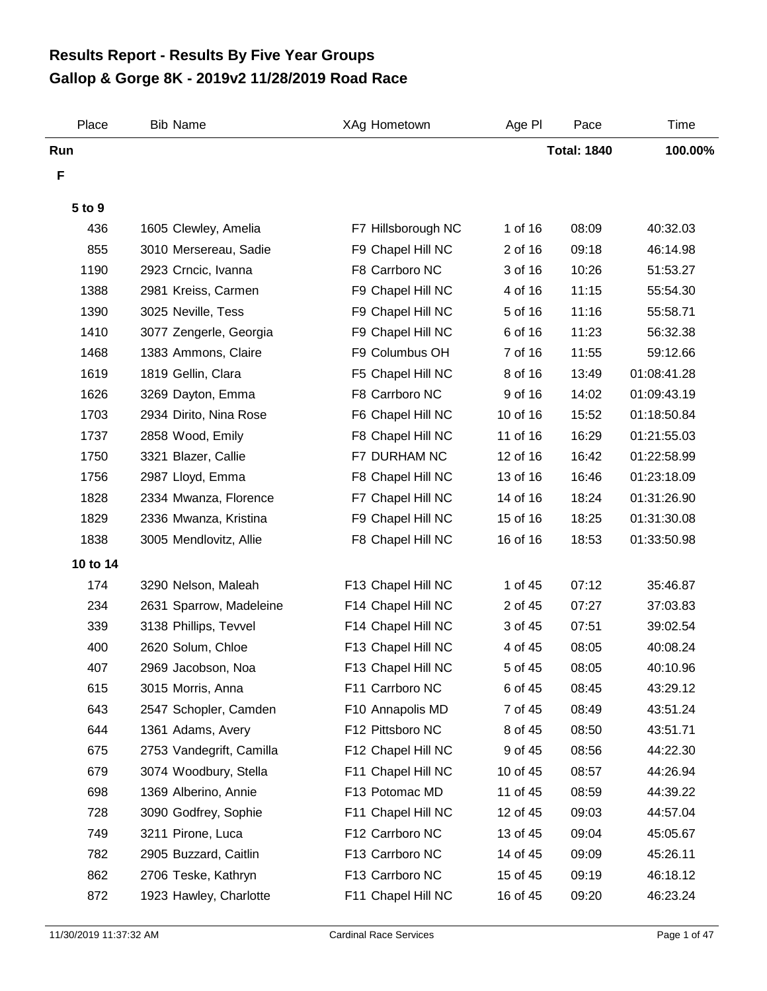## **Gallop & Gorge 8K - 2019v2 11/28/2019 Road Race Results Report - Results By Five Year Groups**

| Place    | <b>Bib Name</b>          | XAg Hometown       | Age PI   | Pace               | Time        |
|----------|--------------------------|--------------------|----------|--------------------|-------------|
| Run      |                          |                    |          | <b>Total: 1840</b> | 100.00%     |
| F        |                          |                    |          |                    |             |
| 5 to 9   |                          |                    |          |                    |             |
| 436      | 1605 Clewley, Amelia     | F7 Hillsborough NC | 1 of 16  | 08:09              | 40:32.03    |
| 855      | 3010 Mersereau, Sadie    | F9 Chapel Hill NC  | 2 of 16  | 09:18              | 46:14.98    |
| 1190     | 2923 Crncic, Ivanna      | F8 Carrboro NC     | 3 of 16  | 10:26              | 51:53.27    |
| 1388     | 2981 Kreiss, Carmen      | F9 Chapel Hill NC  | 4 of 16  | 11:15              | 55:54.30    |
| 1390     | 3025 Neville, Tess       | F9 Chapel Hill NC  | 5 of 16  | 11:16              | 55:58.71    |
| 1410     | 3077 Zengerle, Georgia   | F9 Chapel Hill NC  | 6 of 16  | 11:23              | 56:32.38    |
| 1468     | 1383 Ammons, Claire      | F9 Columbus OH     | 7 of 16  | 11:55              | 59:12.66    |
| 1619     | 1819 Gellin, Clara       | F5 Chapel Hill NC  | 8 of 16  | 13:49              | 01:08:41.28 |
| 1626     | 3269 Dayton, Emma        | F8 Carrboro NC     | 9 of 16  | 14:02              | 01:09:43.19 |
| 1703     | 2934 Dirito, Nina Rose   | F6 Chapel Hill NC  | 10 of 16 | 15:52              | 01:18:50.84 |
| 1737     | 2858 Wood, Emily         | F8 Chapel Hill NC  | 11 of 16 | 16:29              | 01:21:55.03 |
| 1750     | 3321 Blazer, Callie      | F7 DURHAM NC       | 12 of 16 | 16:42              | 01:22:58.99 |
| 1756     | 2987 Lloyd, Emma         | F8 Chapel Hill NC  | 13 of 16 | 16:46              | 01:23:18.09 |
| 1828     | 2334 Mwanza, Florence    | F7 Chapel Hill NC  | 14 of 16 | 18:24              | 01:31:26.90 |
| 1829     | 2336 Mwanza, Kristina    | F9 Chapel Hill NC  | 15 of 16 | 18:25              | 01:31:30.08 |
| 1838     | 3005 Mendlovitz, Allie   | F8 Chapel Hill NC  | 16 of 16 | 18:53              | 01:33:50.98 |
| 10 to 14 |                          |                    |          |                    |             |
| 174      | 3290 Nelson, Maleah      | F13 Chapel Hill NC | 1 of 45  | 07:12              | 35:46.87    |
| 234      | 2631 Sparrow, Madeleine  | F14 Chapel Hill NC | 2 of 45  | 07:27              | 37:03.83    |
| 339      | 3138 Phillips, Tevvel    | F14 Chapel Hill NC | 3 of 45  | 07:51              | 39:02.54    |
| 400      | 2620 Solum, Chloe        | F13 Chapel Hill NC | 4 of 45  | 08:05              | 40:08.24    |
| 407      | 2969 Jacobson, Noa       | F13 Chapel Hill NC | 5 of 45  | 08:05              | 40:10.96    |
| 615      | 3015 Morris, Anna        | F11 Carrboro NC    | 6 of 45  | 08:45              | 43:29.12    |
| 643      | 2547 Schopler, Camden    | F10 Annapolis MD   | 7 of 45  | 08:49              | 43:51.24    |
| 644      | 1361 Adams, Avery        | F12 Pittsboro NC   | 8 of 45  | 08:50              | 43:51.71    |
| 675      | 2753 Vandegrift, Camilla | F12 Chapel Hill NC | 9 of 45  | 08:56              | 44:22.30    |
| 679      | 3074 Woodbury, Stella    | F11 Chapel Hill NC | 10 of 45 | 08:57              | 44:26.94    |
| 698      | 1369 Alberino, Annie     | F13 Potomac MD     | 11 of 45 | 08:59              | 44:39.22    |
| 728      | 3090 Godfrey, Sophie     | F11 Chapel Hill NC | 12 of 45 | 09:03              | 44:57.04    |
| 749      | 3211 Pirone, Luca        | F12 Carrboro NC    | 13 of 45 | 09:04              | 45:05.67    |
| 782      | 2905 Buzzard, Caitlin    | F13 Carrboro NC    | 14 of 45 | 09:09              | 45:26.11    |
| 862      | 2706 Teske, Kathryn      | F13 Carrboro NC    | 15 of 45 | 09:19              | 46:18.12    |
| 872      | 1923 Hawley, Charlotte   | F11 Chapel Hill NC | 16 of 45 | 09:20              | 46:23.24    |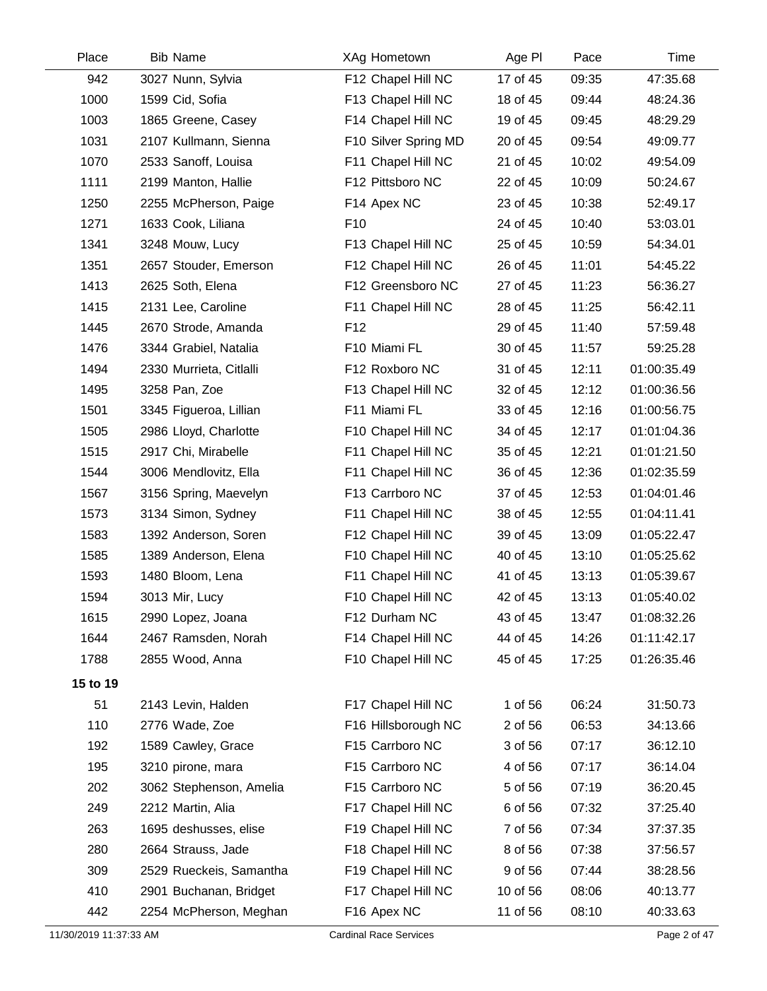| Place    | <b>Bib Name</b>         | XAg Hometown         | Age PI   | Pace  | Time        |
|----------|-------------------------|----------------------|----------|-------|-------------|
| 942      | 3027 Nunn, Sylvia       | F12 Chapel Hill NC   | 17 of 45 | 09:35 | 47:35.68    |
| 1000     | 1599 Cid, Sofia         | F13 Chapel Hill NC   | 18 of 45 | 09:44 | 48:24.36    |
| 1003     | 1865 Greene, Casey      | F14 Chapel Hill NC   | 19 of 45 | 09:45 | 48:29.29    |
| 1031     | 2107 Kullmann, Sienna   | F10 Silver Spring MD | 20 of 45 | 09:54 | 49:09.77    |
| 1070     | 2533 Sanoff, Louisa     | F11 Chapel Hill NC   | 21 of 45 | 10:02 | 49:54.09    |
| 1111     | 2199 Manton, Hallie     | F12 Pittsboro NC     | 22 of 45 | 10:09 | 50:24.67    |
| 1250     | 2255 McPherson, Paige   | F14 Apex NC          | 23 of 45 | 10:38 | 52:49.17    |
| 1271     | 1633 Cook, Liliana      | F <sub>10</sub>      | 24 of 45 | 10:40 | 53:03.01    |
| 1341     | 3248 Mouw, Lucy         | F13 Chapel Hill NC   | 25 of 45 | 10:59 | 54:34.01    |
| 1351     | 2657 Stouder, Emerson   | F12 Chapel Hill NC   | 26 of 45 | 11:01 | 54:45.22    |
| 1413     | 2625 Soth, Elena        | F12 Greensboro NC    | 27 of 45 | 11:23 | 56:36.27    |
| 1415     | 2131 Lee, Caroline      | F11 Chapel Hill NC   | 28 of 45 | 11:25 | 56:42.11    |
| 1445     | 2670 Strode, Amanda     | F <sub>12</sub>      | 29 of 45 | 11:40 | 57:59.48    |
| 1476     | 3344 Grabiel, Natalia   | F10 Miami FL         | 30 of 45 | 11:57 | 59:25.28    |
| 1494     | 2330 Murrieta, Citlalli | F12 Roxboro NC       | 31 of 45 | 12:11 | 01:00:35.49 |
| 1495     | 3258 Pan, Zoe           | F13 Chapel Hill NC   | 32 of 45 | 12:12 | 01:00:36.56 |
| 1501     | 3345 Figueroa, Lillian  | F11 Miami FL         | 33 of 45 | 12:16 | 01:00:56.75 |
| 1505     | 2986 Lloyd, Charlotte   | F10 Chapel Hill NC   | 34 of 45 | 12:17 | 01:01:04.36 |
| 1515     | 2917 Chi, Mirabelle     | F11 Chapel Hill NC   | 35 of 45 | 12:21 | 01:01:21.50 |
| 1544     | 3006 Mendlovitz, Ella   | F11 Chapel Hill NC   | 36 of 45 | 12:36 | 01:02:35.59 |
| 1567     | 3156 Spring, Maevelyn   | F13 Carrboro NC      | 37 of 45 | 12:53 | 01:04:01.46 |
| 1573     | 3134 Simon, Sydney      | F11 Chapel Hill NC   | 38 of 45 | 12:55 | 01:04:11.41 |
| 1583     | 1392 Anderson, Soren    | F12 Chapel Hill NC   | 39 of 45 | 13:09 | 01:05:22.47 |
| 1585     | 1389 Anderson, Elena    | F10 Chapel Hill NC   | 40 of 45 | 13:10 | 01:05:25.62 |
| 1593     | 1480 Bloom, Lena        | F11 Chapel Hill NC   | 41 of 45 | 13:13 | 01:05:39.67 |
| 1594     | 3013 Mir, Lucy          | F10 Chapel Hill NC   | 42 of 45 | 13:13 | 01:05:40.02 |
| 1615     | 2990 Lopez, Joana       | F12 Durham NC        | 43 of 45 | 13:47 | 01:08:32.26 |
| 1644     | 2467 Ramsden, Norah     | F14 Chapel Hill NC   | 44 of 45 | 14:26 | 01:11:42.17 |
| 1788     | 2855 Wood, Anna         | F10 Chapel Hill NC   | 45 of 45 | 17:25 | 01:26:35.46 |
| 15 to 19 |                         |                      |          |       |             |
| 51       | 2143 Levin, Halden      | F17 Chapel Hill NC   | 1 of 56  | 06:24 | 31:50.73    |
| 110      | 2776 Wade, Zoe          | F16 Hillsborough NC  | 2 of 56  | 06:53 | 34:13.66    |
| 192      | 1589 Cawley, Grace      | F15 Carrboro NC      | 3 of 56  | 07:17 | 36:12.10    |
| 195      | 3210 pirone, mara       | F15 Carrboro NC      | 4 of 56  | 07:17 | 36:14.04    |
| 202      | 3062 Stephenson, Amelia | F15 Carrboro NC      | 5 of 56  | 07:19 | 36:20.45    |
| 249      | 2212 Martin, Alia       | F17 Chapel Hill NC   | 6 of 56  | 07:32 | 37:25.40    |
| 263      | 1695 deshusses, elise   | F19 Chapel Hill NC   | 7 of 56  | 07:34 | 37:37.35    |
| 280      | 2664 Strauss, Jade      | F18 Chapel Hill NC   | 8 of 56  | 07:38 | 37:56.57    |
| 309      | 2529 Rueckeis, Samantha | F19 Chapel Hill NC   | 9 of 56  | 07:44 | 38:28.56    |
| 410      | 2901 Buchanan, Bridget  | F17 Chapel Hill NC   | 10 of 56 | 08:06 | 40:13.77    |
| 442      | 2254 McPherson, Meghan  | F16 Apex NC          | 11 of 56 | 08:10 | 40:33.63    |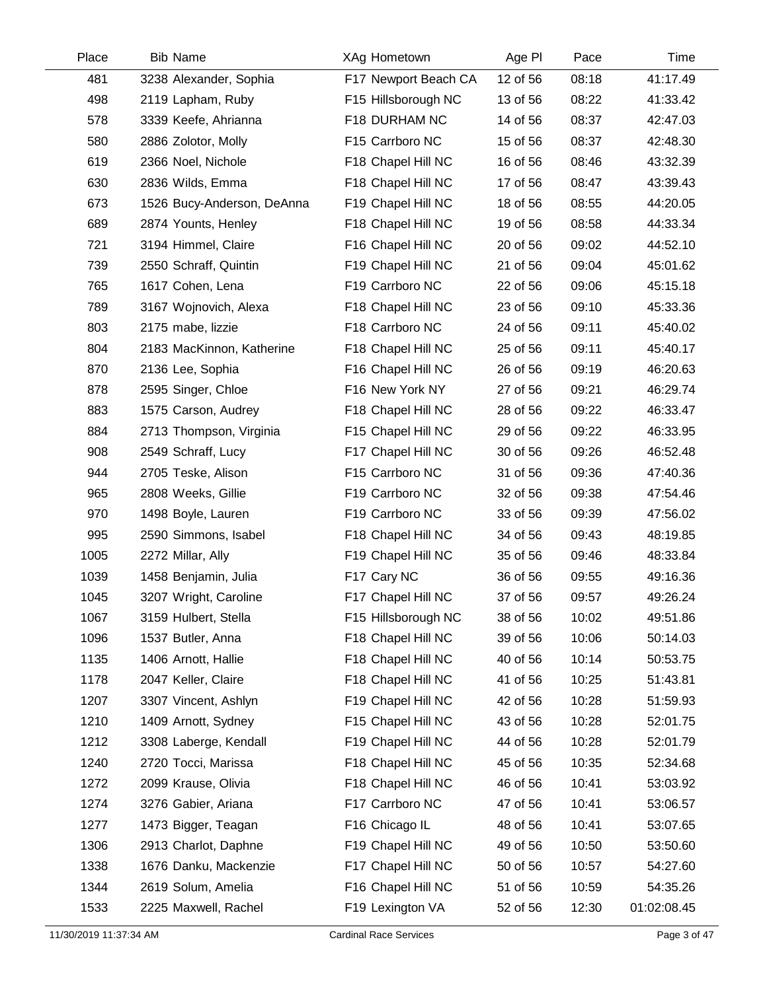| Place | <b>Bib Name</b>            | XAg Hometown         | Age PI   | Pace  | Time        |
|-------|----------------------------|----------------------|----------|-------|-------------|
| 481   | 3238 Alexander, Sophia     | F17 Newport Beach CA | 12 of 56 | 08:18 | 41:17.49    |
| 498   | 2119 Lapham, Ruby          | F15 Hillsborough NC  | 13 of 56 | 08:22 | 41:33.42    |
| 578   | 3339 Keefe, Ahrianna       | F18 DURHAM NC        | 14 of 56 | 08:37 | 42:47.03    |
| 580   | 2886 Zolotor, Molly        | F15 Carrboro NC      | 15 of 56 | 08:37 | 42:48.30    |
| 619   | 2366 Noel, Nichole         | F18 Chapel Hill NC   | 16 of 56 | 08:46 | 43:32.39    |
| 630   | 2836 Wilds, Emma           | F18 Chapel Hill NC   | 17 of 56 | 08:47 | 43:39.43    |
| 673   | 1526 Bucy-Anderson, DeAnna | F19 Chapel Hill NC   | 18 of 56 | 08:55 | 44:20.05    |
| 689   | 2874 Younts, Henley        | F18 Chapel Hill NC   | 19 of 56 | 08:58 | 44:33.34    |
| 721   | 3194 Himmel, Claire        | F16 Chapel Hill NC   | 20 of 56 | 09:02 | 44:52.10    |
| 739   | 2550 Schraff, Quintin      | F19 Chapel Hill NC   | 21 of 56 | 09:04 | 45:01.62    |
| 765   | 1617 Cohen, Lena           | F19 Carrboro NC      | 22 of 56 | 09:06 | 45:15.18    |
| 789   | 3167 Wojnovich, Alexa      | F18 Chapel Hill NC   | 23 of 56 | 09:10 | 45:33.36    |
| 803   | 2175 mabe, lizzie          | F18 Carrboro NC      | 24 of 56 | 09:11 | 45:40.02    |
| 804   | 2183 MacKinnon, Katherine  | F18 Chapel Hill NC   | 25 of 56 | 09:11 | 45:40.17    |
| 870   | 2136 Lee, Sophia           | F16 Chapel Hill NC   | 26 of 56 | 09:19 | 46:20.63    |
| 878   | 2595 Singer, Chloe         | F16 New York NY      | 27 of 56 | 09:21 | 46:29.74    |
| 883   | 1575 Carson, Audrey        | F18 Chapel Hill NC   | 28 of 56 | 09:22 | 46:33.47    |
| 884   | 2713 Thompson, Virginia    | F15 Chapel Hill NC   | 29 of 56 | 09:22 | 46:33.95    |
| 908   | 2549 Schraff, Lucy         | F17 Chapel Hill NC   | 30 of 56 | 09:26 | 46:52.48    |
| 944   | 2705 Teske, Alison         | F15 Carrboro NC      | 31 of 56 | 09:36 | 47:40.36    |
| 965   | 2808 Weeks, Gillie         | F19 Carrboro NC      | 32 of 56 | 09:38 | 47:54.46    |
| 970   | 1498 Boyle, Lauren         | F19 Carrboro NC      | 33 of 56 | 09:39 | 47:56.02    |
| 995   | 2590 Simmons, Isabel       | F18 Chapel Hill NC   | 34 of 56 | 09:43 | 48:19.85    |
| 1005  | 2272 Millar, Ally          | F19 Chapel Hill NC   | 35 of 56 | 09:46 | 48:33.84    |
| 1039  | 1458 Benjamin, Julia       | F17 Cary NC          | 36 of 56 | 09:55 | 49:16.36    |
| 1045  | 3207 Wright, Caroline      | F17 Chapel Hill NC   | 37 of 56 | 09:57 | 49:26.24    |
| 1067  | 3159 Hulbert, Stella       | F15 Hillsborough NC  | 38 of 56 | 10:02 | 49:51.86    |
| 1096  | 1537 Butler, Anna          | F18 Chapel Hill NC   | 39 of 56 | 10:06 | 50:14.03    |
| 1135  | 1406 Arnott, Hallie        | F18 Chapel Hill NC   | 40 of 56 | 10:14 | 50:53.75    |
| 1178  | 2047 Keller, Claire        | F18 Chapel Hill NC   | 41 of 56 | 10:25 | 51:43.81    |
| 1207  | 3307 Vincent, Ashlyn       | F19 Chapel Hill NC   | 42 of 56 | 10:28 | 51:59.93    |
| 1210  | 1409 Arnott, Sydney        | F15 Chapel Hill NC   | 43 of 56 | 10:28 | 52:01.75    |
| 1212  | 3308 Laberge, Kendall      | F19 Chapel Hill NC   | 44 of 56 | 10:28 | 52:01.79    |
| 1240  | 2720 Tocci, Marissa        | F18 Chapel Hill NC   | 45 of 56 | 10:35 | 52:34.68    |
| 1272  | 2099 Krause, Olivia        | F18 Chapel Hill NC   | 46 of 56 | 10:41 | 53:03.92    |
| 1274  | 3276 Gabier, Ariana        | F17 Carrboro NC      | 47 of 56 | 10:41 | 53:06.57    |
| 1277  | 1473 Bigger, Teagan        | F16 Chicago IL       | 48 of 56 | 10:41 | 53:07.65    |
| 1306  | 2913 Charlot, Daphne       | F19 Chapel Hill NC   | 49 of 56 | 10:50 | 53:50.60    |
| 1338  | 1676 Danku, Mackenzie      | F17 Chapel Hill NC   | 50 of 56 | 10:57 | 54:27.60    |
| 1344  | 2619 Solum, Amelia         | F16 Chapel Hill NC   | 51 of 56 | 10:59 | 54:35.26    |
| 1533  | 2225 Maxwell, Rachel       | F19 Lexington VA     | 52 of 56 | 12:30 | 01:02:08.45 |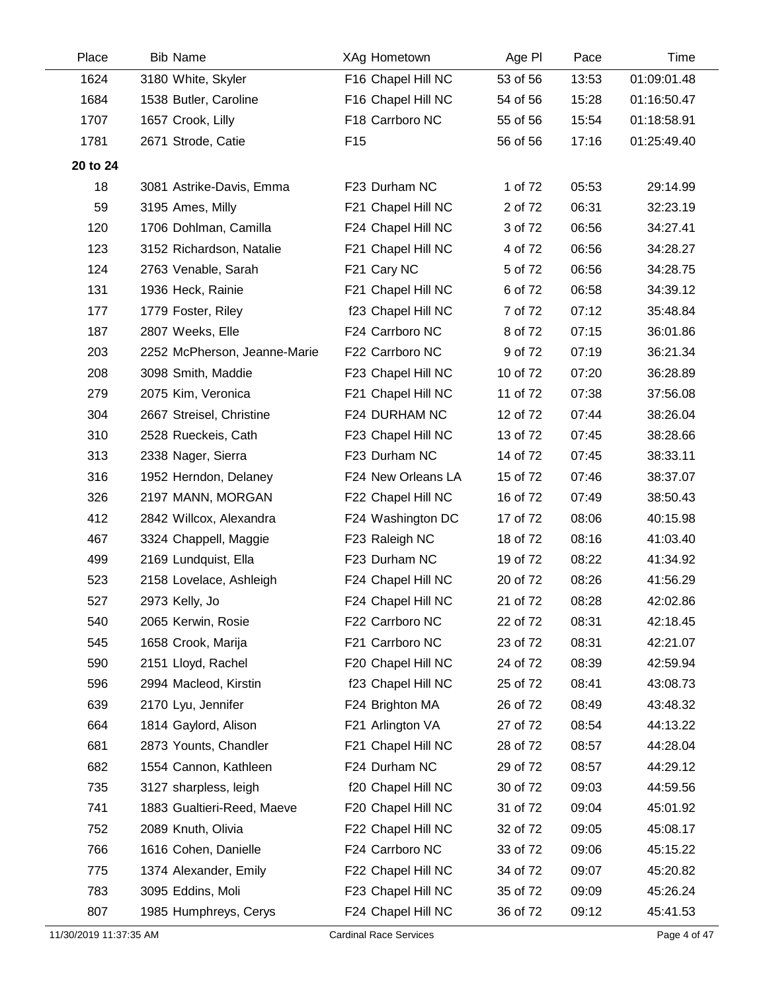| Place    | <b>Bib Name</b>              | XAg Hometown       | Age PI   | Pace  | Time        |
|----------|------------------------------|--------------------|----------|-------|-------------|
| 1624     | 3180 White, Skyler           | F16 Chapel Hill NC | 53 of 56 | 13:53 | 01:09:01.48 |
| 1684     | 1538 Butler, Caroline        | F16 Chapel Hill NC | 54 of 56 | 15:28 | 01:16:50.47 |
| 1707     | 1657 Crook, Lilly            | F18 Carrboro NC    | 55 of 56 | 15:54 | 01:18:58.91 |
| 1781     | 2671 Strode, Catie           | F <sub>15</sub>    | 56 of 56 | 17:16 | 01:25:49.40 |
| 20 to 24 |                              |                    |          |       |             |
| 18       | 3081 Astrike-Davis, Emma     | F23 Durham NC      | 1 of 72  | 05:53 | 29:14.99    |
| 59       | 3195 Ames, Milly             | F21 Chapel Hill NC | 2 of 72  | 06:31 | 32:23.19    |
| 120      | 1706 Dohlman, Camilla        | F24 Chapel Hill NC | 3 of 72  | 06:56 | 34:27.41    |
| 123      | 3152 Richardson, Natalie     | F21 Chapel Hill NC | 4 of 72  | 06:56 | 34:28.27    |
| 124      | 2763 Venable, Sarah          | F21 Cary NC        | 5 of 72  | 06:56 | 34:28.75    |
| 131      | 1936 Heck, Rainie            | F21 Chapel Hill NC | 6 of 72  | 06:58 | 34:39.12    |
| 177      | 1779 Foster, Riley           | f23 Chapel Hill NC | 7 of 72  | 07:12 | 35:48.84    |
| 187      | 2807 Weeks, Elle             | F24 Carrboro NC    | 8 of 72  | 07:15 | 36:01.86    |
| 203      | 2252 McPherson, Jeanne-Marie | F22 Carrboro NC    | 9 of 72  | 07:19 | 36:21.34    |
| 208      | 3098 Smith, Maddie           | F23 Chapel Hill NC | 10 of 72 | 07:20 | 36:28.89    |
| 279      | 2075 Kim, Veronica           | F21 Chapel Hill NC | 11 of 72 | 07:38 | 37:56.08    |
| 304      | 2667 Streisel, Christine     | F24 DURHAM NC      | 12 of 72 | 07:44 | 38:26.04    |
| 310      | 2528 Rueckeis, Cath          | F23 Chapel Hill NC | 13 of 72 | 07:45 | 38:28.66    |
| 313      | 2338 Nager, Sierra           | F23 Durham NC      | 14 of 72 | 07:45 | 38:33.11    |
| 316      | 1952 Herndon, Delaney        | F24 New Orleans LA | 15 of 72 | 07:46 | 38:37.07    |
| 326      | 2197 MANN, MORGAN            | F22 Chapel Hill NC | 16 of 72 | 07:49 | 38:50.43    |
| 412      | 2842 Willcox, Alexandra      | F24 Washington DC  | 17 of 72 | 08:06 | 40:15.98    |
| 467      | 3324 Chappell, Maggie        | F23 Raleigh NC     | 18 of 72 | 08:16 | 41:03.40    |
| 499      | 2169 Lundquist, Ella         | F23 Durham NC      | 19 of 72 | 08:22 | 41:34.92    |
| 523      | 2158 Lovelace, Ashleigh      | F24 Chapel Hill NC | 20 of 72 | 08:26 | 41:56.29    |
| 527      | 2973 Kelly, Jo               | F24 Chapel Hill NC | 21 of 72 | 08:28 | 42:02.86    |
| 540      | 2065 Kerwin, Rosie           | F22 Carrboro NC    | 22 of 72 | 08:31 | 42:18.45    |
| 545      | 1658 Crook, Marija           | F21 Carrboro NC    | 23 of 72 | 08:31 | 42:21.07    |
| 590      | 2151 Lloyd, Rachel           | F20 Chapel Hill NC | 24 of 72 | 08:39 | 42:59.94    |
| 596      | 2994 Macleod, Kirstin        | f23 Chapel Hill NC | 25 of 72 | 08:41 | 43:08.73    |
| 639      | 2170 Lyu, Jennifer           | F24 Brighton MA    | 26 of 72 | 08:49 | 43:48.32    |
| 664      | 1814 Gaylord, Alison         | F21 Arlington VA   | 27 of 72 | 08:54 | 44:13.22    |
| 681      | 2873 Younts, Chandler        | F21 Chapel Hill NC | 28 of 72 | 08:57 | 44:28.04    |
| 682      | 1554 Cannon, Kathleen        | F24 Durham NC      | 29 of 72 | 08:57 | 44:29.12    |
| 735      | 3127 sharpless, leigh        | f20 Chapel Hill NC | 30 of 72 | 09:03 | 44:59.56    |
| 741      | 1883 Gualtieri-Reed, Maeve   | F20 Chapel Hill NC | 31 of 72 | 09:04 | 45:01.92    |
| 752      | 2089 Knuth, Olivia           | F22 Chapel Hill NC | 32 of 72 | 09:05 | 45:08.17    |
| 766      | 1616 Cohen, Danielle         | F24 Carrboro NC    | 33 of 72 | 09:06 | 45:15.22    |
| 775      | 1374 Alexander, Emily        | F22 Chapel Hill NC | 34 of 72 | 09:07 | 45:20.82    |
| 783      | 3095 Eddins, Moli            | F23 Chapel Hill NC | 35 of 72 | 09:09 | 45:26.24    |
| 807      | 1985 Humphreys, Cerys        | F24 Chapel Hill NC | 36 of 72 | 09:12 | 45:41.53    |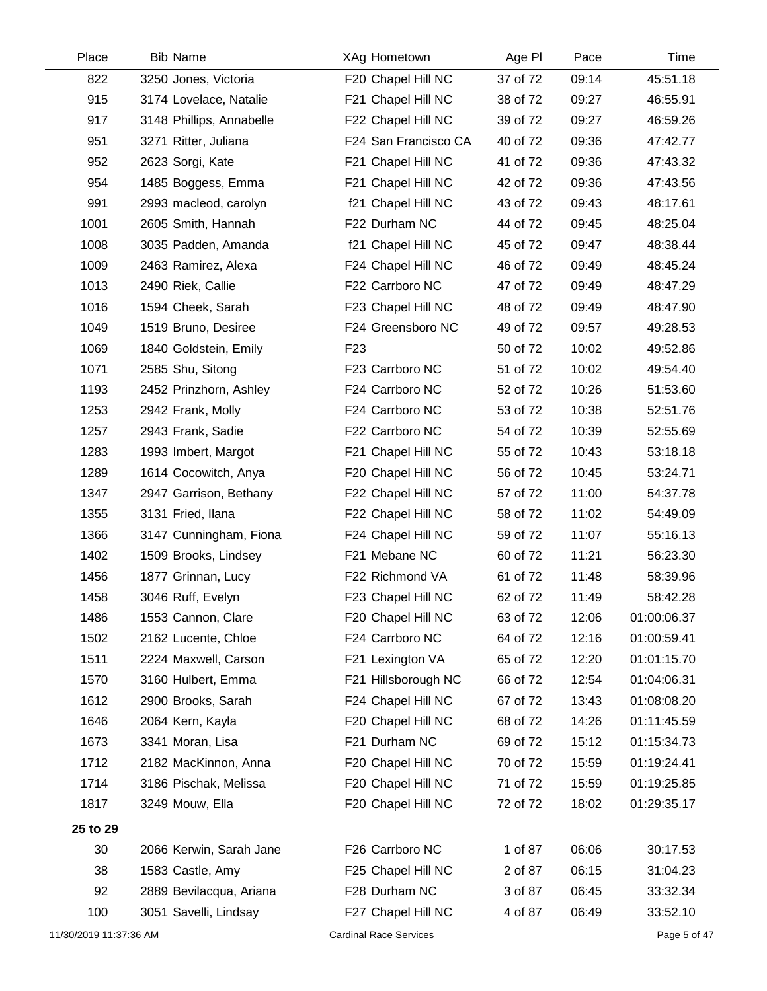| Place                  | <b>Bib Name</b>          | XAg Hometown                  | Age PI   | Pace  | Time         |
|------------------------|--------------------------|-------------------------------|----------|-------|--------------|
| 822                    | 3250 Jones, Victoria     | F20 Chapel Hill NC            | 37 of 72 | 09:14 | 45:51.18     |
| 915                    | 3174 Lovelace, Natalie   | F21 Chapel Hill NC            | 38 of 72 | 09:27 | 46:55.91     |
| 917                    | 3148 Phillips, Annabelle | F22 Chapel Hill NC            | 39 of 72 | 09:27 | 46:59.26     |
| 951                    | 3271 Ritter, Juliana     | F24 San Francisco CA          | 40 of 72 | 09:36 | 47:42.77     |
| 952                    | 2623 Sorgi, Kate         | F21 Chapel Hill NC            | 41 of 72 | 09:36 | 47:43.32     |
| 954                    | 1485 Boggess, Emma       | F21 Chapel Hill NC            | 42 of 72 | 09:36 | 47:43.56     |
| 991                    | 2993 macleod, carolyn    | f21 Chapel Hill NC            | 43 of 72 | 09:43 | 48:17.61     |
| 1001                   | 2605 Smith, Hannah       | F22 Durham NC                 | 44 of 72 | 09:45 | 48:25.04     |
| 1008                   | 3035 Padden, Amanda      | f21 Chapel Hill NC            | 45 of 72 | 09:47 | 48:38.44     |
| 1009                   | 2463 Ramirez, Alexa      | F24 Chapel Hill NC            | 46 of 72 | 09:49 | 48:45.24     |
| 1013                   | 2490 Riek, Callie        | F22 Carrboro NC               | 47 of 72 | 09:49 | 48:47.29     |
| 1016                   | 1594 Cheek, Sarah        | F23 Chapel Hill NC            | 48 of 72 | 09:49 | 48:47.90     |
| 1049                   | 1519 Bruno, Desiree      | F24 Greensboro NC             | 49 of 72 | 09:57 | 49:28.53     |
| 1069                   | 1840 Goldstein, Emily    | F <sub>23</sub>               | 50 of 72 | 10:02 | 49:52.86     |
| 1071                   | 2585 Shu, Sitong         | F23 Carrboro NC               | 51 of 72 | 10:02 | 49:54.40     |
| 1193                   | 2452 Prinzhorn, Ashley   | F24 Carrboro NC               | 52 of 72 | 10:26 | 51:53.60     |
| 1253                   | 2942 Frank, Molly        | F24 Carrboro NC               | 53 of 72 | 10:38 | 52:51.76     |
| 1257                   | 2943 Frank, Sadie        | F22 Carrboro NC               | 54 of 72 | 10:39 | 52:55.69     |
| 1283                   | 1993 Imbert, Margot      | F21 Chapel Hill NC            | 55 of 72 | 10:43 | 53:18.18     |
| 1289                   | 1614 Cocowitch, Anya     | F20 Chapel Hill NC            | 56 of 72 | 10:45 | 53:24.71     |
| 1347                   | 2947 Garrison, Bethany   | F22 Chapel Hill NC            | 57 of 72 | 11:00 | 54:37.78     |
| 1355                   | 3131 Fried, Ilana        | F22 Chapel Hill NC            | 58 of 72 | 11:02 | 54:49.09     |
| 1366                   | 3147 Cunningham, Fiona   | F24 Chapel Hill NC            | 59 of 72 | 11:07 | 55:16.13     |
| 1402                   | 1509 Brooks, Lindsey     | F21 Mebane NC                 | 60 of 72 | 11:21 | 56:23.30     |
| 1456                   | 1877 Grinnan, Lucy       | F22 Richmond VA               | 61 of 72 | 11:48 | 58:39.96     |
| 1458                   | 3046 Ruff, Evelyn        | F23 Chapel Hill NC            | 62 of 72 | 11:49 | 58:42.28     |
| 1486                   | 1553 Cannon, Clare       | F20 Chapel Hill NC            | 63 of 72 | 12:06 | 01:00:06.37  |
| 1502                   | 2162 Lucente, Chloe      | F24 Carrboro NC               | 64 of 72 | 12:16 | 01:00:59.41  |
| 1511                   | 2224 Maxwell, Carson     | F21 Lexington VA              | 65 of 72 | 12:20 | 01:01:15.70  |
| 1570                   | 3160 Hulbert, Emma       | F21 Hillsborough NC           | 66 of 72 | 12:54 | 01:04:06.31  |
| 1612                   | 2900 Brooks, Sarah       | F24 Chapel Hill NC            | 67 of 72 | 13:43 | 01:08:08.20  |
| 1646                   | 2064 Kern, Kayla         | F20 Chapel Hill NC            | 68 of 72 | 14:26 | 01:11:45.59  |
| 1673                   | 3341 Moran, Lisa         | F21 Durham NC                 | 69 of 72 | 15:12 | 01:15:34.73  |
| 1712                   | 2182 MacKinnon, Anna     | F20 Chapel Hill NC            | 70 of 72 | 15:59 | 01:19:24.41  |
| 1714                   | 3186 Pischak, Melissa    | F20 Chapel Hill NC            | 71 of 72 | 15:59 | 01:19:25.85  |
| 1817                   | 3249 Mouw, Ella          | F20 Chapel Hill NC            | 72 of 72 | 18:02 | 01:29:35.17  |
| 25 to 29               |                          |                               |          |       |              |
| 30                     | 2066 Kerwin, Sarah Jane  | F26 Carrboro NC               | 1 of 87  | 06:06 | 30:17.53     |
| 38                     | 1583 Castle, Amy         | F25 Chapel Hill NC            | 2 of 87  | 06:15 | 31:04.23     |
| 92                     | 2889 Bevilacqua, Ariana  | F28 Durham NC                 | 3 of 87  | 06:45 | 33:32.34     |
| 100                    | 3051 Savelli, Lindsay    | F27 Chapel Hill NC            | 4 of 87  | 06:49 | 33:52.10     |
| 11/30/2019 11:37:36 AM |                          | <b>Cardinal Race Services</b> |          |       | Page 5 of 47 |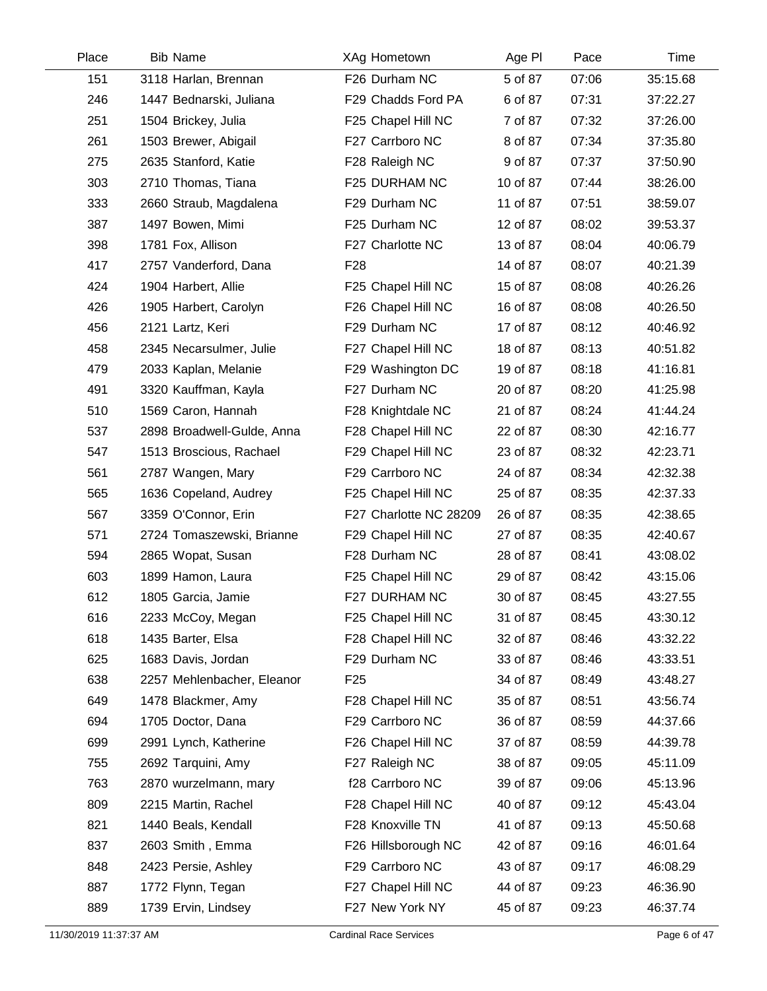| Place | <b>Bib Name</b>            | XAg Hometown           | Age PI   | Pace  | Time     |
|-------|----------------------------|------------------------|----------|-------|----------|
| 151   | 3118 Harlan, Brennan       | F26 Durham NC          | 5 of 87  | 07:06 | 35:15.68 |
| 246   | 1447 Bednarski, Juliana    | F29 Chadds Ford PA     | 6 of 87  | 07:31 | 37:22.27 |
| 251   | 1504 Brickey, Julia        | F25 Chapel Hill NC     | 7 of 87  | 07:32 | 37:26.00 |
| 261   | 1503 Brewer, Abigail       | F27 Carrboro NC        | 8 of 87  | 07:34 | 37:35.80 |
| 275   | 2635 Stanford, Katie       | F28 Raleigh NC         | 9 of 87  | 07:37 | 37:50.90 |
| 303   | 2710 Thomas, Tiana         | F25 DURHAM NC          | 10 of 87 | 07:44 | 38:26.00 |
| 333   | 2660 Straub, Magdalena     | F29 Durham NC          | 11 of 87 | 07:51 | 38:59.07 |
| 387   | 1497 Bowen, Mimi           | F25 Durham NC          | 12 of 87 | 08:02 | 39:53.37 |
| 398   | 1781 Fox, Allison          | F27 Charlotte NC       | 13 of 87 | 08:04 | 40:06.79 |
| 417   | 2757 Vanderford, Dana      | F <sub>28</sub>        | 14 of 87 | 08:07 | 40:21.39 |
| 424   | 1904 Harbert, Allie        | F25 Chapel Hill NC     | 15 of 87 | 08:08 | 40:26.26 |
| 426   | 1905 Harbert, Carolyn      | F26 Chapel Hill NC     | 16 of 87 | 08:08 | 40:26.50 |
| 456   | 2121 Lartz, Keri           | F29 Durham NC          | 17 of 87 | 08:12 | 40:46.92 |
| 458   | 2345 Necarsulmer, Julie    | F27 Chapel Hill NC     | 18 of 87 | 08:13 | 40:51.82 |
| 479   | 2033 Kaplan, Melanie       | F29 Washington DC      | 19 of 87 | 08:18 | 41:16.81 |
| 491   | 3320 Kauffman, Kayla       | F27 Durham NC          | 20 of 87 | 08:20 | 41:25.98 |
| 510   | 1569 Caron, Hannah         | F28 Knightdale NC      | 21 of 87 | 08:24 | 41:44.24 |
| 537   | 2898 Broadwell-Gulde, Anna | F28 Chapel Hill NC     | 22 of 87 | 08:30 | 42:16.77 |
| 547   | 1513 Broscious, Rachael    | F29 Chapel Hill NC     | 23 of 87 | 08:32 | 42:23.71 |
| 561   | 2787 Wangen, Mary          | F29 Carrboro NC        | 24 of 87 | 08:34 | 42:32.38 |
| 565   | 1636 Copeland, Audrey      | F25 Chapel Hill NC     | 25 of 87 | 08:35 | 42:37.33 |
| 567   | 3359 O'Connor, Erin        | F27 Charlotte NC 28209 | 26 of 87 | 08:35 | 42:38.65 |
| 571   | 2724 Tomaszewski, Brianne  | F29 Chapel Hill NC     | 27 of 87 | 08:35 | 42:40.67 |
| 594   | 2865 Wopat, Susan          | F28 Durham NC          | 28 of 87 | 08:41 | 43:08.02 |
| 603   | 1899 Hamon, Laura          | F25 Chapel Hill NC     | 29 of 87 | 08:42 | 43:15.06 |
| 612   | 1805 Garcia, Jamie         | F27 DURHAM NC          | 30 of 87 | 08:45 | 43:27.55 |
| 616   | 2233 McCoy, Megan          | F25 Chapel Hill NC     | 31 of 87 | 08:45 | 43:30.12 |
| 618   | 1435 Barter, Elsa          | F28 Chapel Hill NC     | 32 of 87 | 08:46 | 43:32.22 |
| 625   | 1683 Davis, Jordan         | F29 Durham NC          | 33 of 87 | 08:46 | 43:33.51 |
| 638   | 2257 Mehlenbacher, Eleanor | F <sub>25</sub>        | 34 of 87 | 08:49 | 43:48.27 |
| 649   | 1478 Blackmer, Amy         | F28 Chapel Hill NC     | 35 of 87 | 08:51 | 43:56.74 |
| 694   | 1705 Doctor, Dana          | F29 Carrboro NC        | 36 of 87 | 08:59 | 44:37.66 |
| 699   | 2991 Lynch, Katherine      | F26 Chapel Hill NC     | 37 of 87 | 08:59 | 44:39.78 |
| 755   | 2692 Tarquini, Amy         | F27 Raleigh NC         | 38 of 87 | 09:05 | 45:11.09 |
| 763   | 2870 wurzelmann, mary      | f28 Carrboro NC        | 39 of 87 | 09:06 | 45:13.96 |
| 809   | 2215 Martin, Rachel        | F28 Chapel Hill NC     | 40 of 87 | 09:12 | 45:43.04 |
| 821   | 1440 Beals, Kendall        | F28 Knoxville TN       | 41 of 87 | 09:13 | 45:50.68 |
| 837   | 2603 Smith, Emma           | F26 Hillsborough NC    | 42 of 87 | 09:16 | 46:01.64 |
| 848   | 2423 Persie, Ashley        | F29 Carrboro NC        | 43 of 87 | 09:17 | 46:08.29 |
| 887   | 1772 Flynn, Tegan          | F27 Chapel Hill NC     | 44 of 87 | 09:23 | 46:36.90 |
| 889   | 1739 Ervin, Lindsey        | F27 New York NY        | 45 of 87 | 09:23 | 46:37.74 |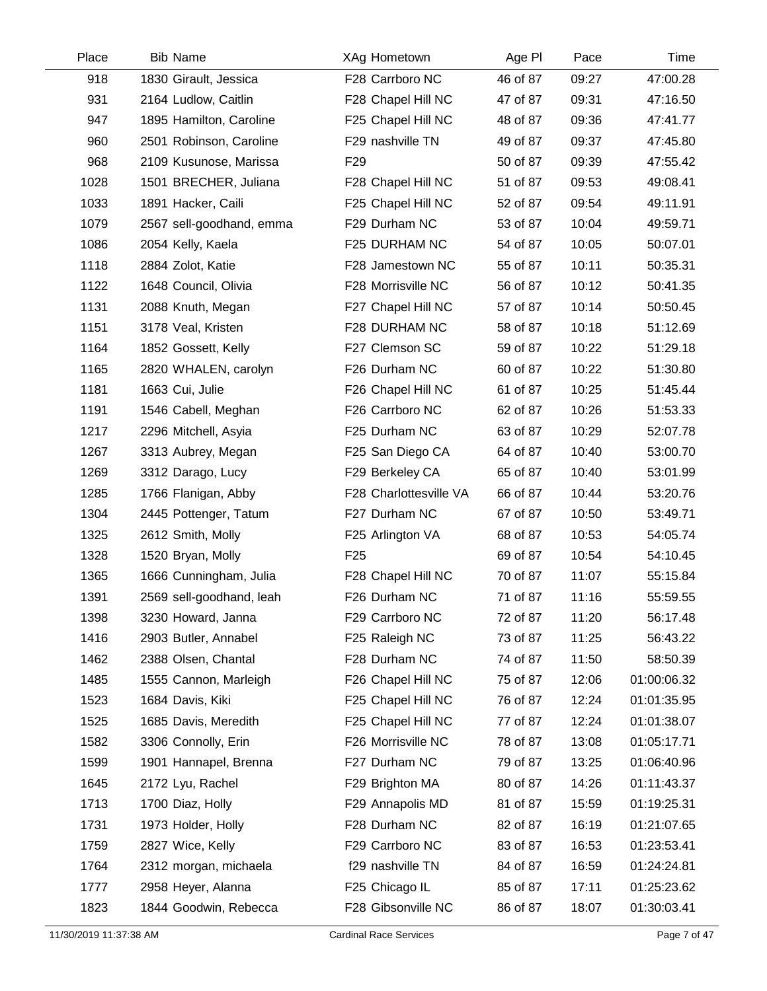| Place | <b>Bib Name</b>          | XAg Hometown           | Age PI   | Pace  | Time        |
|-------|--------------------------|------------------------|----------|-------|-------------|
| 918   | 1830 Girault, Jessica    | F28 Carrboro NC        | 46 of 87 | 09:27 | 47:00.28    |
| 931   | 2164 Ludlow, Caitlin     | F28 Chapel Hill NC     | 47 of 87 | 09:31 | 47:16.50    |
| 947   | 1895 Hamilton, Caroline  | F25 Chapel Hill NC     | 48 of 87 | 09:36 | 47:41.77    |
| 960   | 2501 Robinson, Caroline  | F29 nashville TN       | 49 of 87 | 09:37 | 47:45.80    |
| 968   | 2109 Kusunose, Marissa   | F <sub>29</sub>        | 50 of 87 | 09:39 | 47:55.42    |
| 1028  | 1501 BRECHER, Juliana    | F28 Chapel Hill NC     | 51 of 87 | 09:53 | 49:08.41    |
| 1033  | 1891 Hacker, Caili       | F25 Chapel Hill NC     | 52 of 87 | 09:54 | 49:11.91    |
| 1079  | 2567 sell-goodhand, emma | F29 Durham NC          | 53 of 87 | 10:04 | 49:59.71    |
| 1086  | 2054 Kelly, Kaela        | F25 DURHAM NC          | 54 of 87 | 10:05 | 50:07.01    |
| 1118  | 2884 Zolot, Katie        | F28 Jamestown NC       | 55 of 87 | 10:11 | 50:35.31    |
| 1122  | 1648 Council, Olivia     | F28 Morrisville NC     | 56 of 87 | 10:12 | 50:41.35    |
| 1131  | 2088 Knuth, Megan        | F27 Chapel Hill NC     | 57 of 87 | 10:14 | 50:50.45    |
| 1151  | 3178 Veal, Kristen       | F28 DURHAM NC          | 58 of 87 | 10:18 | 51:12.69    |
| 1164  | 1852 Gossett, Kelly      | F27 Clemson SC         | 59 of 87 | 10:22 | 51:29.18    |
| 1165  | 2820 WHALEN, carolyn     | F26 Durham NC          | 60 of 87 | 10:22 | 51:30.80    |
| 1181  | 1663 Cui, Julie          | F26 Chapel Hill NC     | 61 of 87 | 10:25 | 51:45.44    |
| 1191  | 1546 Cabell, Meghan      | F26 Carrboro NC        | 62 of 87 | 10:26 | 51:53.33    |
| 1217  | 2296 Mitchell, Asyia     | F25 Durham NC          | 63 of 87 | 10:29 | 52:07.78    |
| 1267  | 3313 Aubrey, Megan       | F25 San Diego CA       | 64 of 87 | 10:40 | 53:00.70    |
| 1269  | 3312 Darago, Lucy        | F29 Berkeley CA        | 65 of 87 | 10:40 | 53:01.99    |
| 1285  | 1766 Flanigan, Abby      | F28 Charlottesville VA | 66 of 87 | 10:44 | 53:20.76    |
| 1304  | 2445 Pottenger, Tatum    | F27 Durham NC          | 67 of 87 | 10:50 | 53:49.71    |
| 1325  | 2612 Smith, Molly        | F25 Arlington VA       | 68 of 87 | 10:53 | 54:05.74    |
| 1328  | 1520 Bryan, Molly        | F <sub>25</sub>        | 69 of 87 | 10:54 | 54:10.45    |
| 1365  | 1666 Cunningham, Julia   | F28 Chapel Hill NC     | 70 of 87 | 11:07 | 55:15.84    |
| 1391  | 2569 sell-goodhand, leah | F26 Durham NC          | 71 of 87 | 11:16 | 55:59.55    |
| 1398  | 3230 Howard, Janna       | F29 Carrboro NC        | 72 of 87 | 11:20 | 56:17.48    |
| 1416  | 2903 Butler, Annabel     | F25 Raleigh NC         | 73 of 87 | 11:25 | 56:43.22    |
| 1462  | 2388 Olsen, Chantal      | F28 Durham NC          | 74 of 87 | 11:50 | 58:50.39    |
| 1485  | 1555 Cannon, Marleigh    | F26 Chapel Hill NC     | 75 of 87 | 12:06 | 01:00:06.32 |
| 1523  | 1684 Davis, Kiki         | F25 Chapel Hill NC     | 76 of 87 | 12:24 | 01:01:35.95 |
| 1525  | 1685 Davis, Meredith     | F25 Chapel Hill NC     | 77 of 87 | 12:24 | 01:01:38.07 |
| 1582  | 3306 Connolly, Erin      | F26 Morrisville NC     | 78 of 87 | 13:08 | 01:05:17.71 |
| 1599  | 1901 Hannapel, Brenna    | F27 Durham NC          | 79 of 87 | 13:25 | 01:06:40.96 |
| 1645  | 2172 Lyu, Rachel         | F29 Brighton MA        | 80 of 87 | 14:26 | 01:11:43.37 |
| 1713  | 1700 Diaz, Holly         | F29 Annapolis MD       | 81 of 87 | 15:59 | 01:19:25.31 |
| 1731  | 1973 Holder, Holly       | F28 Durham NC          | 82 of 87 | 16:19 | 01:21:07.65 |
| 1759  | 2827 Wice, Kelly         | F29 Carrboro NC        | 83 of 87 | 16:53 | 01:23:53.41 |
| 1764  | 2312 morgan, michaela    | f29 nashville TN       | 84 of 87 | 16:59 | 01:24:24.81 |
| 1777  | 2958 Heyer, Alanna       | F25 Chicago IL         | 85 of 87 | 17:11 | 01:25:23.62 |
| 1823  | 1844 Goodwin, Rebecca    | F28 Gibsonville NC     | 86 of 87 | 18:07 | 01:30:03.41 |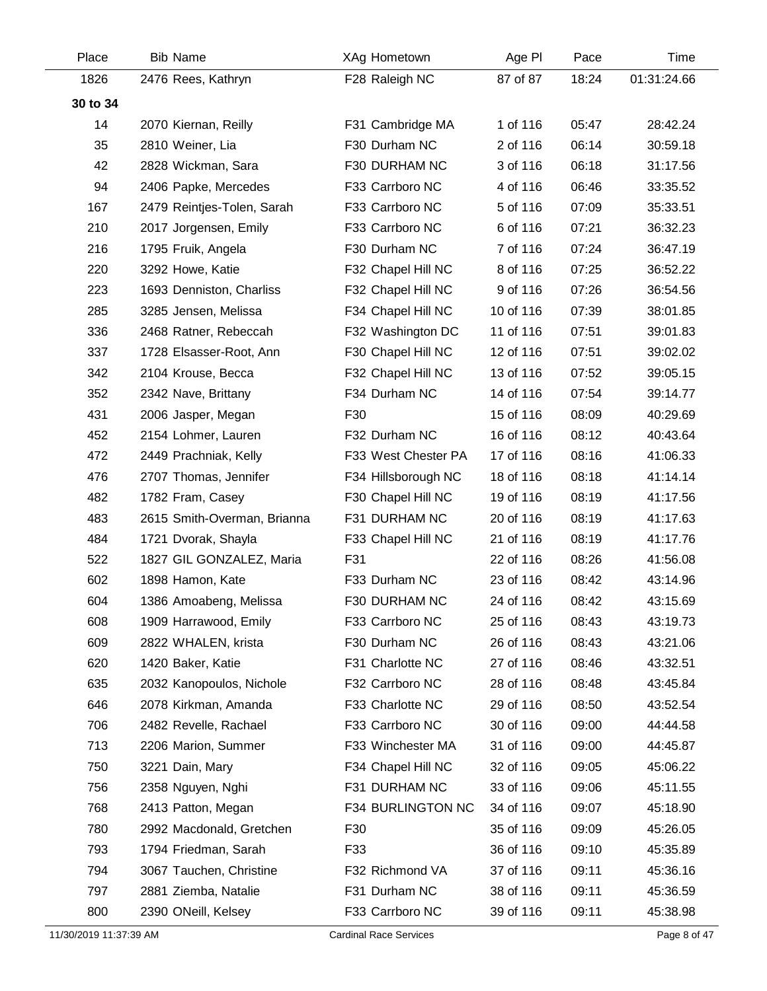| Place    | <b>Bib Name</b>             | XAg Hometown        | Age PI    | Pace  | Time        |
|----------|-----------------------------|---------------------|-----------|-------|-------------|
| 1826     | 2476 Rees, Kathryn          | F28 Raleigh NC      | 87 of 87  | 18:24 | 01:31:24.66 |
| 30 to 34 |                             |                     |           |       |             |
| 14       | 2070 Kiernan, Reilly        | F31 Cambridge MA    | 1 of 116  | 05:47 | 28:42.24    |
| 35       | 2810 Weiner, Lia            | F30 Durham NC       | 2 of 116  | 06:14 | 30:59.18    |
| 42       | 2828 Wickman, Sara          | F30 DURHAM NC       | 3 of 116  | 06:18 | 31:17.56    |
| 94       | 2406 Papke, Mercedes        | F33 Carrboro NC     | 4 of 116  | 06:46 | 33:35.52    |
| 167      | 2479 Reintjes-Tolen, Sarah  | F33 Carrboro NC     | 5 of 116  | 07:09 | 35:33.51    |
| 210      | 2017 Jorgensen, Emily       | F33 Carrboro NC     | 6 of 116  | 07:21 | 36:32.23    |
| 216      | 1795 Fruik, Angela          | F30 Durham NC       | 7 of 116  | 07:24 | 36:47.19    |
| 220      | 3292 Howe, Katie            | F32 Chapel Hill NC  | 8 of 116  | 07:25 | 36:52.22    |
| 223      | 1693 Denniston, Charliss    | F32 Chapel Hill NC  | 9 of 116  | 07:26 | 36:54.56    |
| 285      | 3285 Jensen, Melissa        | F34 Chapel Hill NC  | 10 of 116 | 07:39 | 38:01.85    |
| 336      | 2468 Ratner, Rebeccah       | F32 Washington DC   | 11 of 116 | 07:51 | 39:01.83    |
| 337      | 1728 Elsasser-Root, Ann     | F30 Chapel Hill NC  | 12 of 116 | 07:51 | 39:02.02    |
| 342      | 2104 Krouse, Becca          | F32 Chapel Hill NC  | 13 of 116 | 07:52 | 39:05.15    |
| 352      | 2342 Nave, Brittany         | F34 Durham NC       | 14 of 116 | 07:54 | 39:14.77    |
| 431      | 2006 Jasper, Megan          | F30                 | 15 of 116 | 08:09 | 40:29.69    |
| 452      | 2154 Lohmer, Lauren         | F32 Durham NC       | 16 of 116 | 08:12 | 40:43.64    |
| 472      | 2449 Prachniak, Kelly       | F33 West Chester PA | 17 of 116 | 08:16 | 41:06.33    |
| 476      | 2707 Thomas, Jennifer       | F34 Hillsborough NC | 18 of 116 | 08:18 | 41:14.14    |
| 482      | 1782 Fram, Casey            | F30 Chapel Hill NC  | 19 of 116 | 08:19 | 41:17.56    |
| 483      | 2615 Smith-Overman, Brianna | F31 DURHAM NC       | 20 of 116 | 08:19 | 41:17.63    |
| 484      | 1721 Dvorak, Shayla         | F33 Chapel Hill NC  | 21 of 116 | 08:19 | 41:17.76    |
| 522      | 1827 GIL GONZALEZ, Maria    | F31                 | 22 of 116 | 08:26 | 41:56.08    |
| 602      | 1898 Hamon, Kate            | F33 Durham NC       | 23 of 116 | 08:42 | 43:14.96    |
| 604      | 1386 Amoabeng, Melissa      | F30 DURHAM NC       | 24 of 116 | 08:42 | 43:15.69    |
| 608      | 1909 Harrawood, Emily       | F33 Carrboro NC     | 25 of 116 | 08:43 | 43:19.73    |
| 609      | 2822 WHALEN, krista         | F30 Durham NC       | 26 of 116 | 08:43 | 43:21.06    |
| 620      | 1420 Baker, Katie           | F31 Charlotte NC    | 27 of 116 | 08:46 | 43:32.51    |
| 635      | 2032 Kanopoulos, Nichole    | F32 Carrboro NC     | 28 of 116 | 08:48 | 43:45.84    |
| 646      | 2078 Kirkman, Amanda        | F33 Charlotte NC    | 29 of 116 | 08:50 | 43:52.54    |
| 706      | 2482 Revelle, Rachael       | F33 Carrboro NC     | 30 of 116 | 09:00 | 44:44.58    |
| 713      | 2206 Marion, Summer         | F33 Winchester MA   | 31 of 116 | 09:00 | 44:45.87    |
| 750      | 3221 Dain, Mary             | F34 Chapel Hill NC  | 32 of 116 | 09:05 | 45:06.22    |
| 756      | 2358 Nguyen, Nghi           | F31 DURHAM NC       | 33 of 116 | 09:06 | 45:11.55    |
| 768      | 2413 Patton, Megan          | F34 BURLINGTON NC   | 34 of 116 | 09:07 | 45:18.90    |
| 780      | 2992 Macdonald, Gretchen    | F30                 | 35 of 116 | 09:09 | 45:26.05    |
| 793      | 1794 Friedman, Sarah        | F33                 | 36 of 116 | 09:10 | 45:35.89    |
| 794      | 3067 Tauchen, Christine     | F32 Richmond VA     | 37 of 116 | 09:11 | 45:36.16    |
| 797      | 2881 Ziemba, Natalie        | F31 Durham NC       | 38 of 116 | 09:11 | 45:36.59    |
| 800      | 2390 ONeill, Kelsey         | F33 Carrboro NC     | 39 of 116 | 09:11 | 45:38.98    |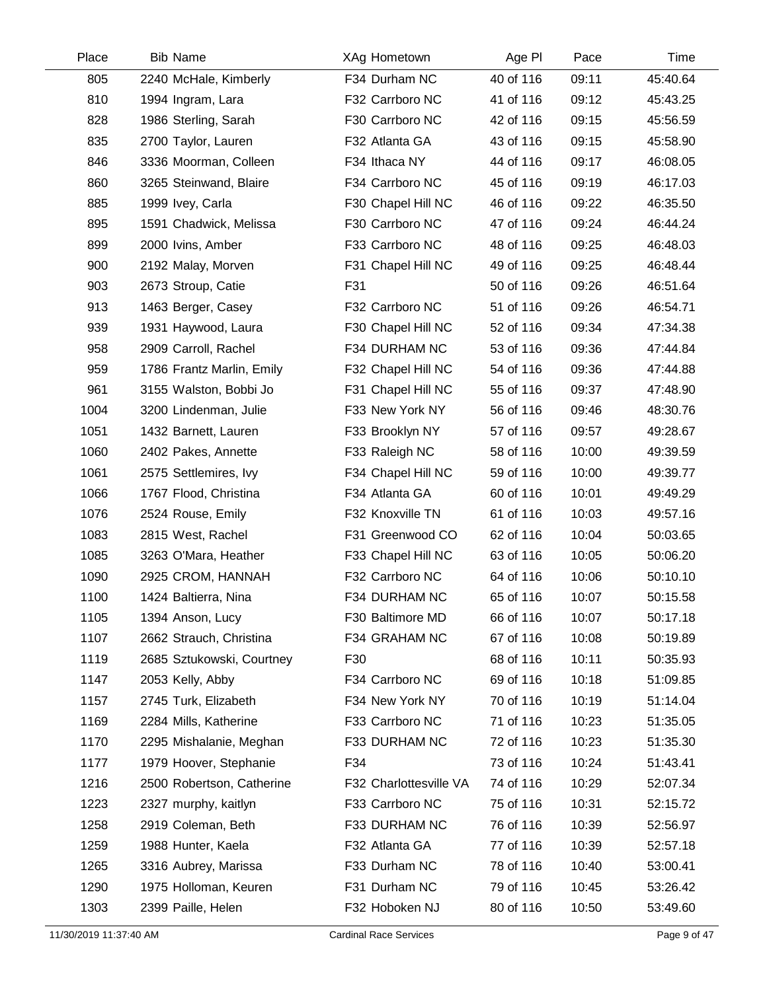| Place | <b>Bib Name</b>           | XAg Hometown           | Age PI    | Pace  | Time     |
|-------|---------------------------|------------------------|-----------|-------|----------|
| 805   | 2240 McHale, Kimberly     | F34 Durham NC          | 40 of 116 | 09:11 | 45:40.64 |
| 810   | 1994 Ingram, Lara         | F32 Carrboro NC        | 41 of 116 | 09:12 | 45:43.25 |
| 828   | 1986 Sterling, Sarah      | F30 Carrboro NC        | 42 of 116 | 09:15 | 45:56.59 |
| 835   | 2700 Taylor, Lauren       | F32 Atlanta GA         | 43 of 116 | 09:15 | 45:58.90 |
| 846   | 3336 Moorman, Colleen     | F34 Ithaca NY          | 44 of 116 | 09:17 | 46:08.05 |
| 860   | 3265 Steinwand, Blaire    | F34 Carrboro NC        | 45 of 116 | 09:19 | 46:17.03 |
| 885   | 1999 Ivey, Carla          | F30 Chapel Hill NC     | 46 of 116 | 09:22 | 46:35.50 |
| 895   | 1591 Chadwick, Melissa    | F30 Carrboro NC        | 47 of 116 | 09:24 | 46:44.24 |
| 899   | 2000 Ivins, Amber         | F33 Carrboro NC        | 48 of 116 | 09:25 | 46:48.03 |
| 900   | 2192 Malay, Morven        | F31 Chapel Hill NC     | 49 of 116 | 09:25 | 46:48.44 |
| 903   | 2673 Stroup, Catie        | F31                    | 50 of 116 | 09:26 | 46:51.64 |
| 913   | 1463 Berger, Casey        | F32 Carrboro NC        | 51 of 116 | 09:26 | 46:54.71 |
| 939   | 1931 Haywood, Laura       | F30 Chapel Hill NC     | 52 of 116 | 09:34 | 47:34.38 |
| 958   | 2909 Carroll, Rachel      | F34 DURHAM NC          | 53 of 116 | 09:36 | 47:44.84 |
| 959   | 1786 Frantz Marlin, Emily | F32 Chapel Hill NC     | 54 of 116 | 09:36 | 47:44.88 |
| 961   | 3155 Walston, Bobbi Jo    | F31 Chapel Hill NC     | 55 of 116 | 09:37 | 47:48.90 |
| 1004  | 3200 Lindenman, Julie     | F33 New York NY        | 56 of 116 | 09:46 | 48:30.76 |
| 1051  | 1432 Barnett, Lauren      | F33 Brooklyn NY        | 57 of 116 | 09:57 | 49:28.67 |
| 1060  | 2402 Pakes, Annette       | F33 Raleigh NC         | 58 of 116 | 10:00 | 49:39.59 |
| 1061  | 2575 Settlemires, Ivy     | F34 Chapel Hill NC     | 59 of 116 | 10:00 | 49:39.77 |
| 1066  | 1767 Flood, Christina     | F34 Atlanta GA         | 60 of 116 | 10:01 | 49:49.29 |
| 1076  | 2524 Rouse, Emily         | F32 Knoxville TN       | 61 of 116 | 10:03 | 49:57.16 |
| 1083  | 2815 West, Rachel         | F31 Greenwood CO       | 62 of 116 | 10:04 | 50:03.65 |
| 1085  | 3263 O'Mara, Heather      | F33 Chapel Hill NC     | 63 of 116 | 10:05 | 50:06.20 |
| 1090  | 2925 CROM, HANNAH         | F32 Carrboro NC        | 64 of 116 | 10:06 | 50:10.10 |
| 1100  | 1424 Baltierra, Nina      | F34 DURHAM NC          | 65 of 116 | 10:07 | 50:15.58 |
| 1105  | 1394 Anson, Lucy          | F30 Baltimore MD       | 66 of 116 | 10:07 | 50:17.18 |
| 1107  | 2662 Strauch, Christina   | F34 GRAHAM NC          | 67 of 116 | 10:08 | 50:19.89 |
| 1119  | 2685 Sztukowski, Courtney | F30                    | 68 of 116 | 10:11 | 50:35.93 |
| 1147  | 2053 Kelly, Abby          | F34 Carrboro NC        | 69 of 116 | 10:18 | 51:09.85 |
| 1157  | 2745 Turk, Elizabeth      | F34 New York NY        | 70 of 116 | 10:19 | 51:14.04 |
| 1169  | 2284 Mills, Katherine     | F33 Carrboro NC        | 71 of 116 | 10:23 | 51:35.05 |
| 1170  | 2295 Mishalanie, Meghan   | F33 DURHAM NC          | 72 of 116 | 10:23 | 51:35.30 |
| 1177  | 1979 Hoover, Stephanie    | F34                    | 73 of 116 | 10:24 | 51:43.41 |
| 1216  | 2500 Robertson, Catherine | F32 Charlottesville VA | 74 of 116 | 10:29 | 52:07.34 |
| 1223  | 2327 murphy, kaitlyn      | F33 Carrboro NC        | 75 of 116 | 10:31 | 52:15.72 |
| 1258  | 2919 Coleman, Beth        | F33 DURHAM NC          | 76 of 116 | 10:39 | 52:56.97 |
| 1259  | 1988 Hunter, Kaela        | F32 Atlanta GA         | 77 of 116 | 10:39 | 52:57.18 |
| 1265  | 3316 Aubrey, Marissa      | F33 Durham NC          | 78 of 116 | 10:40 | 53:00.41 |
| 1290  | 1975 Holloman, Keuren     | F31 Durham NC          | 79 of 116 | 10:45 | 53:26.42 |
| 1303  | 2399 Paille, Helen        | F32 Hoboken NJ         | 80 of 116 | 10:50 | 53:49.60 |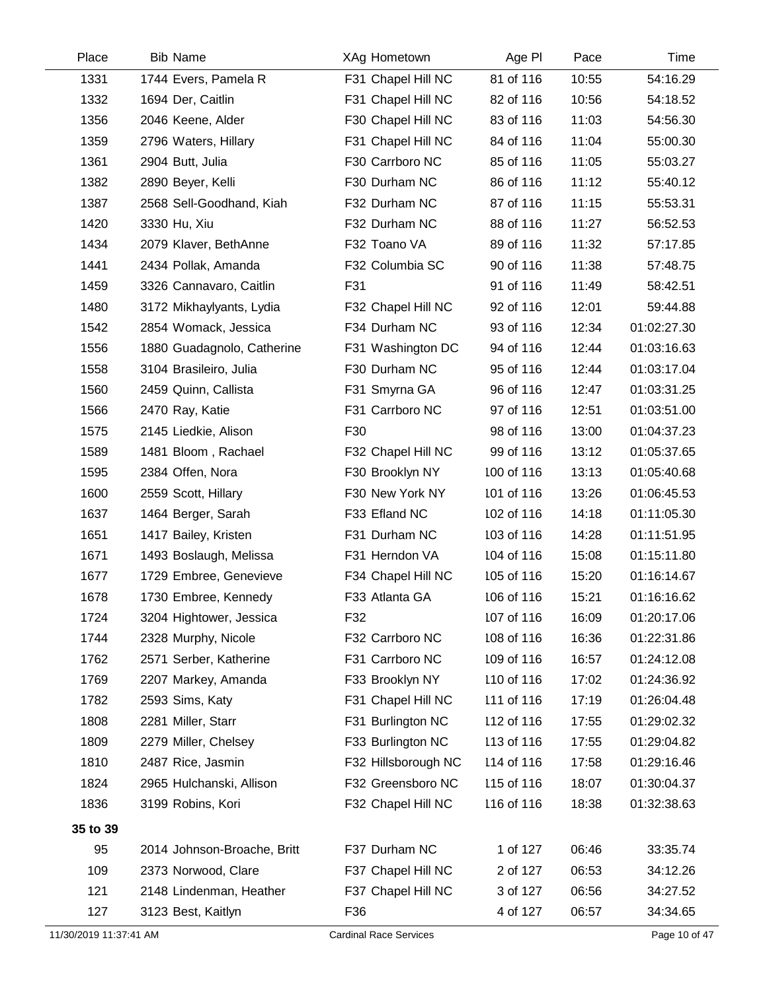| Place    | <b>Bib Name</b>             | XAg Hometown        | Age PI     | Pace  | Time        |
|----------|-----------------------------|---------------------|------------|-------|-------------|
| 1331     | 1744 Evers, Pamela R        | F31 Chapel Hill NC  | 81 of 116  | 10:55 | 54:16.29    |
| 1332     | 1694 Der, Caitlin           | F31 Chapel Hill NC  | 82 of 116  | 10:56 | 54:18.52    |
| 1356     | 2046 Keene, Alder           | F30 Chapel Hill NC  | 83 of 116  | 11:03 | 54:56.30    |
| 1359     | 2796 Waters, Hillary        | F31 Chapel Hill NC  | 84 of 116  | 11:04 | 55:00.30    |
| 1361     | 2904 Butt, Julia            | F30 Carrboro NC     | 85 of 116  | 11:05 | 55:03.27    |
| 1382     | 2890 Beyer, Kelli           | F30 Durham NC       | 86 of 116  | 11:12 | 55:40.12    |
| 1387     | 2568 Sell-Goodhand, Kiah    | F32 Durham NC       | 87 of 116  | 11:15 | 55:53.31    |
| 1420     | 3330 Hu, Xiu                | F32 Durham NC       | 88 of 116  | 11:27 | 56:52.53    |
| 1434     | 2079 Klaver, BethAnne       | F32 Toano VA        | 89 of 116  | 11:32 | 57:17.85    |
| 1441     | 2434 Pollak, Amanda         | F32 Columbia SC     | 90 of 116  | 11:38 | 57:48.75    |
| 1459     | 3326 Cannavaro, Caitlin     | F31                 | 91 of 116  | 11:49 | 58:42.51    |
| 1480     | 3172 Mikhaylyants, Lydia    | F32 Chapel Hill NC  | 92 of 116  | 12:01 | 59:44.88    |
| 1542     | 2854 Womack, Jessica        | F34 Durham NC       | 93 of 116  | 12:34 | 01:02:27.30 |
| 1556     | 1880 Guadagnolo, Catherine  | F31 Washington DC   | 94 of 116  | 12:44 | 01:03:16.63 |
| 1558     | 3104 Brasileiro, Julia      | F30 Durham NC       | 95 of 116  | 12:44 | 01:03:17.04 |
| 1560     | 2459 Quinn, Callista        | F31 Smyrna GA       | 96 of 116  | 12:47 | 01:03:31.25 |
| 1566     | 2470 Ray, Katie             | F31 Carrboro NC     | 97 of 116  | 12:51 | 01:03:51.00 |
| 1575     | 2145 Liedkie, Alison        | F30                 | 98 of 116  | 13:00 | 01:04:37.23 |
| 1589     | 1481 Bloom, Rachael         | F32 Chapel Hill NC  | 99 of 116  | 13:12 | 01:05:37.65 |
| 1595     | 2384 Offen, Nora            | F30 Brooklyn NY     | 100 of 116 | 13:13 | 01:05:40.68 |
| 1600     | 2559 Scott, Hillary         | F30 New York NY     | 101 of 116 | 13:26 | 01:06:45.53 |
| 1637     | 1464 Berger, Sarah          | F33 Efland NC       | 102 of 116 | 14:18 | 01:11:05.30 |
| 1651     | 1417 Bailey, Kristen        | F31 Durham NC       | 103 of 116 | 14:28 | 01:11:51.95 |
| 1671     | 1493 Boslaugh, Melissa      | F31 Herndon VA      | 104 of 116 | 15:08 | 01:15:11.80 |
| 1677     | 1729 Embree, Genevieve      | F34 Chapel Hill NC  | 105 of 116 | 15:20 | 01:16:14.67 |
| 1678     | 1730 Embree, Kennedy        | F33 Atlanta GA      | 106 of 116 | 15:21 | 01:16:16.62 |
| 1724     | 3204 Hightower, Jessica     | F32                 | 107 of 116 | 16:09 | 01:20:17.06 |
| 1744     | 2328 Murphy, Nicole         | F32 Carrboro NC     | 108 of 116 | 16:36 | 01:22:31.86 |
| 1762     | 2571 Serber, Katherine      | F31 Carrboro NC     | 109 of 116 | 16:57 | 01:24:12.08 |
| 1769     | 2207 Markey, Amanda         | F33 Brooklyn NY     | 110 of 116 | 17:02 | 01:24:36.92 |
| 1782     | 2593 Sims, Katy             | F31 Chapel Hill NC  | 111 of 116 | 17:19 | 01:26:04.48 |
| 1808     | 2281 Miller, Starr          | F31 Burlington NC   | 112 of 116 | 17:55 | 01:29:02.32 |
| 1809     | 2279 Miller, Chelsey        | F33 Burlington NC   | 113 of 116 | 17:55 | 01:29:04.82 |
| 1810     | 2487 Rice, Jasmin           | F32 Hillsborough NC | 114 of 116 | 17:58 | 01:29:16.46 |
| 1824     | 2965 Hulchanski, Allison    | F32 Greensboro NC   | 115 of 116 | 18:07 | 01:30:04.37 |
| 1836     | 3199 Robins, Kori           | F32 Chapel Hill NC  | 116 of 116 | 18:38 | 01:32:38.63 |
| 35 to 39 |                             |                     |            |       |             |
| 95       | 2014 Johnson-Broache, Britt | F37 Durham NC       | 1 of 127   | 06:46 | 33:35.74    |
| 109      | 2373 Norwood, Clare         | F37 Chapel Hill NC  | 2 of 127   | 06:53 | 34:12.26    |
| 121      | 2148 Lindenman, Heather     | F37 Chapel Hill NC  | 3 of 127   | 06:56 | 34:27.52    |
| 127      | 3123 Best, Kaitlyn          | F36                 | 4 of 127   | 06:57 | 34:34.65    |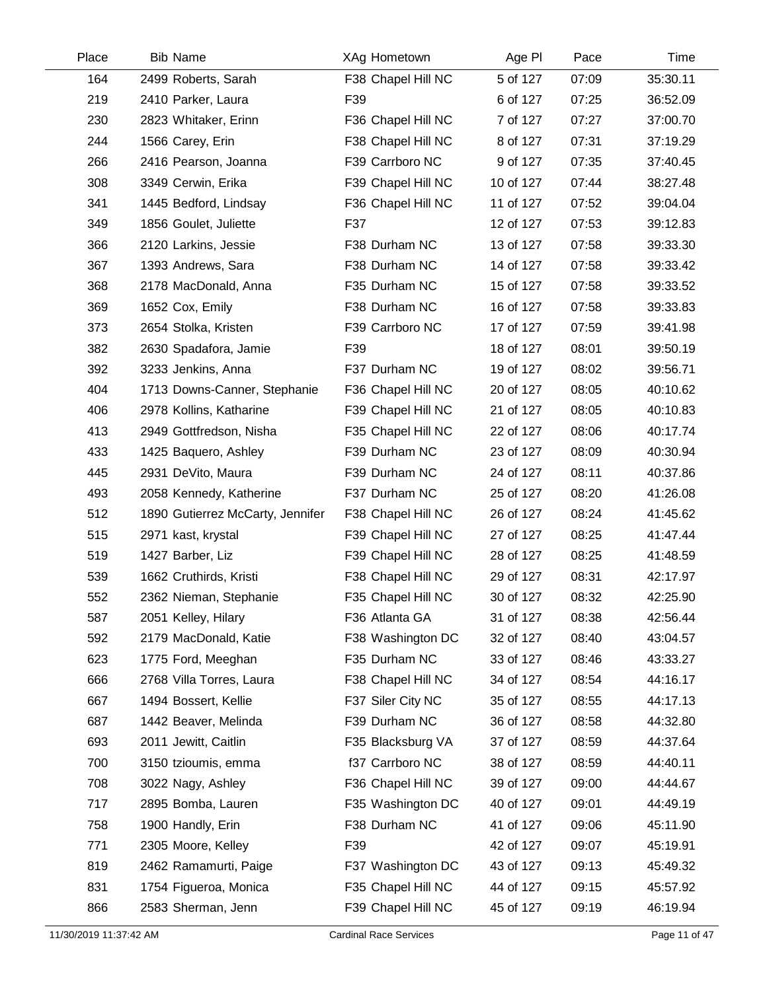| Place | <b>Bib Name</b>                  | XAg Hometown       | Age PI    | Pace  | Time     |
|-------|----------------------------------|--------------------|-----------|-------|----------|
| 164   | 2499 Roberts, Sarah              | F38 Chapel Hill NC | 5 of 127  | 07:09 | 35:30.11 |
| 219   | 2410 Parker, Laura               | F39                | 6 of 127  | 07:25 | 36:52.09 |
| 230   | 2823 Whitaker, Erinn             | F36 Chapel Hill NC | 7 of 127  | 07:27 | 37:00.70 |
| 244   | 1566 Carey, Erin                 | F38 Chapel Hill NC | 8 of 127  | 07:31 | 37:19.29 |
| 266   | 2416 Pearson, Joanna             | F39 Carrboro NC    | 9 of 127  | 07:35 | 37:40.45 |
| 308   | 3349 Cerwin, Erika               | F39 Chapel Hill NC | 10 of 127 | 07:44 | 38:27.48 |
| 341   | 1445 Bedford, Lindsay            | F36 Chapel Hill NC | 11 of 127 | 07:52 | 39:04.04 |
| 349   | 1856 Goulet, Juliette            | F37                | 12 of 127 | 07:53 | 39:12.83 |
| 366   | 2120 Larkins, Jessie             | F38 Durham NC      | 13 of 127 | 07:58 | 39:33.30 |
| 367   | 1393 Andrews, Sara               | F38 Durham NC      | 14 of 127 | 07:58 | 39:33.42 |
| 368   | 2178 MacDonald, Anna             | F35 Durham NC      | 15 of 127 | 07:58 | 39:33.52 |
| 369   | 1652 Cox, Emily                  | F38 Durham NC      | 16 of 127 | 07:58 | 39:33.83 |
| 373   | 2654 Stolka, Kristen             | F39 Carrboro NC    | 17 of 127 | 07:59 | 39:41.98 |
| 382   | 2630 Spadafora, Jamie            | F39                | 18 of 127 | 08:01 | 39:50.19 |
| 392   | 3233 Jenkins, Anna               | F37 Durham NC      | 19 of 127 | 08:02 | 39:56.71 |
| 404   | 1713 Downs-Canner, Stephanie     | F36 Chapel Hill NC | 20 of 127 | 08:05 | 40:10.62 |
| 406   | 2978 Kollins, Katharine          | F39 Chapel Hill NC | 21 of 127 | 08:05 | 40:10.83 |
| 413   | 2949 Gottfredson, Nisha          | F35 Chapel Hill NC | 22 of 127 | 08:06 | 40:17.74 |
| 433   | 1425 Baquero, Ashley             | F39 Durham NC      | 23 of 127 | 08:09 | 40:30.94 |
| 445   | 2931 DeVito, Maura               | F39 Durham NC      | 24 of 127 | 08:11 | 40:37.86 |
| 493   | 2058 Kennedy, Katherine          | F37 Durham NC      | 25 of 127 | 08:20 | 41:26.08 |
| 512   | 1890 Gutierrez McCarty, Jennifer | F38 Chapel Hill NC | 26 of 127 | 08:24 | 41:45.62 |
| 515   | 2971 kast, krystal               | F39 Chapel Hill NC | 27 of 127 | 08:25 | 41:47.44 |
| 519   | 1427 Barber, Liz                 | F39 Chapel Hill NC | 28 of 127 | 08:25 | 41:48.59 |
| 539   | 1662 Cruthirds, Kristi           | F38 Chapel Hill NC | 29 of 127 | 08:31 | 42:17.97 |
| 552   | 2362 Nieman, Stephanie           | F35 Chapel Hill NC | 30 of 127 | 08:32 | 42:25.90 |
| 587   | 2051 Kelley, Hilary              | F36 Atlanta GA     | 31 of 127 | 08:38 | 42:56.44 |
| 592   | 2179 MacDonald, Katie            | F38 Washington DC  | 32 of 127 | 08:40 | 43:04.57 |
| 623   | 1775 Ford, Meeghan               | F35 Durham NC      | 33 of 127 | 08:46 | 43:33.27 |
| 666   | 2768 Villa Torres, Laura         | F38 Chapel Hill NC | 34 of 127 | 08:54 | 44:16.17 |
| 667   | 1494 Bossert, Kellie             | F37 Siler City NC  | 35 of 127 | 08:55 | 44:17.13 |
| 687   | 1442 Beaver, Melinda             | F39 Durham NC      | 36 of 127 | 08:58 | 44:32.80 |
| 693   | 2011 Jewitt, Caitlin             | F35 Blacksburg VA  | 37 of 127 | 08:59 | 44:37.64 |
| 700   | 3150 tzioumis, emma              | f37 Carrboro NC    | 38 of 127 | 08:59 | 44:40.11 |
| 708   | 3022 Nagy, Ashley                | F36 Chapel Hill NC | 39 of 127 | 09:00 | 44:44.67 |
| 717   | 2895 Bomba, Lauren               | F35 Washington DC  | 40 of 127 | 09:01 | 44:49.19 |
| 758   | 1900 Handly, Erin                | F38 Durham NC      | 41 of 127 | 09:06 | 45:11.90 |
| 771   | 2305 Moore, Kelley               | F39                | 42 of 127 | 09:07 | 45:19.91 |
| 819   | 2462 Ramamurti, Paige            | F37 Washington DC  | 43 of 127 | 09:13 | 45:49.32 |
| 831   | 1754 Figueroa, Monica            | F35 Chapel Hill NC | 44 of 127 | 09:15 | 45:57.92 |
| 866   | 2583 Sherman, Jenn               | F39 Chapel Hill NC | 45 of 127 | 09:19 | 46:19.94 |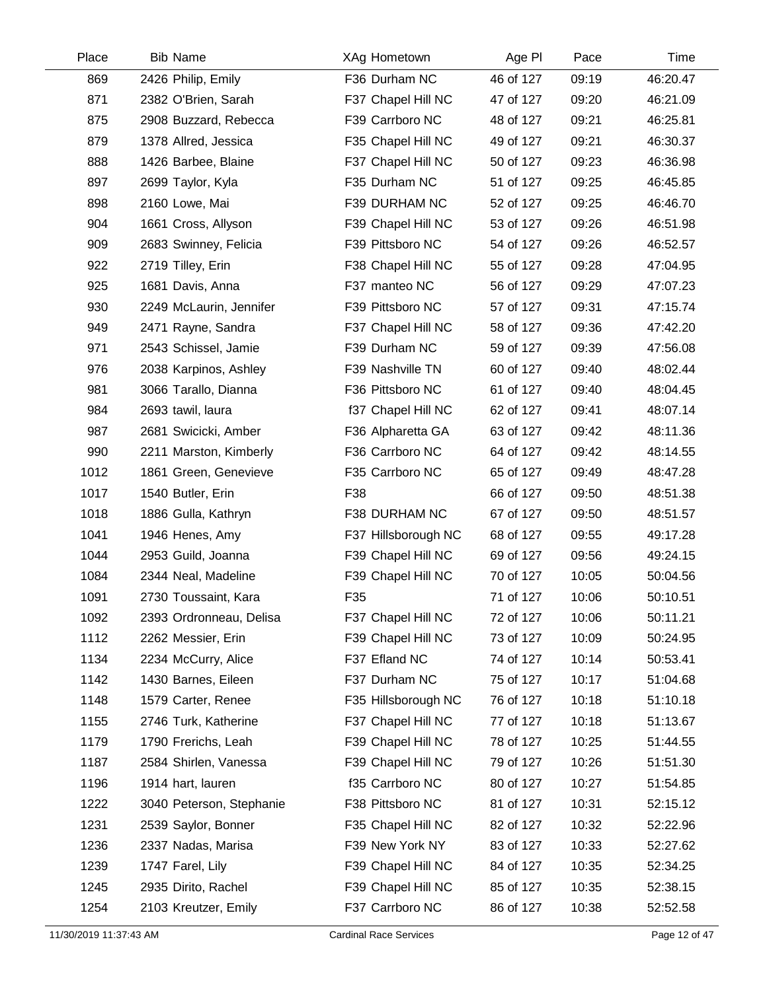| Place | <b>Bib Name</b>          | XAg Hometown        | Age PI    | Pace  | Time     |
|-------|--------------------------|---------------------|-----------|-------|----------|
| 869   | 2426 Philip, Emily       | F36 Durham NC       | 46 of 127 | 09:19 | 46:20.47 |
| 871   | 2382 O'Brien, Sarah      | F37 Chapel Hill NC  | 47 of 127 | 09:20 | 46:21.09 |
| 875   | 2908 Buzzard, Rebecca    | F39 Carrboro NC     | 48 of 127 | 09:21 | 46:25.81 |
| 879   | 1378 Allred, Jessica     | F35 Chapel Hill NC  | 49 of 127 | 09:21 | 46:30.37 |
| 888   | 1426 Barbee, Blaine      | F37 Chapel Hill NC  | 50 of 127 | 09:23 | 46:36.98 |
| 897   | 2699 Taylor, Kyla        | F35 Durham NC       | 51 of 127 | 09:25 | 46:45.85 |
| 898   | 2160 Lowe, Mai           | F39 DURHAM NC       | 52 of 127 | 09:25 | 46:46.70 |
| 904   | 1661 Cross, Allyson      | F39 Chapel Hill NC  | 53 of 127 | 09:26 | 46:51.98 |
| 909   | 2683 Swinney, Felicia    | F39 Pittsboro NC    | 54 of 127 | 09:26 | 46:52.57 |
| 922   | 2719 Tilley, Erin        | F38 Chapel Hill NC  | 55 of 127 | 09:28 | 47:04.95 |
| 925   | 1681 Davis, Anna         | F37 manteo NC       | 56 of 127 | 09:29 | 47:07.23 |
| 930   | 2249 McLaurin, Jennifer  | F39 Pittsboro NC    | 57 of 127 | 09:31 | 47:15.74 |
| 949   | 2471 Rayne, Sandra       | F37 Chapel Hill NC  | 58 of 127 | 09:36 | 47:42.20 |
| 971   | 2543 Schissel, Jamie     | F39 Durham NC       | 59 of 127 | 09:39 | 47:56.08 |
| 976   | 2038 Karpinos, Ashley    | F39 Nashville TN    | 60 of 127 | 09:40 | 48:02.44 |
| 981   | 3066 Tarallo, Dianna     | F36 Pittsboro NC    | 61 of 127 | 09:40 | 48:04.45 |
| 984   | 2693 tawil, laura        | f37 Chapel Hill NC  | 62 of 127 | 09:41 | 48:07.14 |
| 987   | 2681 Swicicki, Amber     | F36 Alpharetta GA   | 63 of 127 | 09:42 | 48:11.36 |
| 990   | 2211 Marston, Kimberly   | F36 Carrboro NC     | 64 of 127 | 09:42 | 48:14.55 |
| 1012  | 1861 Green, Genevieve    | F35 Carrboro NC     | 65 of 127 | 09:49 | 48:47.28 |
| 1017  | 1540 Butler, Erin        | F38                 | 66 of 127 | 09:50 | 48:51.38 |
| 1018  | 1886 Gulla, Kathryn      | F38 DURHAM NC       | 67 of 127 | 09:50 | 48:51.57 |
| 1041  | 1946 Henes, Amy          | F37 Hillsborough NC | 68 of 127 | 09:55 | 49:17.28 |
| 1044  | 2953 Guild, Joanna       | F39 Chapel Hill NC  | 69 of 127 | 09:56 | 49:24.15 |
| 1084  | 2344 Neal, Madeline      | F39 Chapel Hill NC  | 70 of 127 | 10:05 | 50:04.56 |
| 1091  | 2730 Toussaint, Kara     | F35                 | 71 of 127 | 10:06 | 50:10.51 |
| 1092  | 2393 Ordronneau, Delisa  | F37 Chapel Hill NC  | 72 of 127 | 10:06 | 50:11.21 |
| 1112  | 2262 Messier, Erin       | F39 Chapel Hill NC  | 73 of 127 | 10:09 | 50:24.95 |
| 1134  | 2234 McCurry, Alice      | F37 Efland NC       | 74 of 127 | 10:14 | 50:53.41 |
| 1142  | 1430 Barnes, Eileen      | F37 Durham NC       | 75 of 127 | 10:17 | 51:04.68 |
| 1148  | 1579 Carter, Renee       | F35 Hillsborough NC | 76 of 127 | 10:18 | 51:10.18 |
| 1155  | 2746 Turk, Katherine     | F37 Chapel Hill NC  | 77 of 127 | 10:18 | 51:13.67 |
| 1179  | 1790 Frerichs, Leah      | F39 Chapel Hill NC  | 78 of 127 | 10:25 | 51:44.55 |
| 1187  | 2584 Shirlen, Vanessa    | F39 Chapel Hill NC  | 79 of 127 | 10:26 | 51:51.30 |
| 1196  | 1914 hart, lauren        | f35 Carrboro NC     | 80 of 127 | 10:27 | 51:54.85 |
| 1222  | 3040 Peterson, Stephanie | F38 Pittsboro NC    | 81 of 127 | 10:31 | 52:15.12 |
| 1231  | 2539 Saylor, Bonner      | F35 Chapel Hill NC  | 82 of 127 | 10:32 | 52:22.96 |
| 1236  | 2337 Nadas, Marisa       | F39 New York NY     | 83 of 127 | 10:33 | 52:27.62 |
| 1239  | 1747 Farel, Lily         | F39 Chapel Hill NC  | 84 of 127 | 10:35 | 52:34.25 |
| 1245  | 2935 Dirito, Rachel      | F39 Chapel Hill NC  | 85 of 127 | 10:35 | 52:38.15 |
| 1254  | 2103 Kreutzer, Emily     | F37 Carrboro NC     | 86 of 127 | 10:38 | 52:52.58 |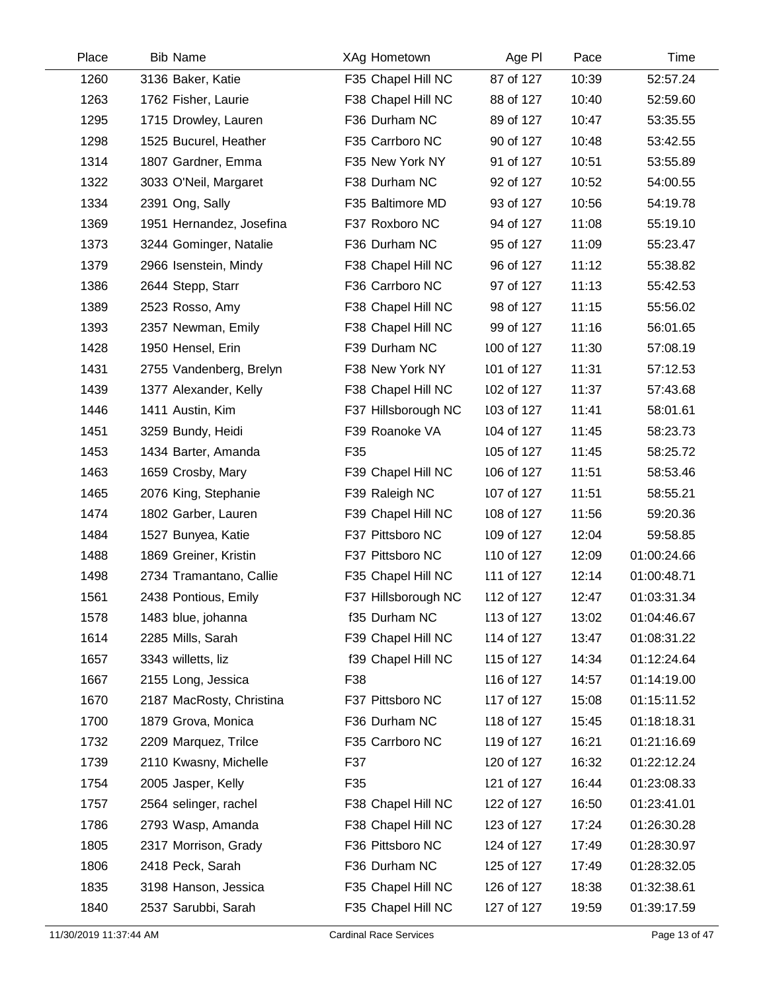| Place | <b>Bib Name</b>          | XAg Hometown        | Age PI     | Pace  | Time        |
|-------|--------------------------|---------------------|------------|-------|-------------|
| 1260  | 3136 Baker, Katie        | F35 Chapel Hill NC  | 87 of 127  | 10:39 | 52:57.24    |
| 1263  | 1762 Fisher, Laurie      | F38 Chapel Hill NC  | 88 of 127  | 10:40 | 52:59.60    |
| 1295  | 1715 Drowley, Lauren     | F36 Durham NC       | 89 of 127  | 10:47 | 53:35.55    |
| 1298  | 1525 Bucurel, Heather    | F35 Carrboro NC     | 90 of 127  | 10:48 | 53:42.55    |
| 1314  | 1807 Gardner, Emma       | F35 New York NY     | 91 of 127  | 10:51 | 53:55.89    |
| 1322  | 3033 O'Neil, Margaret    | F38 Durham NC       | 92 of 127  | 10:52 | 54:00.55    |
| 1334  | 2391 Ong, Sally          | F35 Baltimore MD    | 93 of 127  | 10:56 | 54:19.78    |
| 1369  | 1951 Hernandez, Josefina | F37 Roxboro NC      | 94 of 127  | 11:08 | 55:19.10    |
| 1373  | 3244 Gominger, Natalie   | F36 Durham NC       | 95 of 127  | 11:09 | 55:23.47    |
| 1379  | 2966 Isenstein, Mindy    | F38 Chapel Hill NC  | 96 of 127  | 11:12 | 55:38.82    |
| 1386  | 2644 Stepp, Starr        | F36 Carrboro NC     | 97 of 127  | 11:13 | 55:42.53    |
| 1389  | 2523 Rosso, Amy          | F38 Chapel Hill NC  | 98 of 127  | 11:15 | 55:56.02    |
| 1393  | 2357 Newman, Emily       | F38 Chapel Hill NC  | 99 of 127  | 11:16 | 56:01.65    |
| 1428  | 1950 Hensel, Erin        | F39 Durham NC       | 100 of 127 | 11:30 | 57:08.19    |
| 1431  | 2755 Vandenberg, Brelyn  | F38 New York NY     | 101 of 127 | 11:31 | 57:12.53    |
| 1439  | 1377 Alexander, Kelly    | F38 Chapel Hill NC  | 102 of 127 | 11:37 | 57:43.68    |
| 1446  | 1411 Austin, Kim         | F37 Hillsborough NC | 103 of 127 | 11:41 | 58:01.61    |
| 1451  | 3259 Bundy, Heidi        | F39 Roanoke VA      | 104 of 127 | 11:45 | 58:23.73    |
| 1453  | 1434 Barter, Amanda      | F35                 | 105 of 127 | 11:45 | 58:25.72    |
| 1463  | 1659 Crosby, Mary        | F39 Chapel Hill NC  | 106 of 127 | 11:51 | 58:53.46    |
| 1465  | 2076 King, Stephanie     | F39 Raleigh NC      | 107 of 127 | 11:51 | 58:55.21    |
| 1474  | 1802 Garber, Lauren      | F39 Chapel Hill NC  | 108 of 127 | 11:56 | 59:20.36    |
| 1484  | 1527 Bunyea, Katie       | F37 Pittsboro NC    | 109 of 127 | 12:04 | 59:58.85    |
| 1488  | 1869 Greiner, Kristin    | F37 Pittsboro NC    | 110 of 127 | 12:09 | 01:00:24.66 |
| 1498  | 2734 Tramantano, Callie  | F35 Chapel Hill NC  | 111 of 127 | 12:14 | 01:00:48.71 |
| 1561  | 2438 Pontious, Emily     | F37 Hillsborough NC | 112 of 127 | 12:47 | 01:03:31.34 |
| 1578  | 1483 blue, johanna       | f35 Durham NC       | 113 of 127 | 13:02 | 01:04:46.67 |
| 1614  | 2285 Mills, Sarah        | F39 Chapel Hill NC  | 114 of 127 | 13:47 | 01:08:31.22 |
| 1657  | 3343 willetts, liz       | f39 Chapel Hill NC  | 115 of 127 | 14:34 | 01:12:24.64 |
| 1667  | 2155 Long, Jessica       | F38                 | 116 of 127 | 14:57 | 01:14:19.00 |
| 1670  | 2187 MacRosty, Christina | F37 Pittsboro NC    | 117 of 127 | 15:08 | 01:15:11.52 |
| 1700  | 1879 Grova, Monica       | F36 Durham NC       | 118 of 127 | 15:45 | 01:18:18.31 |
| 1732  | 2209 Marquez, Trilce     | F35 Carrboro NC     | 119 of 127 | 16:21 | 01:21:16.69 |
| 1739  | 2110 Kwasny, Michelle    | F37                 | 120 of 127 | 16:32 | 01:22:12.24 |
| 1754  | 2005 Jasper, Kelly       | F35                 | 121 of 127 | 16:44 | 01:23:08.33 |
| 1757  | 2564 selinger, rachel    | F38 Chapel Hill NC  | 122 of 127 | 16:50 | 01:23:41.01 |
| 1786  | 2793 Wasp, Amanda        | F38 Chapel Hill NC  | 123 of 127 | 17:24 | 01:26:30.28 |
| 1805  | 2317 Morrison, Grady     | F36 Pittsboro NC    | 124 of 127 | 17:49 | 01:28:30.97 |
| 1806  | 2418 Peck, Sarah         | F36 Durham NC       | 125 of 127 | 17:49 | 01:28:32.05 |
| 1835  | 3198 Hanson, Jessica     | F35 Chapel Hill NC  | 126 of 127 | 18:38 | 01:32:38.61 |
| 1840  | 2537 Sarubbi, Sarah      | F35 Chapel Hill NC  | 127 of 127 | 19:59 | 01:39:17.59 |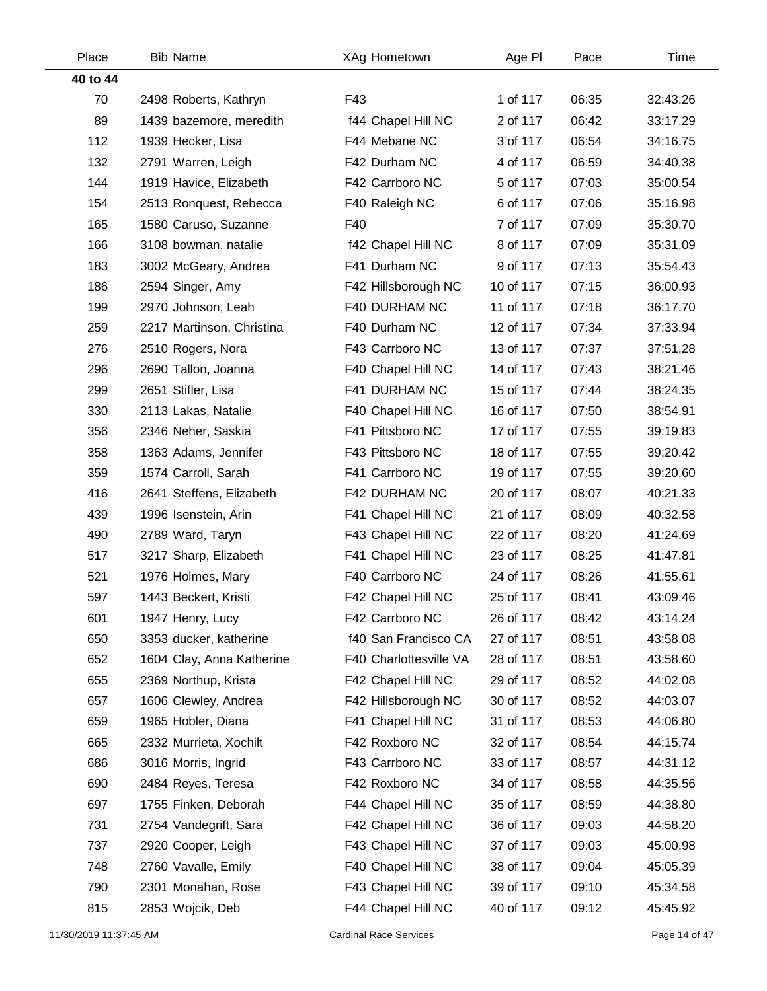| Place    | <b>Bib Name</b>           | XAg Hometown           | Age PI    | Pace  | Time     |
|----------|---------------------------|------------------------|-----------|-------|----------|
| 40 to 44 |                           |                        |           |       |          |
| 70       | 2498 Roberts, Kathryn     | F43                    | 1 of 117  | 06:35 | 32:43.26 |
| 89       | 1439 bazemore, meredith   | f44 Chapel Hill NC     | 2 of 117  | 06:42 | 33:17.29 |
| 112      | 1939 Hecker, Lisa         | F44 Mebane NC          | 3 of 117  | 06:54 | 34:16.75 |
| 132      | 2791 Warren, Leigh        | F42 Durham NC          | 4 of 117  | 06:59 | 34:40.38 |
| 144      | 1919 Havice, Elizabeth    | F42 Carrboro NC        | 5 of 117  | 07:03 | 35:00.54 |
| 154      | 2513 Ronquest, Rebecca    | F40 Raleigh NC         | 6 of 117  | 07:06 | 35:16.98 |
| 165      | 1580 Caruso, Suzanne      | F40                    | 7 of 117  | 07:09 | 35:30.70 |
| 166      | 3108 bowman, natalie      | f42 Chapel Hill NC     | 8 of 117  | 07:09 | 35:31.09 |
| 183      | 3002 McGeary, Andrea      | F41 Durham NC          | 9 of 117  | 07:13 | 35:54.43 |
| 186      | 2594 Singer, Amy          | F42 Hillsborough NC    | 10 of 117 | 07:15 | 36:00.93 |
| 199      | 2970 Johnson, Leah        | F40 DURHAM NC          | 11 of 117 | 07:18 | 36:17.70 |
| 259      | 2217 Martinson, Christina | F40 Durham NC          | 12 of 117 | 07:34 | 37:33.94 |
| 276      | 2510 Rogers, Nora         | F43 Carrboro NC        | 13 of 117 | 07:37 | 37:51.28 |
| 296      | 2690 Tallon, Joanna       | F40 Chapel Hill NC     | 14 of 117 | 07:43 | 38:21.46 |
| 299      | 2651 Stifler, Lisa        | F41 DURHAM NC          | 15 of 117 | 07:44 | 38:24.35 |
| 330      | 2113 Lakas, Natalie       | F40 Chapel Hill NC     | 16 of 117 | 07:50 | 38:54.91 |
| 356      | 2346 Neher, Saskia        | F41 Pittsboro NC       | 17 of 117 | 07:55 | 39:19.83 |
| 358      | 1363 Adams, Jennifer      | F43 Pittsboro NC       | 18 of 117 | 07:55 | 39:20.42 |
| 359      | 1574 Carroll, Sarah       | F41 Carrboro NC        | 19 of 117 | 07:55 | 39:20.60 |
| 416      | 2641 Steffens, Elizabeth  | F42 DURHAM NC          | 20 of 117 | 08:07 | 40:21.33 |
| 439      | 1996 Isenstein, Arin      | F41 Chapel Hill NC     | 21 of 117 | 08:09 | 40:32.58 |
| 490      | 2789 Ward, Taryn          | F43 Chapel Hill NC     | 22 of 117 | 08:20 | 41:24.69 |
| 517      | 3217 Sharp, Elizabeth     | F41 Chapel Hill NC     | 23 of 117 | 08:25 | 41:47.81 |
| 521      | 1976 Holmes, Mary         | F40 Carrboro NC        | 24 of 117 | 08:26 | 41:55.61 |
| 597      | 1443 Beckert, Kristi      | F42 Chapel Hill NC     | 25 of 117 | 08:41 | 43:09.46 |
| 601      | 1947 Henry, Lucy          | F42 Carrboro NC        | 26 of 117 | 08:42 | 43:14.24 |
| 650      | 3353 ducker, katherine    | f40 San Francisco CA   | 27 of 117 | 08:51 | 43:58.08 |
| 652      | 1604 Clay, Anna Katherine | F40 Charlottesville VA | 28 of 117 | 08:51 | 43:58.60 |
| 655      | 2369 Northup, Krista      | F42 Chapel Hill NC     | 29 of 117 | 08:52 | 44:02.08 |
| 657      | 1606 Clewley, Andrea      | F42 Hillsborough NC    | 30 of 117 | 08:52 | 44:03.07 |
| 659      | 1965 Hobler, Diana        | F41 Chapel Hill NC     | 31 of 117 | 08:53 | 44:06.80 |
| 665      | 2332 Murrieta, Xochilt    | F42 Roxboro NC         | 32 of 117 | 08:54 | 44:15.74 |
| 686      | 3016 Morris, Ingrid       | F43 Carrboro NC        | 33 of 117 | 08:57 | 44:31.12 |
| 690      | 2484 Reyes, Teresa        | F42 Roxboro NC         | 34 of 117 | 08:58 | 44:35.56 |
| 697      | 1755 Finken, Deborah      | F44 Chapel Hill NC     | 35 of 117 | 08:59 | 44:38.80 |
| 731      | 2754 Vandegrift, Sara     | F42 Chapel Hill NC     | 36 of 117 | 09:03 | 44:58.20 |
| 737      | 2920 Cooper, Leigh        | F43 Chapel Hill NC     | 37 of 117 | 09:03 | 45:00.98 |
| 748      | 2760 Vavalle, Emily       | F40 Chapel Hill NC     | 38 of 117 | 09:04 | 45:05.39 |
| 790      | 2301 Monahan, Rose        | F43 Chapel Hill NC     | 39 of 117 | 09:10 | 45:34.58 |
| 815      | 2853 Wojcik, Deb          | F44 Chapel Hill NC     | 40 of 117 | 09:12 | 45:45.92 |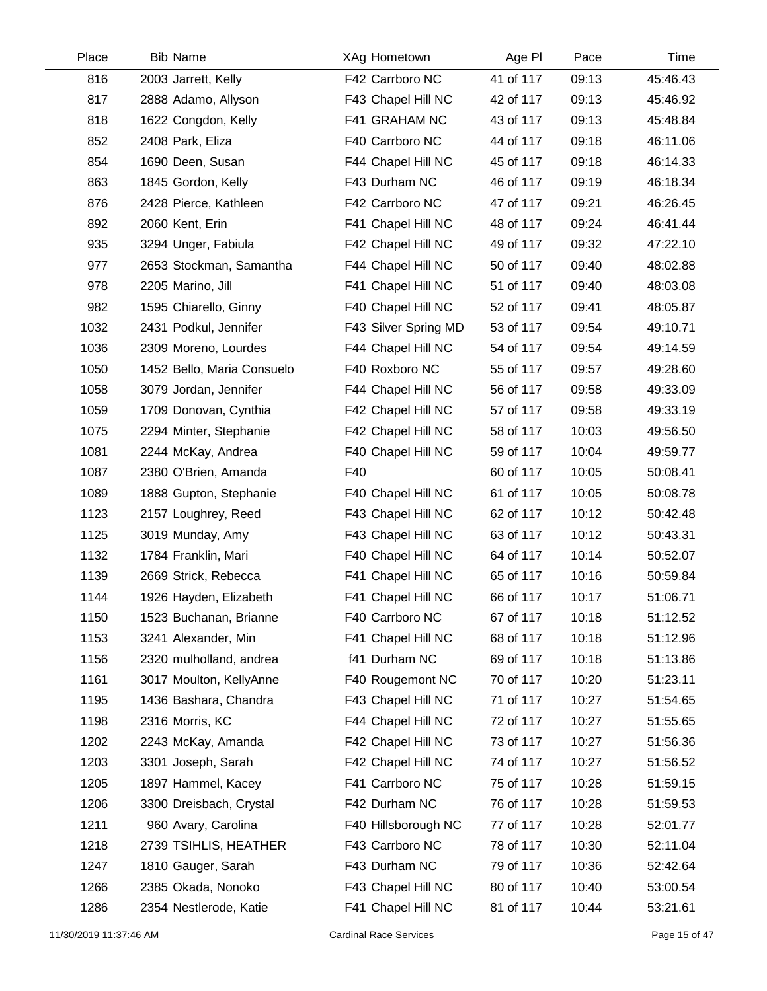| Place | <b>Bib Name</b>            | XAg Hometown         | Age PI    | Pace  | Time     |
|-------|----------------------------|----------------------|-----------|-------|----------|
| 816   | 2003 Jarrett, Kelly        | F42 Carrboro NC      | 41 of 117 | 09:13 | 45:46.43 |
| 817   | 2888 Adamo, Allyson        | F43 Chapel Hill NC   | 42 of 117 | 09:13 | 45:46.92 |
| 818   | 1622 Congdon, Kelly        | F41 GRAHAM NC        | 43 of 117 | 09:13 | 45:48.84 |
| 852   | 2408 Park, Eliza           | F40 Carrboro NC      | 44 of 117 | 09:18 | 46:11.06 |
| 854   | 1690 Deen, Susan           | F44 Chapel Hill NC   | 45 of 117 | 09:18 | 46:14.33 |
| 863   | 1845 Gordon, Kelly         | F43 Durham NC        | 46 of 117 | 09:19 | 46:18.34 |
| 876   | 2428 Pierce, Kathleen      | F42 Carrboro NC      | 47 of 117 | 09:21 | 46:26.45 |
| 892   | 2060 Kent, Erin            | F41 Chapel Hill NC   | 48 of 117 | 09:24 | 46:41.44 |
| 935   | 3294 Unger, Fabiula        | F42 Chapel Hill NC   | 49 of 117 | 09:32 | 47:22.10 |
| 977   | 2653 Stockman, Samantha    | F44 Chapel Hill NC   | 50 of 117 | 09:40 | 48:02.88 |
| 978   | 2205 Marino, Jill          | F41 Chapel Hill NC   | 51 of 117 | 09:40 | 48:03.08 |
| 982   | 1595 Chiarello, Ginny      | F40 Chapel Hill NC   | 52 of 117 | 09:41 | 48:05.87 |
| 1032  | 2431 Podkul, Jennifer      | F43 Silver Spring MD | 53 of 117 | 09:54 | 49:10.71 |
| 1036  | 2309 Moreno, Lourdes       | F44 Chapel Hill NC   | 54 of 117 | 09:54 | 49:14.59 |
| 1050  | 1452 Bello, Maria Consuelo | F40 Roxboro NC       | 55 of 117 | 09:57 | 49:28.60 |
| 1058  | 3079 Jordan, Jennifer      | F44 Chapel Hill NC   | 56 of 117 | 09:58 | 49:33.09 |
| 1059  | 1709 Donovan, Cynthia      | F42 Chapel Hill NC   | 57 of 117 | 09:58 | 49:33.19 |
| 1075  | 2294 Minter, Stephanie     | F42 Chapel Hill NC   | 58 of 117 | 10:03 | 49:56.50 |
| 1081  | 2244 McKay, Andrea         | F40 Chapel Hill NC   | 59 of 117 | 10:04 | 49:59.77 |
| 1087  | 2380 O'Brien, Amanda       | F40                  | 60 of 117 | 10:05 | 50:08.41 |
| 1089  | 1888 Gupton, Stephanie     | F40 Chapel Hill NC   | 61 of 117 | 10:05 | 50:08.78 |
| 1123  | 2157 Loughrey, Reed        | F43 Chapel Hill NC   | 62 of 117 | 10:12 | 50:42.48 |
| 1125  | 3019 Munday, Amy           | F43 Chapel Hill NC   | 63 of 117 | 10:12 | 50:43.31 |
| 1132  | 1784 Franklin, Mari        | F40 Chapel Hill NC   | 64 of 117 | 10:14 | 50:52.07 |
| 1139  | 2669 Strick, Rebecca       | F41 Chapel Hill NC   | 65 of 117 | 10:16 | 50:59.84 |
| 1144  | 1926 Hayden, Elizabeth     | F41 Chapel Hill NC   | 66 of 117 | 10:17 | 51:06.71 |
| 1150  | 1523 Buchanan, Brianne     | F40 Carrboro NC      | 67 of 117 | 10:18 | 51:12.52 |
| 1153  | 3241 Alexander, Min        | F41 Chapel Hill NC   | 68 of 117 | 10:18 | 51:12.96 |
| 1156  | 2320 mulholland, andrea    | f41 Durham NC        | 69 of 117 | 10:18 | 51:13.86 |
| 1161  | 3017 Moulton, KellyAnne    | F40 Rougemont NC     | 70 of 117 | 10:20 | 51:23.11 |
| 1195  | 1436 Bashara, Chandra      | F43 Chapel Hill NC   | 71 of 117 | 10:27 | 51:54.65 |
| 1198  | 2316 Morris, KC            | F44 Chapel Hill NC   | 72 of 117 | 10:27 | 51:55.65 |
| 1202  | 2243 McKay, Amanda         | F42 Chapel Hill NC   | 73 of 117 | 10:27 | 51:56.36 |
| 1203  | 3301 Joseph, Sarah         | F42 Chapel Hill NC   | 74 of 117 | 10:27 | 51:56.52 |
| 1205  | 1897 Hammel, Kacey         | F41 Carrboro NC      | 75 of 117 | 10:28 | 51:59.15 |
| 1206  | 3300 Dreisbach, Crystal    | F42 Durham NC        | 76 of 117 | 10:28 | 51:59.53 |
| 1211  | 960 Avary, Carolina        | F40 Hillsborough NC  | 77 of 117 | 10:28 | 52:01.77 |
| 1218  | 2739 TSIHLIS, HEATHER      | F43 Carrboro NC      | 78 of 117 | 10:30 | 52:11.04 |
| 1247  | 1810 Gauger, Sarah         | F43 Durham NC        | 79 of 117 | 10:36 | 52:42.64 |
| 1266  | 2385 Okada, Nonoko         | F43 Chapel Hill NC   | 80 of 117 | 10:40 | 53:00.54 |
| 1286  | 2354 Nestlerode, Katie     | F41 Chapel Hill NC   | 81 of 117 | 10:44 | 53:21.61 |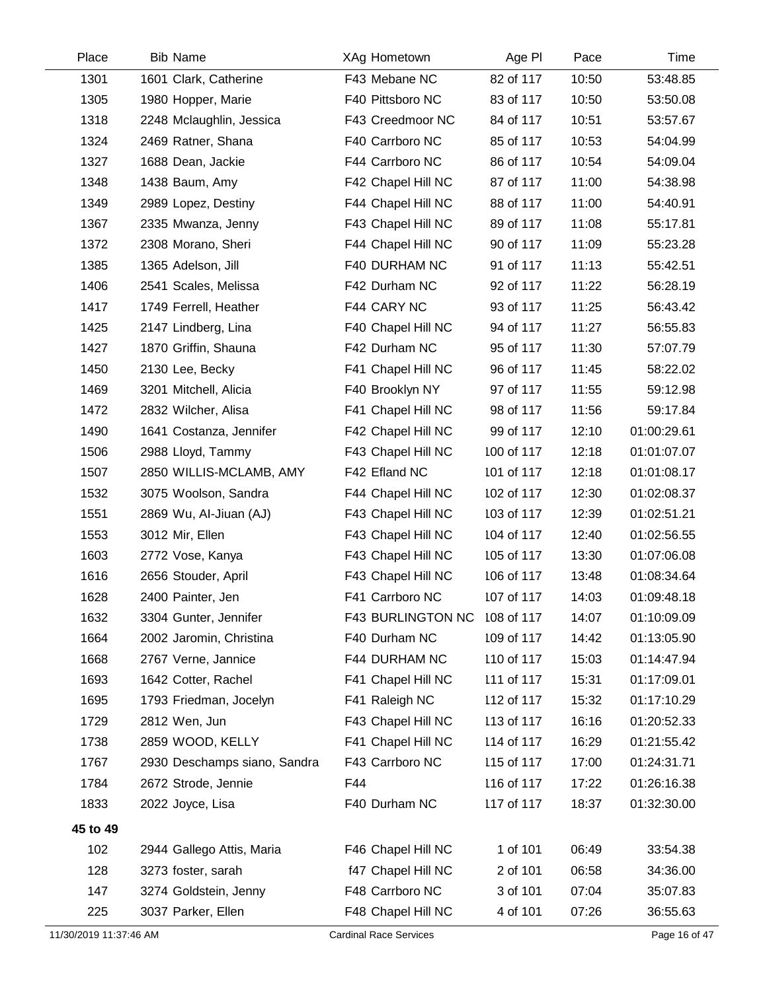| Place                  | <b>Bib Name</b>              | XAg Hometown                  | Age PI     | Pace  | Time          |
|------------------------|------------------------------|-------------------------------|------------|-------|---------------|
| 1301                   | 1601 Clark, Catherine        | F43 Mebane NC                 | 82 of 117  | 10:50 | 53:48.85      |
| 1305                   | 1980 Hopper, Marie           | F40 Pittsboro NC              | 83 of 117  | 10:50 | 53:50.08      |
| 1318                   | 2248 Mclaughlin, Jessica     | F43 Creedmoor NC              | 84 of 117  | 10:51 | 53:57.67      |
| 1324                   | 2469 Ratner, Shana           | F40 Carrboro NC               | 85 of 117  | 10:53 | 54:04.99      |
| 1327                   | 1688 Dean, Jackie            | F44 Carrboro NC               | 86 of 117  | 10:54 | 54:09.04      |
| 1348                   | 1438 Baum, Amy               | F42 Chapel Hill NC            | 87 of 117  | 11:00 | 54:38.98      |
| 1349                   | 2989 Lopez, Destiny          | F44 Chapel Hill NC            | 88 of 117  | 11:00 | 54:40.91      |
| 1367                   | 2335 Mwanza, Jenny           | F43 Chapel Hill NC            | 89 of 117  | 11:08 | 55:17.81      |
| 1372                   | 2308 Morano, Sheri           | F44 Chapel Hill NC            | 90 of 117  | 11:09 | 55:23.28      |
| 1385                   | 1365 Adelson, Jill           | F40 DURHAM NC                 | 91 of 117  | 11:13 | 55:42.51      |
| 1406                   | 2541 Scales, Melissa         | F42 Durham NC                 | 92 of 117  | 11:22 | 56:28.19      |
| 1417                   | 1749 Ferrell, Heather        | F44 CARY NC                   | 93 of 117  | 11:25 | 56:43.42      |
| 1425                   | 2147 Lindberg, Lina          | F40 Chapel Hill NC            | 94 of 117  | 11:27 | 56:55.83      |
| 1427                   | 1870 Griffin, Shauna         | F42 Durham NC                 | 95 of 117  | 11:30 | 57:07.79      |
| 1450                   | 2130 Lee, Becky              | F41 Chapel Hill NC            | 96 of 117  | 11:45 | 58:22.02      |
| 1469                   | 3201 Mitchell, Alicia        | F40 Brooklyn NY               | 97 of 117  | 11:55 | 59:12.98      |
| 1472                   | 2832 Wilcher, Alisa          | F41 Chapel Hill NC            | 98 of 117  | 11:56 | 59:17.84      |
| 1490                   | 1641 Costanza, Jennifer      | F42 Chapel Hill NC            | 99 of 117  | 12:10 | 01:00:29.61   |
| 1506                   | 2988 Lloyd, Tammy            | F43 Chapel Hill NC            | 100 of 117 | 12:18 | 01:01:07.07   |
| 1507                   | 2850 WILLIS-MCLAMB, AMY      | F42 Efland NC                 | 101 of 117 | 12:18 | 01:01:08.17   |
| 1532                   | 3075 Woolson, Sandra         | F44 Chapel Hill NC            | 102 of 117 | 12:30 | 01:02:08.37   |
| 1551                   | 2869 Wu, Al-Jiuan (AJ)       | F43 Chapel Hill NC            | 103 of 117 | 12:39 | 01:02:51.21   |
| 1553                   | 3012 Mir, Ellen              | F43 Chapel Hill NC            | 104 of 117 | 12:40 | 01:02:56.55   |
| 1603                   | 2772 Vose, Kanya             | F43 Chapel Hill NC            | 105 of 117 | 13:30 | 01:07:06.08   |
| 1616                   | 2656 Stouder, April          | F43 Chapel Hill NC            | 106 of 117 | 13:48 | 01:08:34.64   |
| 1628                   | 2400 Painter, Jen            | F41 Carrboro NC               | 107 of 117 | 14:03 | 01:09:48.18   |
| 1632                   | 3304 Gunter, Jennifer        | F43 BURLINGTON NC             | 108 of 117 | 14:07 | 01:10:09.09   |
| 1664                   | 2002 Jaromin, Christina      | F40 Durham NC                 | 109 of 117 | 14:42 | 01:13:05.90   |
| 1668                   | 2767 Verne, Jannice          | F44 DURHAM NC                 | 110 of 117 | 15:03 | 01:14:47.94   |
| 1693                   | 1642 Cotter, Rachel          | F41 Chapel Hill NC            | 111 of 117 | 15:31 | 01:17:09.01   |
| 1695                   | 1793 Friedman, Jocelyn       | F41 Raleigh NC                | 112 of 117 | 15:32 | 01:17:10.29   |
| 1729                   | 2812 Wen, Jun                | F43 Chapel Hill NC            | 113 of 117 | 16:16 | 01:20:52.33   |
| 1738                   | 2859 WOOD, KELLY             | F41 Chapel Hill NC            | 114 of 117 | 16:29 | 01:21:55.42   |
| 1767                   | 2930 Deschamps siano, Sandra | F43 Carrboro NC               | 115 of 117 | 17:00 | 01:24:31.71   |
| 1784                   | 2672 Strode, Jennie          | F44                           | 116 of 117 | 17:22 | 01:26:16.38   |
| 1833                   | 2022 Joyce, Lisa             | F40 Durham NC                 | 117 of 117 | 18:37 | 01:32:30.00   |
| 45 to 49               |                              |                               |            |       |               |
| 102                    | 2944 Gallego Attis, Maria    | F46 Chapel Hill NC            | 1 of 101   | 06:49 | 33:54.38      |
| 128                    | 3273 foster, sarah           | f47 Chapel Hill NC            | 2 of 101   | 06:58 | 34:36.00      |
| 147                    | 3274 Goldstein, Jenny        | F48 Carrboro NC               | 3 of 101   | 07:04 | 35:07.83      |
| 225                    | 3037 Parker, Ellen           | F48 Chapel Hill NC            | 4 of 101   | 07:26 | 36:55.63      |
| 11/30/2019 11:37:46 AM |                              | <b>Cardinal Race Services</b> |            |       | Page 16 of 47 |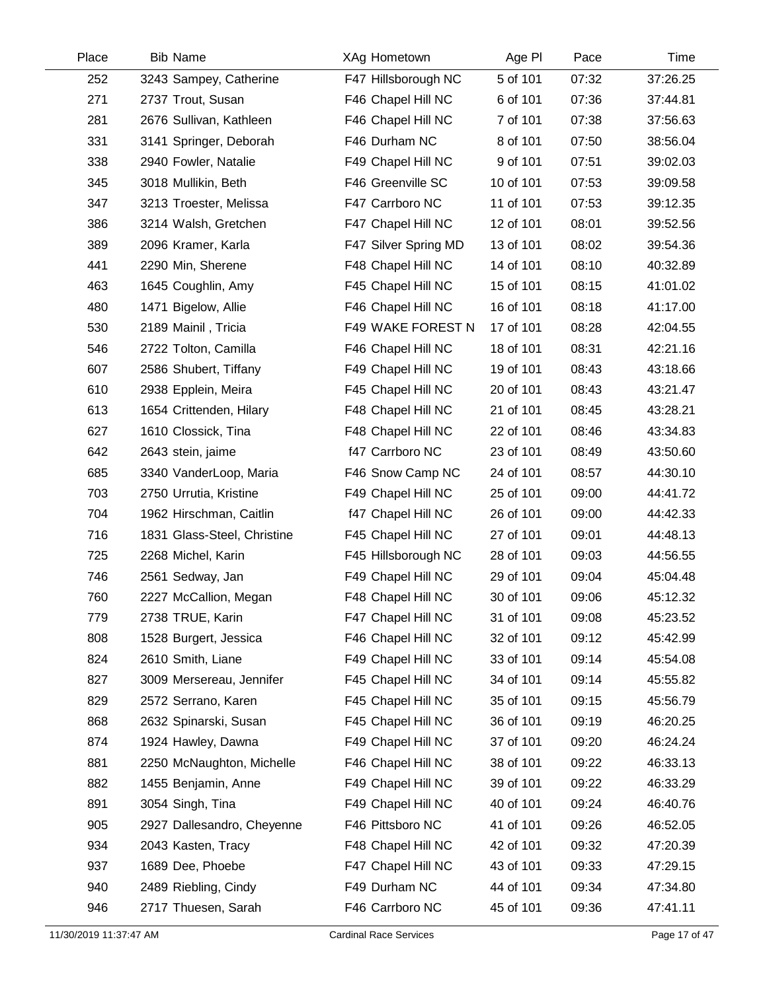| Place | <b>Bib Name</b>             | XAg Hometown         | Age PI    | Pace  | Time     |
|-------|-----------------------------|----------------------|-----------|-------|----------|
| 252   | 3243 Sampey, Catherine      | F47 Hillsborough NC  | 5 of 101  | 07:32 | 37:26.25 |
| 271   | 2737 Trout, Susan           | F46 Chapel Hill NC   | 6 of 101  | 07:36 | 37:44.81 |
| 281   | 2676 Sullivan, Kathleen     | F46 Chapel Hill NC   | 7 of 101  | 07:38 | 37:56.63 |
| 331   | 3141 Springer, Deborah      | F46 Durham NC        | 8 of 101  | 07:50 | 38:56.04 |
| 338   | 2940 Fowler, Natalie        | F49 Chapel Hill NC   | 9 of 101  | 07:51 | 39:02.03 |
| 345   | 3018 Mullikin, Beth         | F46 Greenville SC    | 10 of 101 | 07:53 | 39:09.58 |
| 347   | 3213 Troester, Melissa      | F47 Carrboro NC      | 11 of 101 | 07:53 | 39:12.35 |
| 386   | 3214 Walsh, Gretchen        | F47 Chapel Hill NC   | 12 of 101 | 08:01 | 39:52.56 |
| 389   | 2096 Kramer, Karla          | F47 Silver Spring MD | 13 of 101 | 08:02 | 39:54.36 |
| 441   | 2290 Min, Sherene           | F48 Chapel Hill NC   | 14 of 101 | 08:10 | 40:32.89 |
| 463   | 1645 Coughlin, Amy          | F45 Chapel Hill NC   | 15 of 101 | 08:15 | 41:01.02 |
| 480   | 1471 Bigelow, Allie         | F46 Chapel Hill NC   | 16 of 101 | 08:18 | 41:17.00 |
| 530   | 2189 Mainil, Tricia         | F49 WAKE FOREST N    | 17 of 101 | 08:28 | 42:04.55 |
| 546   | 2722 Tolton, Camilla        | F46 Chapel Hill NC   | 18 of 101 | 08:31 | 42:21.16 |
| 607   | 2586 Shubert, Tiffany       | F49 Chapel Hill NC   | 19 of 101 | 08:43 | 43:18.66 |
| 610   | 2938 Epplein, Meira         | F45 Chapel Hill NC   | 20 of 101 | 08:43 | 43:21.47 |
| 613   | 1654 Crittenden, Hilary     | F48 Chapel Hill NC   | 21 of 101 | 08:45 | 43:28.21 |
| 627   | 1610 Clossick, Tina         | F48 Chapel Hill NC   | 22 of 101 | 08:46 | 43:34.83 |
| 642   | 2643 stein, jaime           | f47 Carrboro NC      | 23 of 101 | 08:49 | 43:50.60 |
| 685   | 3340 VanderLoop, Maria      | F46 Snow Camp NC     | 24 of 101 | 08:57 | 44:30.10 |
| 703   | 2750 Urrutia, Kristine      | F49 Chapel Hill NC   | 25 of 101 | 09:00 | 44:41.72 |
| 704   | 1962 Hirschman, Caitlin     | f47 Chapel Hill NC   | 26 of 101 | 09:00 | 44:42.33 |
| 716   | 1831 Glass-Steel, Christine | F45 Chapel Hill NC   | 27 of 101 | 09:01 | 44:48.13 |
| 725   | 2268 Michel, Karin          | F45 Hillsborough NC  | 28 of 101 | 09:03 | 44:56.55 |
| 746   | 2561 Sedway, Jan            | F49 Chapel Hill NC   | 29 of 101 | 09:04 | 45:04.48 |
| 760   | 2227 McCallion, Megan       | F48 Chapel Hill NC   | 30 of 101 | 09:06 | 45:12.32 |
| 779   | 2738 TRUE, Karin            | F47 Chapel Hill NC   | 31 of 101 | 09:08 | 45:23.52 |
| 808   | 1528 Burgert, Jessica       | F46 Chapel Hill NC   | 32 of 101 | 09:12 | 45:42.99 |
| 824   | 2610 Smith, Liane           | F49 Chapel Hill NC   | 33 of 101 | 09:14 | 45:54.08 |
| 827   | 3009 Mersereau, Jennifer    | F45 Chapel Hill NC   | 34 of 101 | 09:14 | 45:55.82 |
| 829   | 2572 Serrano, Karen         | F45 Chapel Hill NC   | 35 of 101 | 09:15 | 45:56.79 |
| 868   | 2632 Spinarski, Susan       | F45 Chapel Hill NC   | 36 of 101 | 09:19 | 46:20.25 |
| 874   | 1924 Hawley, Dawna          | F49 Chapel Hill NC   | 37 of 101 | 09:20 | 46:24.24 |
| 881   | 2250 McNaughton, Michelle   | F46 Chapel Hill NC   | 38 of 101 | 09:22 | 46:33.13 |
| 882   | 1455 Benjamin, Anne         | F49 Chapel Hill NC   | 39 of 101 | 09:22 | 46:33.29 |
| 891   | 3054 Singh, Tina            | F49 Chapel Hill NC   | 40 of 101 | 09:24 | 46:40.76 |
| 905   | 2927 Dallesandro, Cheyenne  | F46 Pittsboro NC     | 41 of 101 | 09:26 | 46:52.05 |
| 934   | 2043 Kasten, Tracy          | F48 Chapel Hill NC   | 42 of 101 | 09:32 | 47:20.39 |
| 937   | 1689 Dee, Phoebe            | F47 Chapel Hill NC   | 43 of 101 | 09:33 | 47:29.15 |
| 940   | 2489 Riebling, Cindy        | F49 Durham NC        | 44 of 101 | 09:34 | 47:34.80 |
| 946   | 2717 Thuesen, Sarah         | F46 Carrboro NC      | 45 of 101 | 09:36 | 47:41.11 |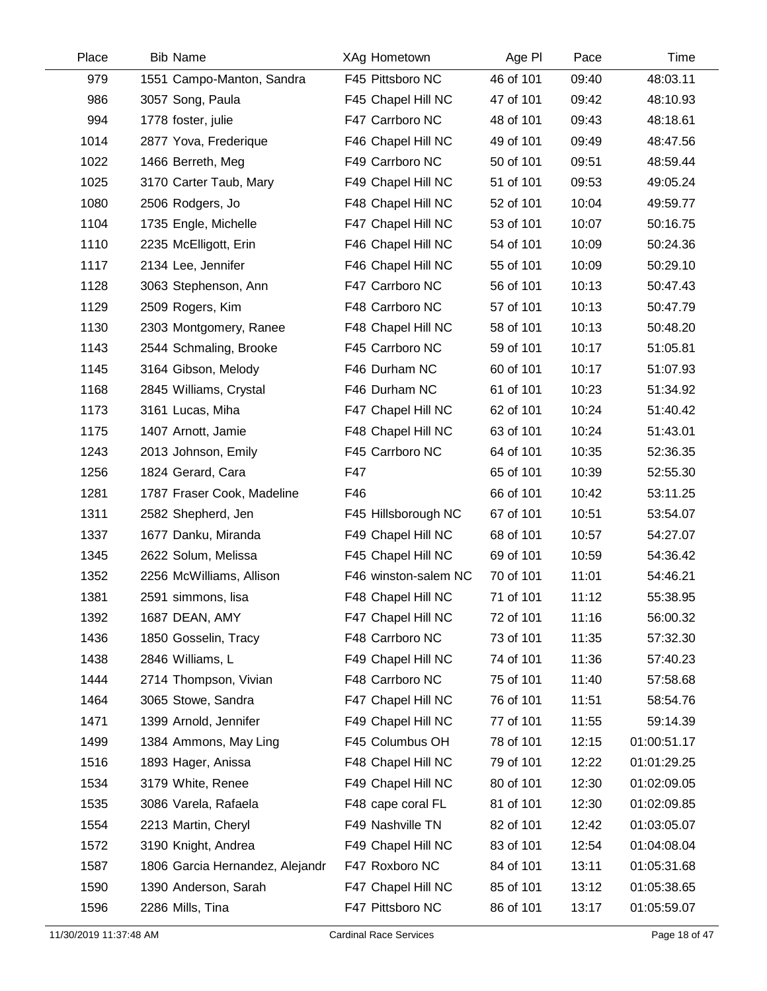| Place | <b>Bib Name</b>                 | XAg Hometown         | Age PI    | Pace  | Time        |
|-------|---------------------------------|----------------------|-----------|-------|-------------|
| 979   | 1551 Campo-Manton, Sandra       | F45 Pittsboro NC     | 46 of 101 | 09:40 | 48:03.11    |
| 986   | 3057 Song, Paula                | F45 Chapel Hill NC   | 47 of 101 | 09:42 | 48:10.93    |
| 994   | 1778 foster, julie              | F47 Carrboro NC      | 48 of 101 | 09:43 | 48:18.61    |
| 1014  | 2877 Yova, Frederique           | F46 Chapel Hill NC   | 49 of 101 | 09:49 | 48:47.56    |
| 1022  | 1466 Berreth, Meg               | F49 Carrboro NC      | 50 of 101 | 09:51 | 48:59.44    |
| 1025  | 3170 Carter Taub, Mary          | F49 Chapel Hill NC   | 51 of 101 | 09:53 | 49:05.24    |
| 1080  | 2506 Rodgers, Jo                | F48 Chapel Hill NC   | 52 of 101 | 10:04 | 49:59.77    |
| 1104  | 1735 Engle, Michelle            | F47 Chapel Hill NC   | 53 of 101 | 10:07 | 50:16.75    |
| 1110  | 2235 McElligott, Erin           | F46 Chapel Hill NC   | 54 of 101 | 10:09 | 50:24.36    |
| 1117  | 2134 Lee, Jennifer              | F46 Chapel Hill NC   | 55 of 101 | 10:09 | 50:29.10    |
| 1128  | 3063 Stephenson, Ann            | F47 Carrboro NC      | 56 of 101 | 10:13 | 50:47.43    |
| 1129  | 2509 Rogers, Kim                | F48 Carrboro NC      | 57 of 101 | 10:13 | 50:47.79    |
| 1130  | 2303 Montgomery, Ranee          | F48 Chapel Hill NC   | 58 of 101 | 10:13 | 50:48.20    |
| 1143  | 2544 Schmaling, Brooke          | F45 Carrboro NC      | 59 of 101 | 10:17 | 51:05.81    |
| 1145  | 3164 Gibson, Melody             | F46 Durham NC        | 60 of 101 | 10:17 | 51:07.93    |
| 1168  | 2845 Williams, Crystal          | F46 Durham NC        | 61 of 101 | 10:23 | 51:34.92    |
| 1173  | 3161 Lucas, Miha                | F47 Chapel Hill NC   | 62 of 101 | 10:24 | 51:40.42    |
| 1175  | 1407 Arnott, Jamie              | F48 Chapel Hill NC   | 63 of 101 | 10:24 | 51:43.01    |
| 1243  | 2013 Johnson, Emily             | F45 Carrboro NC      | 64 of 101 | 10:35 | 52:36.35    |
| 1256  | 1824 Gerard, Cara               | F47                  | 65 of 101 | 10:39 | 52:55.30    |
| 1281  | 1787 Fraser Cook, Madeline      | F46                  | 66 of 101 | 10:42 | 53:11.25    |
| 1311  | 2582 Shepherd, Jen              | F45 Hillsborough NC  | 67 of 101 | 10:51 | 53:54.07    |
| 1337  | 1677 Danku, Miranda             | F49 Chapel Hill NC   | 68 of 101 | 10:57 | 54:27.07    |
| 1345  | 2622 Solum, Melissa             | F45 Chapel Hill NC   | 69 of 101 | 10:59 | 54:36.42    |
| 1352  | 2256 McWilliams, Allison        | F46 winston-salem NC | 70 of 101 | 11:01 | 54:46.21    |
| 1381  | 2591 simmons, lisa              | F48 Chapel Hill NC   | 71 of 101 | 11:12 | 55:38.95    |
| 1392  | 1687 DEAN, AMY                  | F47 Chapel Hill NC   | 72 of 101 | 11:16 | 56:00.32    |
| 1436  | 1850 Gosselin, Tracy            | F48 Carrboro NC      | 73 of 101 | 11:35 | 57:32.30    |
| 1438  | 2846 Williams, L                | F49 Chapel Hill NC   | 74 of 101 | 11:36 | 57:40.23    |
| 1444  | 2714 Thompson, Vivian           | F48 Carrboro NC      | 75 of 101 | 11:40 | 57:58.68    |
| 1464  | 3065 Stowe, Sandra              | F47 Chapel Hill NC   | 76 of 101 | 11:51 | 58:54.76    |
| 1471  | 1399 Arnold, Jennifer           | F49 Chapel Hill NC   | 77 of 101 | 11:55 | 59:14.39    |
| 1499  | 1384 Ammons, May Ling           | F45 Columbus OH      | 78 of 101 | 12:15 | 01:00:51.17 |
| 1516  | 1893 Hager, Anissa              | F48 Chapel Hill NC   | 79 of 101 | 12:22 | 01:01:29.25 |
| 1534  | 3179 White, Renee               | F49 Chapel Hill NC   | 80 of 101 | 12:30 | 01:02:09.05 |
| 1535  | 3086 Varela, Rafaela            | F48 cape coral FL    | 81 of 101 | 12:30 | 01:02:09.85 |
| 1554  | 2213 Martin, Cheryl             | F49 Nashville TN     | 82 of 101 | 12:42 | 01:03:05.07 |
| 1572  | 3190 Knight, Andrea             | F49 Chapel Hill NC   | 83 of 101 | 12:54 | 01:04:08.04 |
| 1587  | 1806 Garcia Hernandez, Alejandr | F47 Roxboro NC       | 84 of 101 | 13:11 | 01:05:31.68 |
| 1590  | 1390 Anderson, Sarah            | F47 Chapel Hill NC   | 85 of 101 | 13:12 | 01:05:38.65 |
| 1596  | 2286 Mills, Tina                | F47 Pittsboro NC     | 86 of 101 | 13:17 | 01:05:59.07 |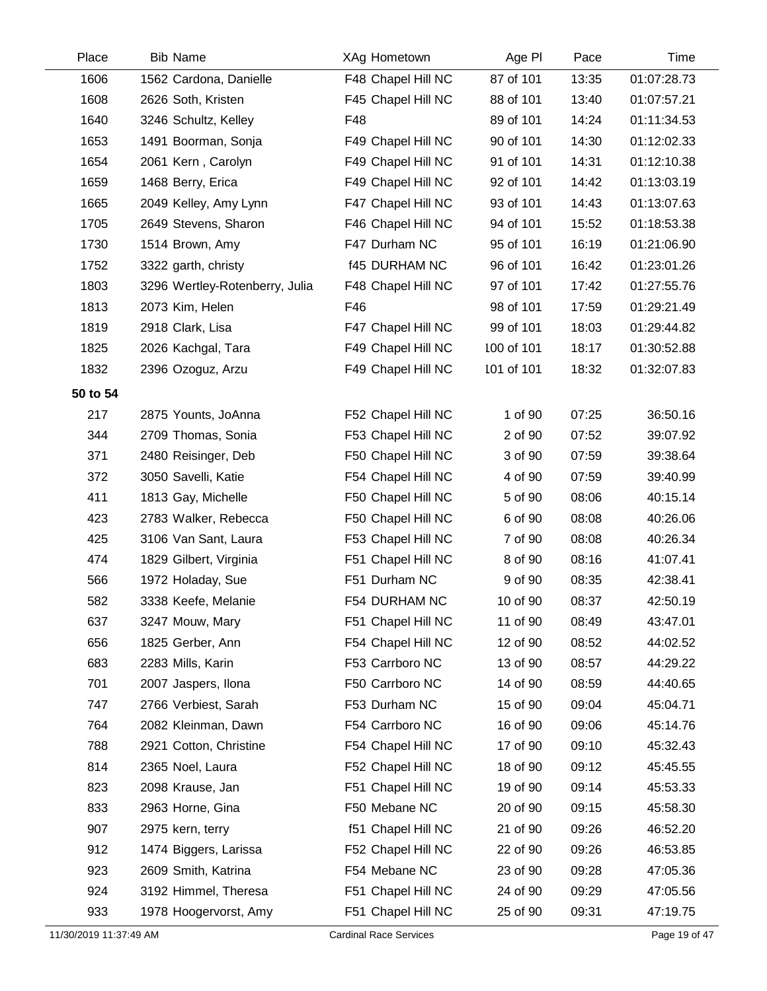| Place    | <b>Bib Name</b>                | XAg Hometown         | Age PI     | Pace  | Time        |
|----------|--------------------------------|----------------------|------------|-------|-------------|
| 1606     | 1562 Cardona, Danielle         | F48 Chapel Hill NC   | 87 of 101  | 13:35 | 01:07:28.73 |
| 1608     | 2626 Soth, Kristen             | F45 Chapel Hill NC   | 88 of 101  | 13:40 | 01:07:57.21 |
| 1640     | 3246 Schultz, Kelley           | F48                  | 89 of 101  | 14:24 | 01:11:34.53 |
| 1653     | 1491 Boorman, Sonja            | F49 Chapel Hill NC   | 90 of 101  | 14:30 | 01:12:02.33 |
| 1654     | 2061 Kern, Carolyn             | F49 Chapel Hill NC   | 91 of 101  | 14:31 | 01:12:10.38 |
| 1659     | 1468 Berry, Erica              | F49 Chapel Hill NC   | 92 of 101  | 14:42 | 01:13:03.19 |
| 1665     | 2049 Kelley, Amy Lynn          | F47 Chapel Hill NC   | 93 of 101  | 14:43 | 01:13:07.63 |
| 1705     | 2649 Stevens, Sharon           | F46 Chapel Hill NC   | 94 of 101  | 15:52 | 01:18:53.38 |
| 1730     | 1514 Brown, Amy                | F47 Durham NC        | 95 of 101  | 16:19 | 01:21:06.90 |
| 1752     | 3322 garth, christy            | <b>f45 DURHAM NC</b> | 96 of 101  | 16:42 | 01:23:01.26 |
| 1803     | 3296 Wertley-Rotenberry, Julia | F48 Chapel Hill NC   | 97 of 101  | 17:42 | 01:27:55.76 |
| 1813     | 2073 Kim, Helen                | F46                  | 98 of 101  | 17:59 | 01:29:21.49 |
| 1819     | 2918 Clark, Lisa               | F47 Chapel Hill NC   | 99 of 101  | 18:03 | 01:29:44.82 |
| 1825     | 2026 Kachgal, Tara             | F49 Chapel Hill NC   | 100 of 101 | 18:17 | 01:30:52.88 |
| 1832     | 2396 Ozoguz, Arzu              | F49 Chapel Hill NC   | 101 of 101 | 18:32 | 01:32:07.83 |
| 50 to 54 |                                |                      |            |       |             |
| 217      | 2875 Younts, JoAnna            | F52 Chapel Hill NC   | 1 of 90    | 07:25 | 36:50.16    |
| 344      | 2709 Thomas, Sonia             | F53 Chapel Hill NC   | 2 of 90    | 07:52 | 39:07.92    |
| 371      | 2480 Reisinger, Deb            | F50 Chapel Hill NC   | 3 of 90    | 07:59 | 39:38.64    |
| 372      | 3050 Savelli, Katie            | F54 Chapel Hill NC   | 4 of 90    | 07:59 | 39:40.99    |
| 411      | 1813 Gay, Michelle             | F50 Chapel Hill NC   | 5 of 90    | 08:06 | 40:15.14    |
| 423      | 2783 Walker, Rebecca           | F50 Chapel Hill NC   | 6 of 90    | 08:08 | 40:26.06    |
| 425      | 3106 Van Sant, Laura           | F53 Chapel Hill NC   | 7 of 90    | 08:08 | 40:26.34    |
| 474      | 1829 Gilbert, Virginia         | F51 Chapel Hill NC   | 8 of 90    | 08:16 | 41:07.41    |
| 566      | 1972 Holaday, Sue              | F51 Durham NC        | 9 of 90    | 08:35 | 42:38.41    |
| 582      | 3338 Keefe, Melanie            | F54 DURHAM NC        | 10 of 90   | 08:37 | 42:50.19    |
| 637      | 3247 Mouw, Mary                | F51 Chapel Hill NC   | 11 of 90   | 08:49 | 43:47.01    |
| 656      | 1825 Gerber, Ann               | F54 Chapel Hill NC   | 12 of 90   | 08:52 | 44:02.52    |
| 683      | 2283 Mills, Karin              | F53 Carrboro NC      | 13 of 90   | 08:57 | 44:29.22    |
| 701      | 2007 Jaspers, Ilona            | F50 Carrboro NC      | 14 of 90   | 08:59 | 44:40.65    |
| 747      | 2766 Verbiest, Sarah           | F53 Durham NC        | 15 of 90   | 09:04 | 45:04.71    |
| 764      | 2082 Kleinman, Dawn            | F54 Carrboro NC      | 16 of 90   | 09:06 | 45:14.76    |
| 788      | 2921 Cotton, Christine         | F54 Chapel Hill NC   | 17 of 90   | 09:10 | 45:32.43    |
| 814      | 2365 Noel, Laura               | F52 Chapel Hill NC   | 18 of 90   | 09:12 | 45:45.55    |
| 823      | 2098 Krause, Jan               | F51 Chapel Hill NC   | 19 of 90   | 09:14 | 45:53.33    |
| 833      | 2963 Horne, Gina               | F50 Mebane NC        | 20 of 90   | 09:15 | 45:58.30    |
| 907      | 2975 kern, terry               | f51 Chapel Hill NC   | 21 of 90   | 09:26 | 46:52.20    |
| 912      | 1474 Biggers, Larissa          | F52 Chapel Hill NC   | 22 of 90   | 09:26 | 46:53.85    |
| 923      | 2609 Smith, Katrina            | F54 Mebane NC        | 23 of 90   | 09:28 | 47:05.36    |
| 924      | 3192 Himmel, Theresa           | F51 Chapel Hill NC   | 24 of 90   | 09:29 | 47:05.56    |
| 933      | 1978 Hoogervorst, Amy          | F51 Chapel Hill NC   | 25 of 90   | 09:31 | 47:19.75    |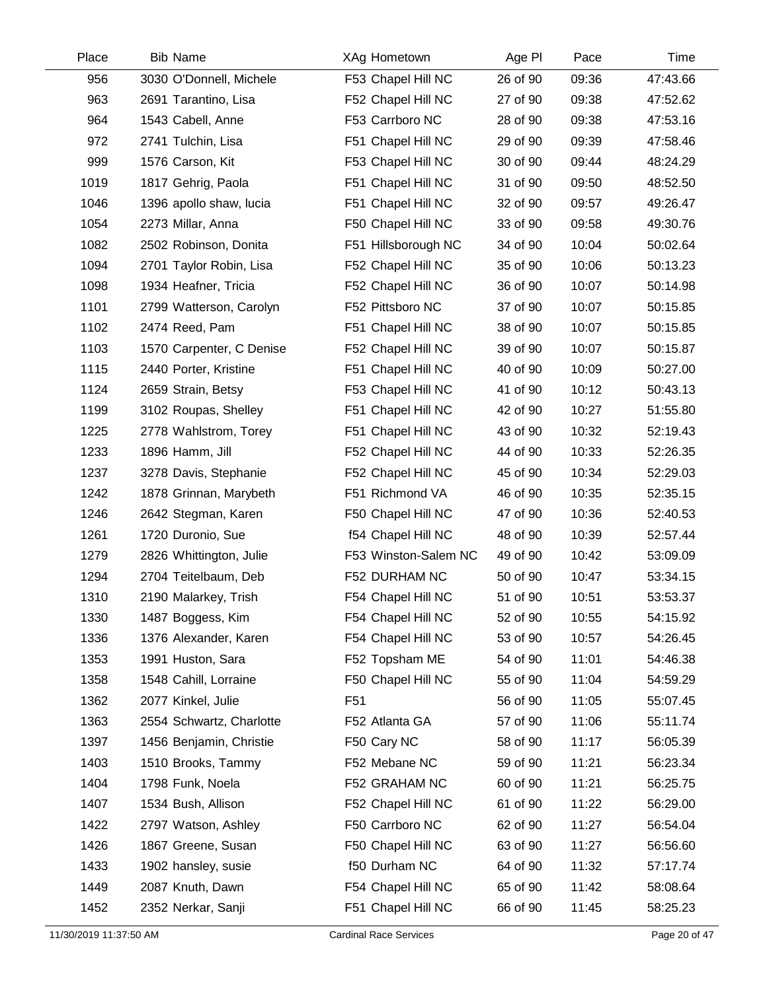| Place | <b>Bib Name</b>          | XAg Hometown         | Age PI   | Pace  | Time     |
|-------|--------------------------|----------------------|----------|-------|----------|
| 956   | 3030 O'Donnell, Michele  | F53 Chapel Hill NC   | 26 of 90 | 09:36 | 47:43.66 |
| 963   | 2691 Tarantino, Lisa     | F52 Chapel Hill NC   | 27 of 90 | 09:38 | 47:52.62 |
| 964   | 1543 Cabell, Anne        | F53 Carrboro NC      | 28 of 90 | 09:38 | 47:53.16 |
| 972   | 2741 Tulchin, Lisa       | F51 Chapel Hill NC   | 29 of 90 | 09:39 | 47:58.46 |
| 999   | 1576 Carson, Kit         | F53 Chapel Hill NC   | 30 of 90 | 09:44 | 48:24.29 |
| 1019  | 1817 Gehrig, Paola       | F51 Chapel Hill NC   | 31 of 90 | 09:50 | 48:52.50 |
| 1046  | 1396 apollo shaw, lucia  | F51 Chapel Hill NC   | 32 of 90 | 09:57 | 49:26.47 |
| 1054  | 2273 Millar, Anna        | F50 Chapel Hill NC   | 33 of 90 | 09:58 | 49:30.76 |
| 1082  | 2502 Robinson, Donita    | F51 Hillsborough NC  | 34 of 90 | 10:04 | 50:02.64 |
| 1094  | 2701 Taylor Robin, Lisa  | F52 Chapel Hill NC   | 35 of 90 | 10:06 | 50:13.23 |
| 1098  | 1934 Heafner, Tricia     | F52 Chapel Hill NC   | 36 of 90 | 10:07 | 50:14.98 |
| 1101  | 2799 Watterson, Carolyn  | F52 Pittsboro NC     | 37 of 90 | 10:07 | 50:15.85 |
| 1102  | 2474 Reed, Pam           | F51 Chapel Hill NC   | 38 of 90 | 10:07 | 50:15.85 |
| 1103  | 1570 Carpenter, C Denise | F52 Chapel Hill NC   | 39 of 90 | 10:07 | 50:15.87 |
| 1115  | 2440 Porter, Kristine    | F51 Chapel Hill NC   | 40 of 90 | 10:09 | 50:27.00 |
| 1124  | 2659 Strain, Betsy       | F53 Chapel Hill NC   | 41 of 90 | 10:12 | 50:43.13 |
| 1199  | 3102 Roupas, Shelley     | F51 Chapel Hill NC   | 42 of 90 | 10:27 | 51:55.80 |
| 1225  | 2778 Wahlstrom, Torey    | F51 Chapel Hill NC   | 43 of 90 | 10:32 | 52:19.43 |
| 1233  | 1896 Hamm, Jill          | F52 Chapel Hill NC   | 44 of 90 | 10:33 | 52:26.35 |
| 1237  | 3278 Davis, Stephanie    | F52 Chapel Hill NC   | 45 of 90 | 10:34 | 52:29.03 |
| 1242  | 1878 Grinnan, Marybeth   | F51 Richmond VA      | 46 of 90 | 10:35 | 52:35.15 |
| 1246  | 2642 Stegman, Karen      | F50 Chapel Hill NC   | 47 of 90 | 10:36 | 52:40.53 |
| 1261  | 1720 Duronio, Sue        | f54 Chapel Hill NC   | 48 of 90 | 10:39 | 52:57.44 |
| 1279  | 2826 Whittington, Julie  | F53 Winston-Salem NC | 49 of 90 | 10:42 | 53:09.09 |
| 1294  | 2704 Teitelbaum, Deb     | F52 DURHAM NC        | 50 of 90 | 10:47 | 53:34.15 |
| 1310  | 2190 Malarkey, Trish     | F54 Chapel Hill NC   | 51 of 90 | 10:51 | 53:53.37 |
| 1330  | 1487 Boggess, Kim        | F54 Chapel Hill NC   | 52 of 90 | 10:55 | 54:15.92 |
| 1336  | 1376 Alexander, Karen    | F54 Chapel Hill NC   | 53 of 90 | 10:57 | 54:26.45 |
| 1353  | 1991 Huston, Sara        | F52 Topsham ME       | 54 of 90 | 11:01 | 54:46.38 |
| 1358  | 1548 Cahill, Lorraine    | F50 Chapel Hill NC   | 55 of 90 | 11:04 | 54:59.29 |
| 1362  | 2077 Kinkel, Julie       | F <sub>51</sub>      | 56 of 90 | 11:05 | 55:07.45 |
| 1363  | 2554 Schwartz, Charlotte | F52 Atlanta GA       | 57 of 90 | 11:06 | 55:11.74 |
| 1397  | 1456 Benjamin, Christie  | F50 Cary NC          | 58 of 90 | 11:17 | 56:05.39 |
| 1403  | 1510 Brooks, Tammy       | F52 Mebane NC        | 59 of 90 | 11:21 | 56:23.34 |
| 1404  | 1798 Funk, Noela         | F52 GRAHAM NC        | 60 of 90 | 11:21 | 56:25.75 |
| 1407  | 1534 Bush, Allison       | F52 Chapel Hill NC   | 61 of 90 | 11:22 | 56:29.00 |
| 1422  | 2797 Watson, Ashley      | F50 Carrboro NC      | 62 of 90 | 11:27 | 56:54.04 |
| 1426  | 1867 Greene, Susan       | F50 Chapel Hill NC   | 63 of 90 | 11:27 | 56:56.60 |
| 1433  | 1902 hansley, susie      | f50 Durham NC        | 64 of 90 | 11:32 | 57:17.74 |
| 1449  | 2087 Knuth, Dawn         | F54 Chapel Hill NC   | 65 of 90 | 11:42 | 58:08.64 |
| 1452  | 2352 Nerkar, Sanji       | F51 Chapel Hill NC   | 66 of 90 | 11:45 | 58:25.23 |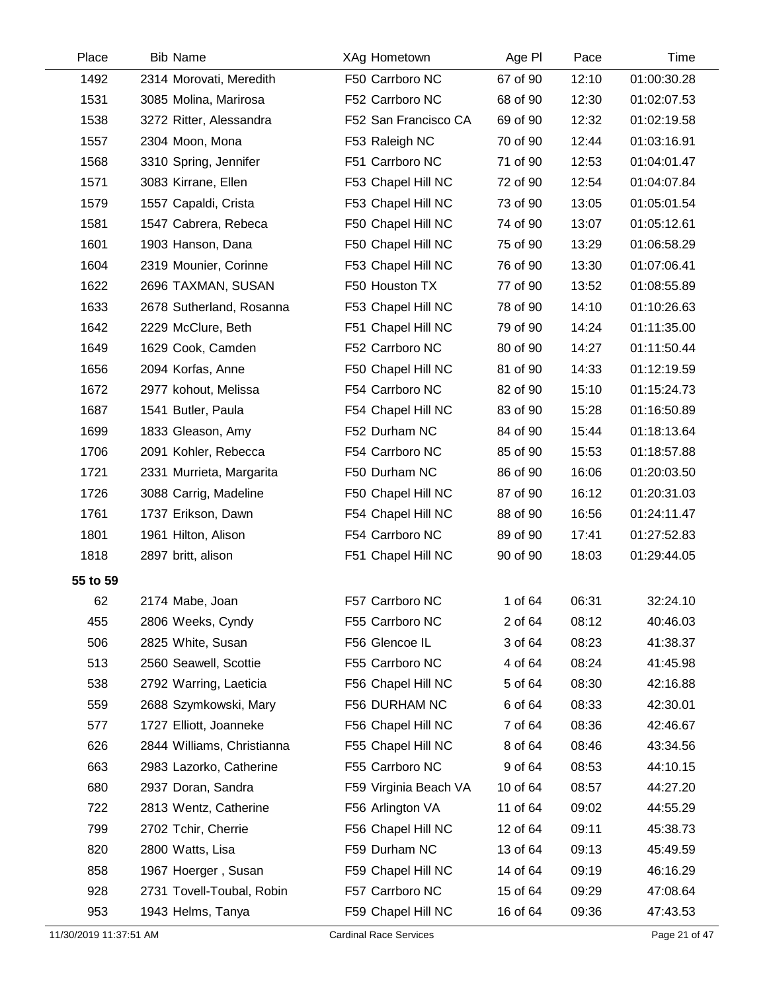| Place    | <b>Bib Name</b>            | XAg Hometown          | Age PI   | Pace  | Time        |
|----------|----------------------------|-----------------------|----------|-------|-------------|
| 1492     | 2314 Morovati, Meredith    | F50 Carrboro NC       | 67 of 90 | 12:10 | 01:00:30.28 |
| 1531     | 3085 Molina, Marirosa      | F52 Carrboro NC       | 68 of 90 | 12:30 | 01:02:07.53 |
| 1538     | 3272 Ritter, Alessandra    | F52 San Francisco CA  | 69 of 90 | 12:32 | 01:02:19.58 |
| 1557     | 2304 Moon, Mona            | F53 Raleigh NC        | 70 of 90 | 12:44 | 01:03:16.91 |
| 1568     | 3310 Spring, Jennifer      | F51 Carrboro NC       | 71 of 90 | 12:53 | 01:04:01.47 |
| 1571     | 3083 Kirrane, Ellen        | F53 Chapel Hill NC    | 72 of 90 | 12:54 | 01:04:07.84 |
| 1579     | 1557 Capaldi, Crista       | F53 Chapel Hill NC    | 73 of 90 | 13:05 | 01:05:01.54 |
| 1581     | 1547 Cabrera, Rebeca       | F50 Chapel Hill NC    | 74 of 90 | 13:07 | 01:05:12.61 |
| 1601     | 1903 Hanson, Dana          | F50 Chapel Hill NC    | 75 of 90 | 13:29 | 01:06:58.29 |
| 1604     | 2319 Mounier, Corinne      | F53 Chapel Hill NC    | 76 of 90 | 13:30 | 01:07:06.41 |
| 1622     | 2696 TAXMAN, SUSAN         | F50 Houston TX        | 77 of 90 | 13:52 | 01:08:55.89 |
| 1633     | 2678 Sutherland, Rosanna   | F53 Chapel Hill NC    | 78 of 90 | 14:10 | 01:10:26.63 |
| 1642     | 2229 McClure, Beth         | F51 Chapel Hill NC    | 79 of 90 | 14:24 | 01:11:35.00 |
| 1649     | 1629 Cook, Camden          | F52 Carrboro NC       | 80 of 90 | 14:27 | 01:11:50.44 |
| 1656     | 2094 Korfas, Anne          | F50 Chapel Hill NC    | 81 of 90 | 14:33 | 01:12:19.59 |
| 1672     | 2977 kohout, Melissa       | F54 Carrboro NC       | 82 of 90 | 15:10 | 01:15:24.73 |
| 1687     | 1541 Butler, Paula         | F54 Chapel Hill NC    | 83 of 90 | 15:28 | 01:16:50.89 |
| 1699     | 1833 Gleason, Amy          | F52 Durham NC         | 84 of 90 | 15:44 | 01:18:13.64 |
| 1706     | 2091 Kohler, Rebecca       | F54 Carrboro NC       | 85 of 90 | 15:53 | 01:18:57.88 |
| 1721     | 2331 Murrieta, Margarita   | F50 Durham NC         | 86 of 90 | 16:06 | 01:20:03.50 |
| 1726     | 3088 Carrig, Madeline      | F50 Chapel Hill NC    | 87 of 90 | 16:12 | 01:20:31.03 |
| 1761     | 1737 Erikson, Dawn         | F54 Chapel Hill NC    | 88 of 90 | 16:56 | 01:24:11.47 |
| 1801     | 1961 Hilton, Alison        | F54 Carrboro NC       | 89 of 90 | 17:41 | 01:27:52.83 |
| 1818     | 2897 britt, alison         | F51 Chapel Hill NC    | 90 of 90 | 18:03 | 01:29:44.05 |
| 55 to 59 |                            |                       |          |       |             |
| 62       | 2174 Mabe, Joan            | F57 Carrboro NC       | 1 of 64  | 06:31 | 32:24.10    |
| 455      | 2806 Weeks, Cyndy          | F55 Carrboro NC       | 2 of 64  | 08:12 | 40:46.03    |
| 506      | 2825 White, Susan          | F56 Glencoe IL        | 3 of 64  | 08:23 | 41:38.37    |
| 513      | 2560 Seawell, Scottie      | F55 Carrboro NC       | 4 of 64  | 08:24 | 41:45.98    |
| 538      | 2792 Warring, Laeticia     | F56 Chapel Hill NC    | 5 of 64  | 08:30 | 42:16.88    |
| 559      | 2688 Szymkowski, Mary      | F56 DURHAM NC         | 6 of 64  | 08:33 | 42:30.01    |
| 577      | 1727 Elliott, Joanneke     | F56 Chapel Hill NC    | 7 of 64  | 08:36 | 42:46.67    |
| 626      | 2844 Williams, Christianna | F55 Chapel Hill NC    | 8 of 64  | 08:46 | 43:34.56    |
| 663      | 2983 Lazorko, Catherine    | F55 Carrboro NC       | 9 of 64  | 08:53 | 44:10.15    |
| 680      | 2937 Doran, Sandra         | F59 Virginia Beach VA | 10 of 64 | 08:57 | 44:27.20    |
| 722      | 2813 Wentz, Catherine      | F56 Arlington VA      | 11 of 64 | 09:02 | 44:55.29    |
| 799      | 2702 Tchir, Cherrie        | F56 Chapel Hill NC    | 12 of 64 | 09:11 | 45:38.73    |
| 820      | 2800 Watts, Lisa           | F59 Durham NC         | 13 of 64 | 09:13 | 45:49.59    |
| 858      | 1967 Hoerger, Susan        | F59 Chapel Hill NC    | 14 of 64 | 09:19 | 46:16.29    |
| 928      | 2731 Tovell-Toubal, Robin  | F57 Carrboro NC       | 15 of 64 | 09:29 | 47:08.64    |
| 953      | 1943 Helms, Tanya          | F59 Chapel Hill NC    | 16 of 64 | 09:36 | 47:43.53    |

Ĺ,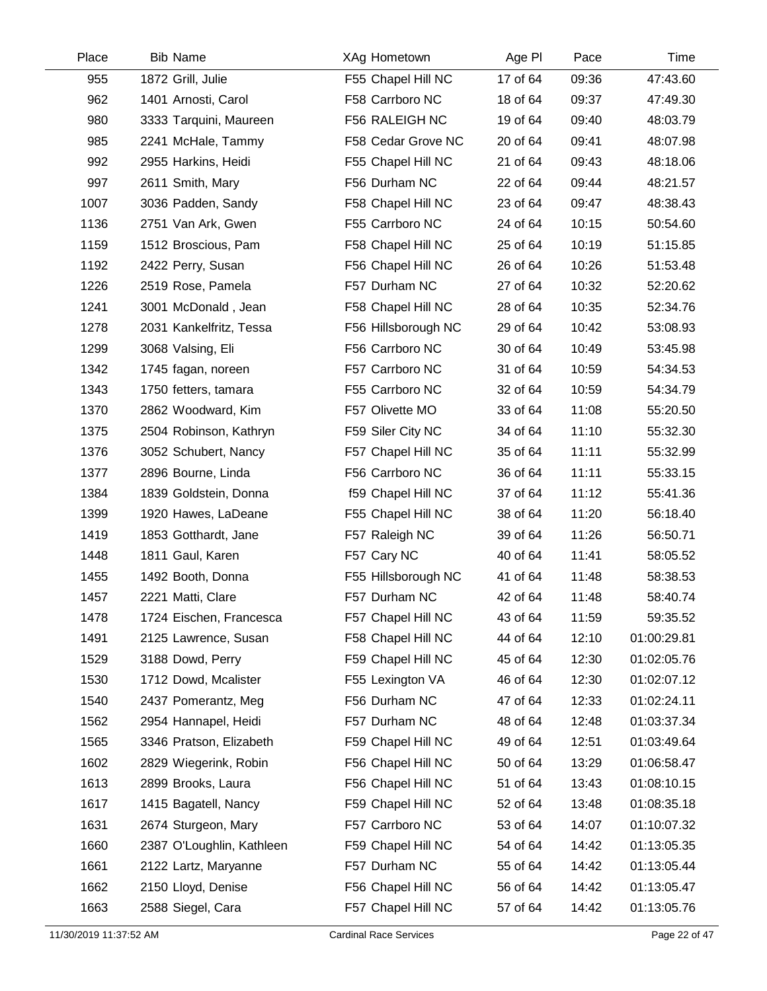| Place | <b>Bib Name</b>           | XAg Hometown        | Age PI   | Pace  | Time        |
|-------|---------------------------|---------------------|----------|-------|-------------|
| 955   | 1872 Grill, Julie         | F55 Chapel Hill NC  | 17 of 64 | 09:36 | 47:43.60    |
| 962   | 1401 Arnosti, Carol       | F58 Carrboro NC     | 18 of 64 | 09:37 | 47:49.30    |
| 980   | 3333 Tarquini, Maureen    | F56 RALEIGH NC      | 19 of 64 | 09:40 | 48:03.79    |
| 985   | 2241 McHale, Tammy        | F58 Cedar Grove NC  | 20 of 64 | 09:41 | 48:07.98    |
| 992   | 2955 Harkins, Heidi       | F55 Chapel Hill NC  | 21 of 64 | 09:43 | 48:18.06    |
| 997   | 2611 Smith, Mary          | F56 Durham NC       | 22 of 64 | 09:44 | 48:21.57    |
| 1007  | 3036 Padden, Sandy        | F58 Chapel Hill NC  | 23 of 64 | 09:47 | 48:38.43    |
| 1136  | 2751 Van Ark, Gwen        | F55 Carrboro NC     | 24 of 64 | 10:15 | 50:54.60    |
| 1159  | 1512 Broscious, Pam       | F58 Chapel Hill NC  | 25 of 64 | 10:19 | 51:15.85    |
| 1192  | 2422 Perry, Susan         | F56 Chapel Hill NC  | 26 of 64 | 10:26 | 51:53.48    |
| 1226  | 2519 Rose, Pamela         | F57 Durham NC       | 27 of 64 | 10:32 | 52:20.62    |
| 1241  | 3001 McDonald, Jean       | F58 Chapel Hill NC  | 28 of 64 | 10:35 | 52:34.76    |
| 1278  | 2031 Kankelfritz, Tessa   | F56 Hillsborough NC | 29 of 64 | 10:42 | 53:08.93    |
| 1299  | 3068 Valsing, Eli         | F56 Carrboro NC     | 30 of 64 | 10:49 | 53:45.98    |
| 1342  | 1745 fagan, noreen        | F57 Carrboro NC     | 31 of 64 | 10:59 | 54:34.53    |
| 1343  | 1750 fetters, tamara      | F55 Carrboro NC     | 32 of 64 | 10:59 | 54:34.79    |
| 1370  | 2862 Woodward, Kim        | F57 Olivette MO     | 33 of 64 | 11:08 | 55:20.50    |
| 1375  | 2504 Robinson, Kathryn    | F59 Siler City NC   | 34 of 64 | 11:10 | 55:32.30    |
| 1376  | 3052 Schubert, Nancy      | F57 Chapel Hill NC  | 35 of 64 | 11:11 | 55:32.99    |
| 1377  | 2896 Bourne, Linda        | F56 Carrboro NC     | 36 of 64 | 11:11 | 55:33.15    |
| 1384  | 1839 Goldstein, Donna     | f59 Chapel Hill NC  | 37 of 64 | 11:12 | 55:41.36    |
| 1399  | 1920 Hawes, LaDeane       | F55 Chapel Hill NC  | 38 of 64 | 11:20 | 56:18.40    |
| 1419  | 1853 Gotthardt, Jane      | F57 Raleigh NC      | 39 of 64 | 11:26 | 56:50.71    |
| 1448  | 1811 Gaul, Karen          | F57 Cary NC         | 40 of 64 | 11:41 | 58:05.52    |
| 1455  | 1492 Booth, Donna         | F55 Hillsborough NC | 41 of 64 | 11:48 | 58:38.53    |
| 1457  | 2221 Matti, Clare         | F57 Durham NC       | 42 of 64 | 11:48 | 58:40.74    |
| 1478  | 1724 Eischen, Francesca   | F57 Chapel Hill NC  | 43 of 64 | 11:59 | 59:35.52    |
| 1491  | 2125 Lawrence, Susan      | F58 Chapel Hill NC  | 44 of 64 | 12:10 | 01:00:29.81 |
| 1529  | 3188 Dowd, Perry          | F59 Chapel Hill NC  | 45 of 64 | 12:30 | 01:02:05.76 |
| 1530  | 1712 Dowd, Mcalister      | F55 Lexington VA    | 46 of 64 | 12:30 | 01:02:07.12 |
| 1540  | 2437 Pomerantz, Meg       | F56 Durham NC       | 47 of 64 | 12:33 | 01:02:24.11 |
| 1562  | 2954 Hannapel, Heidi      | F57 Durham NC       | 48 of 64 | 12:48 | 01:03:37.34 |
| 1565  | 3346 Pratson, Elizabeth   | F59 Chapel Hill NC  | 49 of 64 | 12:51 | 01:03:49.64 |
| 1602  | 2829 Wiegerink, Robin     | F56 Chapel Hill NC  | 50 of 64 | 13:29 | 01:06:58.47 |
| 1613  | 2899 Brooks, Laura        | F56 Chapel Hill NC  | 51 of 64 | 13:43 | 01:08:10.15 |
| 1617  | 1415 Bagatell, Nancy      | F59 Chapel Hill NC  | 52 of 64 | 13:48 | 01:08:35.18 |
| 1631  | 2674 Sturgeon, Mary       | F57 Carrboro NC     | 53 of 64 | 14:07 | 01:10:07.32 |
| 1660  | 2387 O'Loughlin, Kathleen | F59 Chapel Hill NC  | 54 of 64 | 14:42 | 01:13:05.35 |
| 1661  | 2122 Lartz, Maryanne      | F57 Durham NC       | 55 of 64 | 14:42 | 01:13:05.44 |
| 1662  | 2150 Lloyd, Denise        | F56 Chapel Hill NC  | 56 of 64 | 14:42 | 01:13:05.47 |
| 1663  | 2588 Siegel, Cara         | F57 Chapel Hill NC  | 57 of 64 | 14:42 | 01:13:05.76 |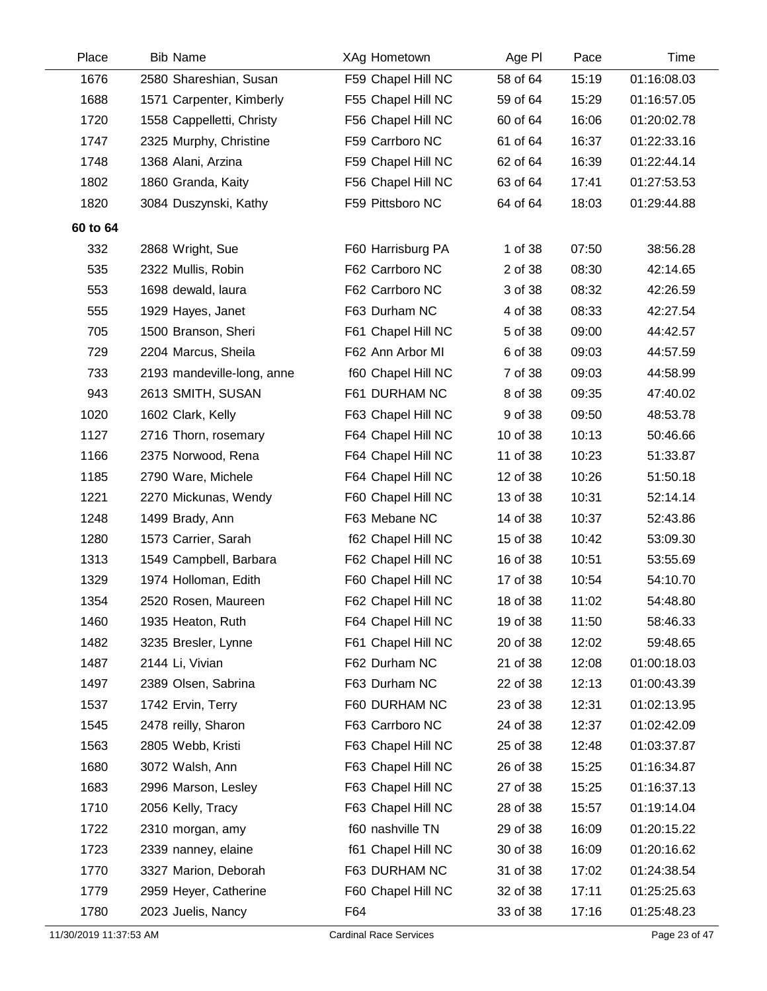| Place    | <b>Bib Name</b>            | XAg Hometown       | Age PI   | Pace  | Time        |
|----------|----------------------------|--------------------|----------|-------|-------------|
| 1676     | 2580 Shareshian, Susan     | F59 Chapel Hill NC | 58 of 64 | 15:19 | 01:16:08.03 |
| 1688     | 1571 Carpenter, Kimberly   | F55 Chapel Hill NC | 59 of 64 | 15:29 | 01:16:57.05 |
| 1720     | 1558 Cappelletti, Christy  | F56 Chapel Hill NC | 60 of 64 | 16:06 | 01:20:02.78 |
| 1747     | 2325 Murphy, Christine     | F59 Carrboro NC    | 61 of 64 | 16:37 | 01:22:33.16 |
| 1748     | 1368 Alani, Arzina         | F59 Chapel Hill NC | 62 of 64 | 16:39 | 01:22:44.14 |
| 1802     | 1860 Granda, Kaity         | F56 Chapel Hill NC | 63 of 64 | 17:41 | 01:27:53.53 |
| 1820     | 3084 Duszynski, Kathy      | F59 Pittsboro NC   | 64 of 64 | 18:03 | 01:29:44.88 |
| 60 to 64 |                            |                    |          |       |             |
| 332      | 2868 Wright, Sue           | F60 Harrisburg PA  | 1 of 38  | 07:50 | 38:56.28    |
| 535      | 2322 Mullis, Robin         | F62 Carrboro NC    | 2 of 38  | 08:30 | 42:14.65    |
| 553      | 1698 dewald, laura         | F62 Carrboro NC    | 3 of 38  | 08:32 | 42:26.59    |
| 555      | 1929 Hayes, Janet          | F63 Durham NC      | 4 of 38  | 08:33 | 42:27.54    |
| 705      | 1500 Branson, Sheri        | F61 Chapel Hill NC | 5 of 38  | 09:00 | 44:42.57    |
| 729      | 2204 Marcus, Sheila        | F62 Ann Arbor MI   | 6 of 38  | 09:03 | 44:57.59    |
| 733      | 2193 mandeville-long, anne | f60 Chapel Hill NC | 7 of 38  | 09:03 | 44:58.99    |
| 943      | 2613 SMITH, SUSAN          | F61 DURHAM NC      | 8 of 38  | 09:35 | 47:40.02    |
| 1020     | 1602 Clark, Kelly          | F63 Chapel Hill NC | 9 of 38  | 09:50 | 48:53.78    |
| 1127     | 2716 Thorn, rosemary       | F64 Chapel Hill NC | 10 of 38 | 10:13 | 50:46.66    |
| 1166     | 2375 Norwood, Rena         | F64 Chapel Hill NC | 11 of 38 | 10:23 | 51:33.87    |
| 1185     | 2790 Ware, Michele         | F64 Chapel Hill NC | 12 of 38 | 10:26 | 51:50.18    |
| 1221     | 2270 Mickunas, Wendy       | F60 Chapel Hill NC | 13 of 38 | 10:31 | 52:14.14    |
| 1248     | 1499 Brady, Ann            | F63 Mebane NC      | 14 of 38 | 10:37 | 52:43.86    |
| 1280     | 1573 Carrier, Sarah        | f62 Chapel Hill NC | 15 of 38 | 10:42 | 53:09.30    |
| 1313     | 1549 Campbell, Barbara     | F62 Chapel Hill NC | 16 of 38 | 10:51 | 53:55.69    |
| 1329     | 1974 Holloman, Edith       | F60 Chapel Hill NC | 17 of 38 | 10:54 | 54:10.70    |
| 1354     | 2520 Rosen, Maureen        | F62 Chapel Hill NC | 18 of 38 | 11:02 | 54:48.80    |
| 1460     | 1935 Heaton, Ruth          | F64 Chapel Hill NC | 19 of 38 | 11:50 | 58:46.33    |
| 1482     | 3235 Bresler, Lynne        | F61 Chapel Hill NC | 20 of 38 | 12:02 | 59:48.65    |
| 1487     | 2144 Li, Vivian            | F62 Durham NC      | 21 of 38 | 12:08 | 01:00:18.03 |
| 1497     | 2389 Olsen, Sabrina        | F63 Durham NC      | 22 of 38 | 12:13 | 01:00:43.39 |
| 1537     | 1742 Ervin, Terry          | F60 DURHAM NC      | 23 of 38 | 12:31 | 01:02:13.95 |
| 1545     | 2478 reilly, Sharon        | F63 Carrboro NC    | 24 of 38 | 12:37 | 01:02:42.09 |
| 1563     | 2805 Webb, Kristi          | F63 Chapel Hill NC | 25 of 38 | 12:48 | 01:03:37.87 |
| 1680     | 3072 Walsh, Ann            | F63 Chapel Hill NC | 26 of 38 | 15:25 | 01:16:34.87 |
| 1683     | 2996 Marson, Lesley        | F63 Chapel Hill NC | 27 of 38 | 15:25 | 01:16:37.13 |
| 1710     | 2056 Kelly, Tracy          | F63 Chapel Hill NC | 28 of 38 | 15:57 | 01:19:14.04 |
| 1722     | 2310 morgan, amy           | f60 nashville TN   | 29 of 38 | 16:09 | 01:20:15.22 |
| 1723     | 2339 nanney, elaine        | f61 Chapel Hill NC | 30 of 38 | 16:09 | 01:20:16.62 |
| 1770     | 3327 Marion, Deborah       | F63 DURHAM NC      | 31 of 38 | 17:02 | 01:24:38.54 |
| 1779     | 2959 Heyer, Catherine      | F60 Chapel Hill NC | 32 of 38 | 17:11 | 01:25:25.63 |
| 1780     | 2023 Juelis, Nancy         | F64                | 33 of 38 | 17:16 | 01:25:48.23 |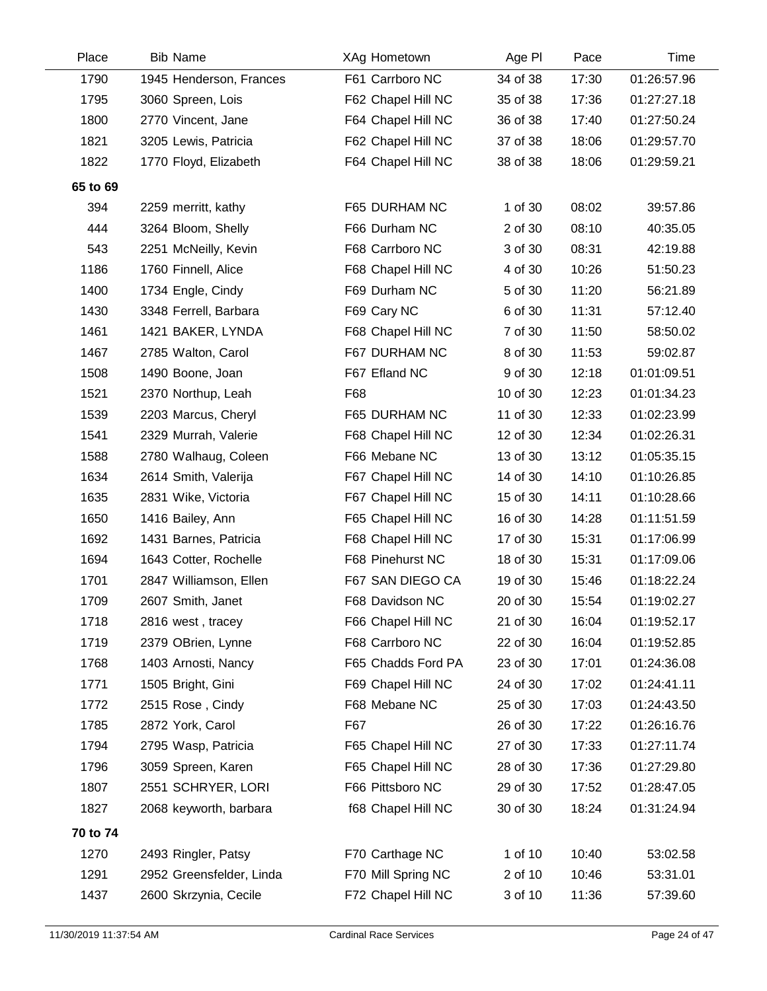| 1945 Henderson, Frances<br>3060 Spreen, Lois | F61 Carrboro NC    | 34 of 38 | 17:30 | 01:26:57.96 |
|----------------------------------------------|--------------------|----------|-------|-------------|
|                                              |                    |          |       |             |
|                                              | F62 Chapel Hill NC | 35 of 38 | 17:36 | 01:27:27.18 |
| 2770 Vincent, Jane                           | F64 Chapel Hill NC | 36 of 38 | 17:40 | 01:27:50.24 |
| 3205 Lewis, Patricia                         | F62 Chapel Hill NC | 37 of 38 | 18:06 | 01:29:57.70 |
| 1770 Floyd, Elizabeth                        | F64 Chapel Hill NC | 38 of 38 | 18:06 | 01:29:59.21 |
|                                              |                    |          |       |             |
| 2259 merritt, kathy                          | F65 DURHAM NC      | 1 of 30  | 08:02 | 39:57.86    |
| 3264 Bloom, Shelly                           | F66 Durham NC      | 2 of 30  | 08:10 | 40:35.05    |
| 2251 McNeilly, Kevin                         | F68 Carrboro NC    | 3 of 30  | 08:31 | 42:19.88    |
| 1760 Finnell, Alice                          | F68 Chapel Hill NC | 4 of 30  | 10:26 | 51:50.23    |
| 1734 Engle, Cindy                            | F69 Durham NC      | 5 of 30  | 11:20 | 56:21.89    |
| 3348 Ferrell, Barbara                        | F69 Cary NC        | 6 of 30  | 11:31 | 57:12.40    |
| 1421 BAKER, LYNDA                            | F68 Chapel Hill NC | 7 of 30  | 11:50 | 58:50.02    |
| 2785 Walton, Carol                           | F67 DURHAM NC      | 8 of 30  | 11:53 | 59:02.87    |
| 1490 Boone, Joan                             | F67 Efland NC      | 9 of 30  | 12:18 | 01:01:09.51 |
| 2370 Northup, Leah                           | F68                | 10 of 30 | 12:23 | 01:01:34.23 |
| 2203 Marcus, Cheryl                          | F65 DURHAM NC      | 11 of 30 | 12:33 | 01:02:23.99 |
| 2329 Murrah, Valerie                         | F68 Chapel Hill NC | 12 of 30 | 12:34 | 01:02:26.31 |
| 2780 Walhaug, Coleen                         | F66 Mebane NC      | 13 of 30 | 13:12 | 01:05:35.15 |
| 2614 Smith, Valerija                         | F67 Chapel Hill NC | 14 of 30 | 14:10 | 01:10:26.85 |
| 2831 Wike, Victoria                          | F67 Chapel Hill NC | 15 of 30 | 14:11 | 01:10:28.66 |
| 1416 Bailey, Ann                             | F65 Chapel Hill NC | 16 of 30 | 14:28 | 01:11:51.59 |
| 1431 Barnes, Patricia                        | F68 Chapel Hill NC | 17 of 30 | 15:31 | 01:17:06.99 |
| 1643 Cotter, Rochelle                        | F68 Pinehurst NC   | 18 of 30 | 15:31 | 01:17:09.06 |
| 2847 Williamson, Ellen                       | F67 SAN DIEGO CA   | 19 of 30 | 15:46 | 01:18:22.24 |
| 2607 Smith, Janet                            | F68 Davidson NC    | 20 of 30 | 15:54 | 01:19:02.27 |
| 2816 west, tracey                            | F66 Chapel Hill NC | 21 of 30 | 16:04 | 01:19:52.17 |
| 2379 OBrien, Lynne                           | F68 Carrboro NC    | 22 of 30 | 16:04 | 01:19:52.85 |
| 1403 Arnosti, Nancy                          | F65 Chadds Ford PA | 23 of 30 | 17:01 | 01:24:36.08 |
| 1505 Bright, Gini                            | F69 Chapel Hill NC | 24 of 30 | 17:02 | 01:24:41.11 |
| 2515 Rose, Cindy                             | F68 Mebane NC      | 25 of 30 | 17:03 | 01:24:43.50 |
| 2872 York, Carol                             | F67                | 26 of 30 | 17:22 | 01:26:16.76 |
| 2795 Wasp, Patricia                          | F65 Chapel Hill NC | 27 of 30 | 17:33 | 01:27:11.74 |
| 3059 Spreen, Karen                           | F65 Chapel Hill NC | 28 of 30 | 17:36 | 01:27:29.80 |
| 2551 SCHRYER, LORI                           | F66 Pittsboro NC   | 29 of 30 | 17:52 | 01:28:47.05 |
| 2068 keyworth, barbara                       | f68 Chapel Hill NC | 30 of 30 | 18:24 | 01:31:24.94 |
|                                              |                    |          |       |             |
| 2493 Ringler, Patsy                          | F70 Carthage NC    | 1 of 10  | 10:40 | 53:02.58    |
| 2952 Greensfelder, Linda                     | F70 Mill Spring NC | 2 of 10  | 10:46 | 53:31.01    |
| 2600 Skrzynia, Cecile                        | F72 Chapel Hill NC | 3 of 10  | 11:36 | 57:39.60    |
|                                              |                    |          |       |             |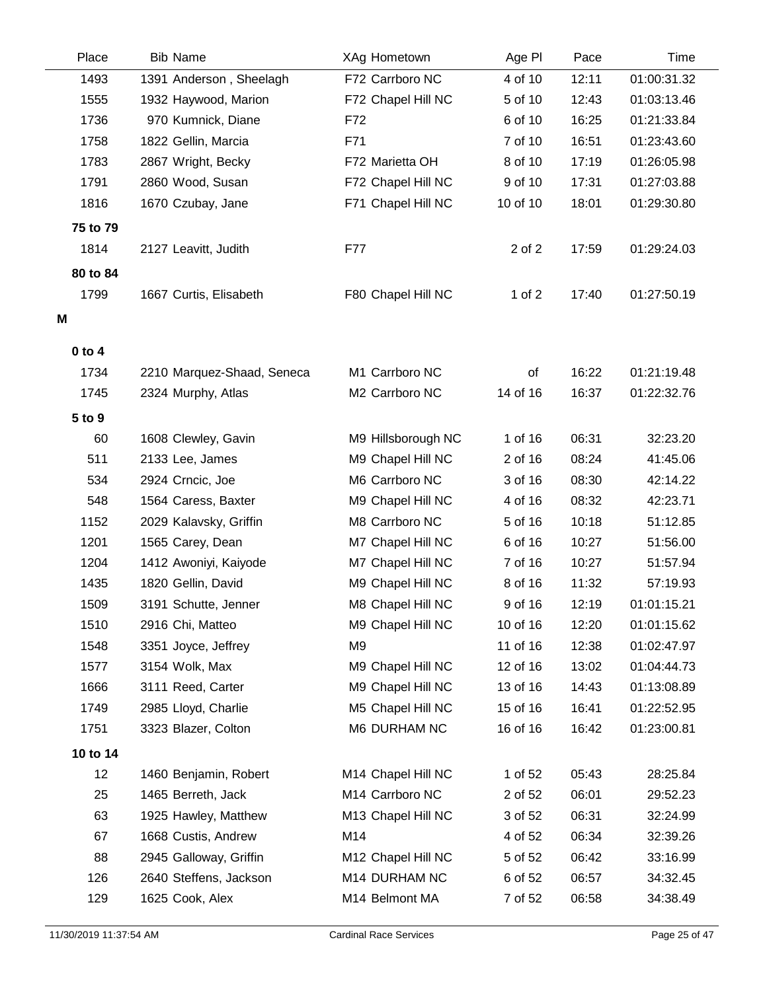| Place        | <b>Bib Name</b>            | XAg Hometown       | Age PI         | Pace  | Time                       |
|--------------|----------------------------|--------------------|----------------|-------|----------------------------|
| 1493         | 1391 Anderson, Sheelagh    | F72 Carrboro NC    | 4 of 10        | 12:11 | 01:00:31.32                |
| 1555         | 1932 Haywood, Marion       | F72 Chapel Hill NC | 5 of 10        | 12:43 | 01:03:13.46                |
| 1736         | 970 Kumnick, Diane         | F72                | 6 of 10        | 16:25 | 01:21:33.84                |
| 1758         | 1822 Gellin, Marcia        | F71                | 7 of 10        | 16:51 | 01:23:43.60                |
| 1783         | 2867 Wright, Becky         | F72 Marietta OH    | 8 of 10        | 17:19 | 01:26:05.98                |
| 1791         | 2860 Wood, Susan           | F72 Chapel Hill NC | 9 of 10        | 17:31 | 01:27:03.88                |
| 1816         | 1670 Czubay, Jane          | F71 Chapel Hill NC | 10 of 10       | 18:01 | 01:29:30.80                |
| 75 to 79     |                            |                    |                |       |                            |
| 1814         | 2127 Leavitt, Judith       | F77                | 2 of 2         | 17:59 | 01:29:24.03                |
| 80 to 84     |                            |                    |                |       |                            |
| 1799         | 1667 Curtis, Elisabeth     | F80 Chapel Hill NC | 1 of $2$       | 17:40 | 01:27:50.19                |
| M            |                            |                    |                |       |                            |
|              |                            |                    |                |       |                            |
| $0$ to $4$   |                            | M1 Carrboro NC     |                | 16:22 |                            |
| 1734<br>1745 | 2210 Marquez-Shaad, Seneca | M2 Carrboro NC     | οf<br>14 of 16 | 16:37 | 01:21:19.48<br>01:22:32.76 |
|              | 2324 Murphy, Atlas         |                    |                |       |                            |
| 5 to 9       |                            |                    |                |       |                            |
| 60           | 1608 Clewley, Gavin        | M9 Hillsborough NC | 1 of 16        | 06:31 | 32:23.20                   |
| 511          | 2133 Lee, James            | M9 Chapel Hill NC  | 2 of 16        | 08:24 | 41:45.06                   |
| 534          | 2924 Crncic, Joe           | M6 Carrboro NC     | 3 of 16        | 08:30 | 42:14.22                   |
| 548          | 1564 Caress, Baxter        | M9 Chapel Hill NC  | 4 of 16        | 08:32 | 42:23.71                   |
| 1152         | 2029 Kalavsky, Griffin     | M8 Carrboro NC     | 5 of 16        | 10:18 | 51:12.85                   |
| 1201         | 1565 Carey, Dean           | M7 Chapel Hill NC  | 6 of 16        | 10:27 | 51:56.00                   |
| 1204         | 1412 Awoniyi, Kaiyode      | M7 Chapel Hill NC  | 7 of 16        | 10:27 | 51:57.94                   |
| 1435         | 1820 Gellin, David         | M9 Chapel Hill NC  | 8 of 16        | 11:32 | 57:19.93                   |
| 1509         | 3191 Schutte, Jenner       | M8 Chapel Hill NC  | 9 of 16        | 12:19 | 01:01:15.21                |
| 1510         | 2916 Chi, Matteo           | M9 Chapel Hill NC  | 10 of 16       | 12:20 | 01:01:15.62                |
| 1548         | 3351 Joyce, Jeffrey        | M9                 | 11 of 16       | 12:38 | 01:02:47.97                |
| 1577         | 3154 Wolk, Max             | M9 Chapel Hill NC  | 12 of 16       | 13:02 | 01:04:44.73                |
| 1666         | 3111 Reed, Carter          | M9 Chapel Hill NC  | 13 of 16       | 14:43 | 01:13:08.89                |
| 1749         | 2985 Lloyd, Charlie        | M5 Chapel Hill NC  | 15 of 16       | 16:41 | 01:22:52.95                |
| 1751         | 3323 Blazer, Colton        | M6 DURHAM NC       | 16 of 16       | 16:42 | 01:23:00.81                |
| 10 to 14     |                            |                    |                |       |                            |
| 12           | 1460 Benjamin, Robert      | M14 Chapel Hill NC | 1 of 52        | 05:43 | 28:25.84                   |
| 25           | 1465 Berreth, Jack         | M14 Carrboro NC    | 2 of 52        | 06:01 | 29:52.23                   |
| 63           | 1925 Hawley, Matthew       | M13 Chapel Hill NC | 3 of 52        | 06:31 | 32:24.99                   |
| 67           | 1668 Custis, Andrew        | M14                | 4 of 52        | 06:34 | 32:39.26                   |
| 88           | 2945 Galloway, Griffin     | M12 Chapel Hill NC | 5 of 52        | 06:42 | 33:16.99                   |
| 126          | 2640 Steffens, Jackson     | M14 DURHAM NC      | 6 of 52        | 06:57 | 34:32.45                   |
| 129          | 1625 Cook, Alex            | M14 Belmont MA     | 7 of 52        | 06:58 | 34:38.49                   |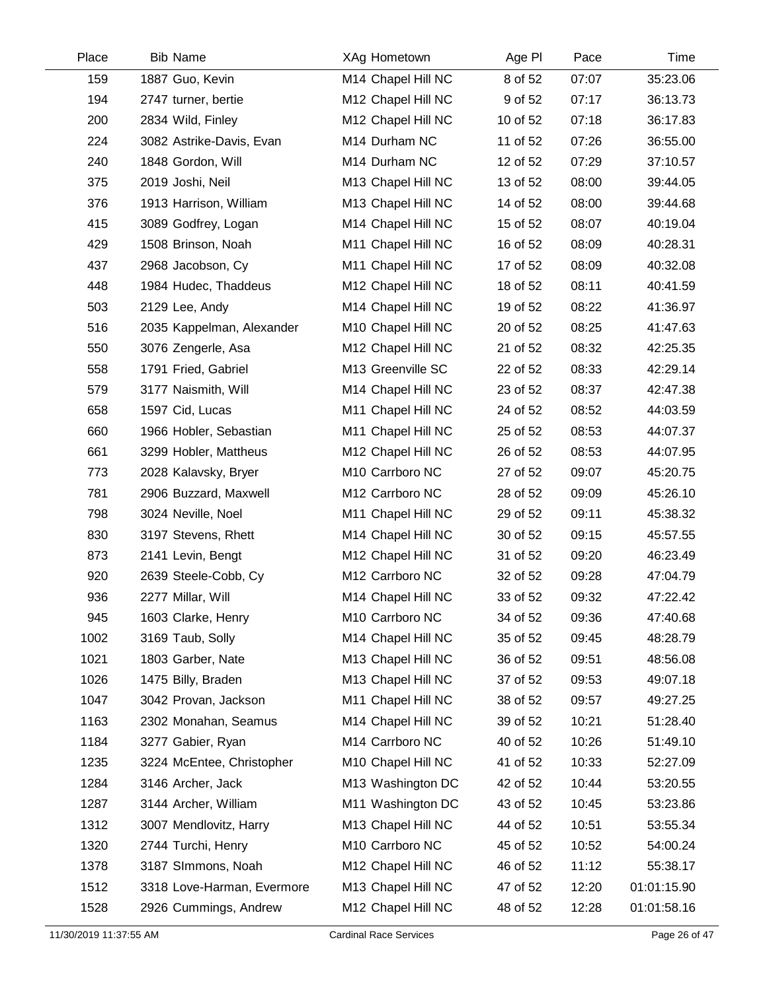| Place | <b>Bib Name</b>            | XAg Hometown       | Age PI   | Pace  | Time        |
|-------|----------------------------|--------------------|----------|-------|-------------|
| 159   | 1887 Guo, Kevin            | M14 Chapel Hill NC | 8 of 52  | 07:07 | 35:23.06    |
| 194   | 2747 turner, bertie        | M12 Chapel Hill NC | 9 of 52  | 07:17 | 36:13.73    |
| 200   | 2834 Wild, Finley          | M12 Chapel Hill NC | 10 of 52 | 07:18 | 36:17.83    |
| 224   | 3082 Astrike-Davis, Evan   | M14 Durham NC      | 11 of 52 | 07:26 | 36:55.00    |
| 240   | 1848 Gordon, Will          | M14 Durham NC      | 12 of 52 | 07:29 | 37:10.57    |
| 375   | 2019 Joshi, Neil           | M13 Chapel Hill NC | 13 of 52 | 08:00 | 39:44.05    |
| 376   | 1913 Harrison, William     | M13 Chapel Hill NC | 14 of 52 | 08:00 | 39:44.68    |
| 415   | 3089 Godfrey, Logan        | M14 Chapel Hill NC | 15 of 52 | 08:07 | 40:19.04    |
| 429   | 1508 Brinson, Noah         | M11 Chapel Hill NC | 16 of 52 | 08:09 | 40:28.31    |
| 437   | 2968 Jacobson, Cy          | M11 Chapel Hill NC | 17 of 52 | 08:09 | 40:32.08    |
| 448   | 1984 Hudec, Thaddeus       | M12 Chapel Hill NC | 18 of 52 | 08:11 | 40:41.59    |
| 503   | 2129 Lee, Andy             | M14 Chapel Hill NC | 19 of 52 | 08:22 | 41:36.97    |
| 516   | 2035 Kappelman, Alexander  | M10 Chapel Hill NC | 20 of 52 | 08:25 | 41:47.63    |
| 550   | 3076 Zengerle, Asa         | M12 Chapel Hill NC | 21 of 52 | 08:32 | 42:25.35    |
| 558   | 1791 Fried, Gabriel        | M13 Greenville SC  | 22 of 52 | 08:33 | 42:29.14    |
| 579   | 3177 Naismith, Will        | M14 Chapel Hill NC | 23 of 52 | 08:37 | 42:47.38    |
| 658   | 1597 Cid, Lucas            | M11 Chapel Hill NC | 24 of 52 | 08:52 | 44:03.59    |
| 660   | 1966 Hobler, Sebastian     | M11 Chapel Hill NC | 25 of 52 | 08:53 | 44:07.37    |
| 661   | 3299 Hobler, Mattheus      | M12 Chapel Hill NC | 26 of 52 | 08:53 | 44:07.95    |
| 773   | 2028 Kalavsky, Bryer       | M10 Carrboro NC    | 27 of 52 | 09:07 | 45:20.75    |
| 781   | 2906 Buzzard, Maxwell      | M12 Carrboro NC    | 28 of 52 | 09:09 | 45:26.10    |
| 798   | 3024 Neville, Noel         | M11 Chapel Hill NC | 29 of 52 | 09:11 | 45:38.32    |
| 830   | 3197 Stevens, Rhett        | M14 Chapel Hill NC | 30 of 52 | 09:15 | 45:57.55    |
| 873   | 2141 Levin, Bengt          | M12 Chapel Hill NC | 31 of 52 | 09:20 | 46:23.49    |
| 920   | 2639 Steele-Cobb, Cy       | M12 Carrboro NC    | 32 of 52 | 09:28 | 47:04.79    |
| 936   | 2277 Millar, Will          | M14 Chapel Hill NC | 33 of 52 | 09:32 | 47:22.42    |
| 945   | 1603 Clarke, Henry         | M10 Carrboro NC    | 34 of 52 | 09:36 | 47:40.68    |
| 1002  | 3169 Taub, Solly           | M14 Chapel Hill NC | 35 of 52 | 09:45 | 48:28.79    |
| 1021  | 1803 Garber, Nate          | M13 Chapel Hill NC | 36 of 52 | 09:51 | 48:56.08    |
| 1026  | 1475 Billy, Braden         | M13 Chapel Hill NC | 37 of 52 | 09:53 | 49:07.18    |
| 1047  | 3042 Provan, Jackson       | M11 Chapel Hill NC | 38 of 52 | 09:57 | 49:27.25    |
| 1163  | 2302 Monahan, Seamus       | M14 Chapel Hill NC | 39 of 52 | 10:21 | 51:28.40    |
| 1184  | 3277 Gabier, Ryan          | M14 Carrboro NC    | 40 of 52 | 10:26 | 51:49.10    |
| 1235  | 3224 McEntee, Christopher  | M10 Chapel Hill NC | 41 of 52 | 10:33 | 52:27.09    |
| 1284  | 3146 Archer, Jack          | M13 Washington DC  | 42 of 52 | 10:44 | 53:20.55    |
| 1287  | 3144 Archer, William       | M11 Washington DC  | 43 of 52 | 10:45 | 53:23.86    |
| 1312  | 3007 Mendlovitz, Harry     | M13 Chapel Hill NC | 44 of 52 | 10:51 | 53:55.34    |
| 1320  | 2744 Turchi, Henry         | M10 Carrboro NC    | 45 of 52 | 10:52 | 54:00.24    |
| 1378  | 3187 SImmons, Noah         | M12 Chapel Hill NC | 46 of 52 | 11:12 | 55:38.17    |
| 1512  | 3318 Love-Harman, Evermore | M13 Chapel Hill NC | 47 of 52 | 12:20 | 01:01:15.90 |
| 1528  | 2926 Cummings, Andrew      | M12 Chapel Hill NC | 48 of 52 | 12:28 | 01:01:58.16 |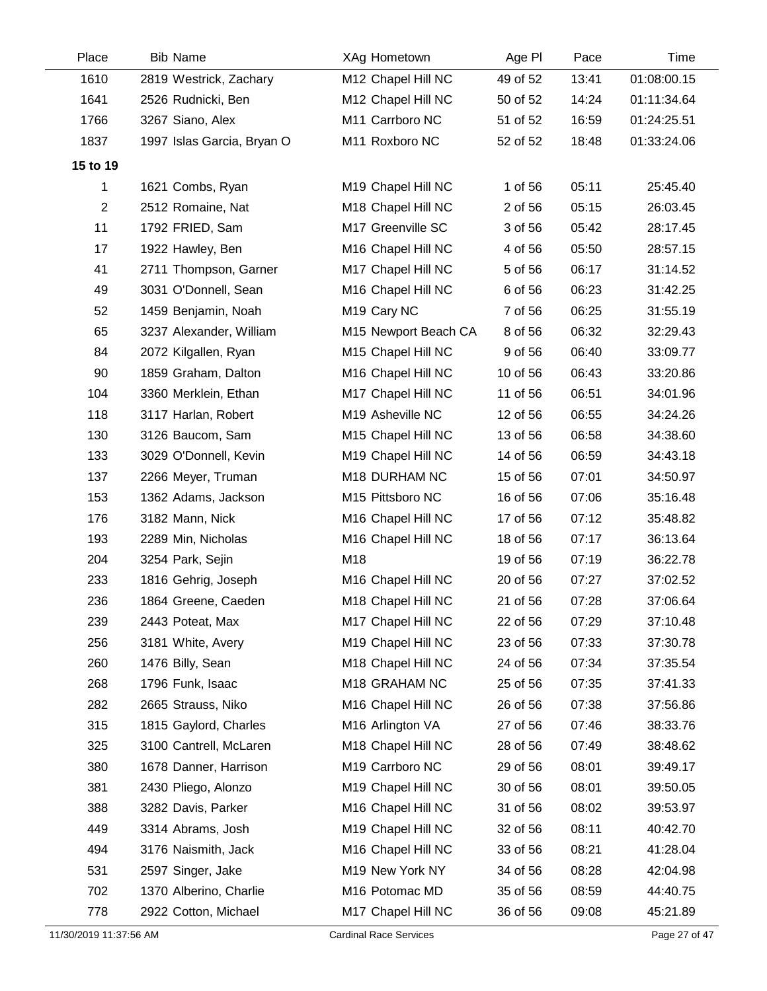| Place          | <b>Bib Name</b>            | XAg Hometown            | Age PI   | Pace  | Time        |
|----------------|----------------------------|-------------------------|----------|-------|-------------|
| 1610           | 2819 Westrick, Zachary     | M12 Chapel Hill NC      | 49 of 52 | 13:41 | 01:08:00.15 |
| 1641           | 2526 Rudnicki, Ben         | M12 Chapel Hill NC      | 50 of 52 | 14:24 | 01:11:34.64 |
| 1766           | 3267 Siano, Alex           | M11 Carrboro NC         | 51 of 52 | 16:59 | 01:24:25.51 |
| 1837           | 1997 Islas Garcia, Bryan O | M11 Roxboro NC          | 52 of 52 | 18:48 | 01:33:24.06 |
| 15 to 19       |                            |                         |          |       |             |
| 1              | 1621 Combs, Ryan           | M19 Chapel Hill NC      | 1 of 56  | 05:11 | 25:45.40    |
| $\overline{2}$ | 2512 Romaine, Nat          | M18 Chapel Hill NC      | 2 of 56  | 05:15 | 26:03.45    |
| 11             | 1792 FRIED, Sam            | M17 Greenville SC       | 3 of 56  | 05:42 | 28:17.45    |
| 17             | 1922 Hawley, Ben           | M16 Chapel Hill NC      | 4 of 56  | 05:50 | 28:57.15    |
| 41             | 2711 Thompson, Garner      | M17 Chapel Hill NC      | 5 of 56  | 06:17 | 31:14.52    |
| 49             | 3031 O'Donnell, Sean       | M16 Chapel Hill NC      | 6 of 56  | 06:23 | 31:42.25    |
| 52             | 1459 Benjamin, Noah        | M <sub>19</sub> Cary NC | 7 of 56  | 06:25 | 31:55.19    |
| 65             | 3237 Alexander, William    | M15 Newport Beach CA    | 8 of 56  | 06:32 | 32:29.43    |
| 84             | 2072 Kilgallen, Ryan       | M15 Chapel Hill NC      | 9 of 56  | 06:40 | 33:09.77    |
| 90             | 1859 Graham, Dalton        | M16 Chapel Hill NC      | 10 of 56 | 06:43 | 33:20.86    |
| 104            | 3360 Merklein, Ethan       | M17 Chapel Hill NC      | 11 of 56 | 06:51 | 34:01.96    |
| 118            | 3117 Harlan, Robert        | M19 Asheville NC        | 12 of 56 | 06:55 | 34:24.26    |
| 130            | 3126 Baucom, Sam           | M15 Chapel Hill NC      | 13 of 56 | 06:58 | 34:38.60    |
| 133            | 3029 O'Donnell, Kevin      | M19 Chapel Hill NC      | 14 of 56 | 06:59 | 34:43.18    |
| 137            | 2266 Meyer, Truman         | M18 DURHAM NC           | 15 of 56 | 07:01 | 34:50.97    |
| 153            | 1362 Adams, Jackson        | M15 Pittsboro NC        | 16 of 56 | 07:06 | 35:16.48    |
| 176            | 3182 Mann, Nick            | M16 Chapel Hill NC      | 17 of 56 | 07:12 | 35:48.82    |
| 193            | 2289 Min, Nicholas         | M16 Chapel Hill NC      | 18 of 56 | 07:17 | 36:13.64    |
| 204            | 3254 Park, Sejin           | M18                     | 19 of 56 | 07:19 | 36:22.78    |
| 233            | 1816 Gehrig, Joseph        | M16 Chapel Hill NC      | 20 of 56 | 07:27 | 37:02.52    |
| 236            | 1864 Greene, Caeden        | M18 Chapel Hill NC      | 21 of 56 | 07:28 | 37:06.64    |
| 239            | 2443 Poteat, Max           | M17 Chapel Hill NC      | 22 of 56 | 07:29 | 37:10.48    |
| 256            | 3181 White, Avery          | M19 Chapel Hill NC      | 23 of 56 | 07:33 | 37:30.78    |
| 260            | 1476 Billy, Sean           | M18 Chapel Hill NC      | 24 of 56 | 07:34 | 37:35.54    |
| 268            | 1796 Funk, Isaac           | M18 GRAHAM NC           | 25 of 56 | 07:35 | 37:41.33    |
| 282            | 2665 Strauss, Niko         | M16 Chapel Hill NC      | 26 of 56 | 07:38 | 37:56.86    |
| 315            | 1815 Gaylord, Charles      | M16 Arlington VA        | 27 of 56 | 07:46 | 38:33.76    |
| 325            | 3100 Cantrell, McLaren     | M18 Chapel Hill NC      | 28 of 56 | 07:49 | 38:48.62    |
| 380            | 1678 Danner, Harrison      | M19 Carrboro NC         | 29 of 56 | 08:01 | 39:49.17    |
| 381            | 2430 Pliego, Alonzo        | M19 Chapel Hill NC      | 30 of 56 | 08:01 | 39:50.05    |
| 388            | 3282 Davis, Parker         | M16 Chapel Hill NC      | 31 of 56 | 08:02 | 39:53.97    |
| 449            | 3314 Abrams, Josh          | M19 Chapel Hill NC      | 32 of 56 | 08:11 | 40:42.70    |
| 494            | 3176 Naismith, Jack        | M16 Chapel Hill NC      | 33 of 56 | 08:21 | 41:28.04    |
| 531            | 2597 Singer, Jake          | M19 New York NY         | 34 of 56 | 08:28 | 42:04.98    |
| 702            | 1370 Alberino, Charlie     | M16 Potomac MD          | 35 of 56 | 08:59 | 44:40.75    |
| 778            | 2922 Cotton, Michael       | M17 Chapel Hill NC      | 36 of 56 | 09:08 | 45:21.89    |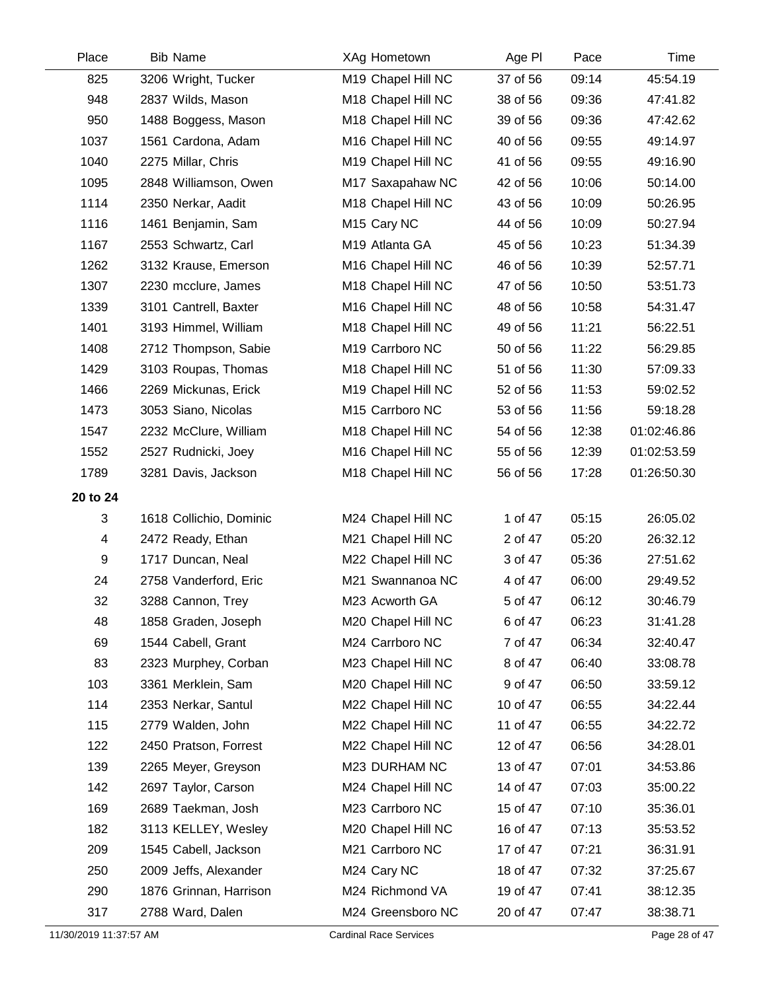| Place    | <b>Bib Name</b>         | XAg Hometown               | Age PI   | Pace  | Time        |
|----------|-------------------------|----------------------------|----------|-------|-------------|
| 825      | 3206 Wright, Tucker     | M19 Chapel Hill NC         | 37 of 56 | 09:14 | 45:54.19    |
| 948      | 2837 Wilds, Mason       | M18 Chapel Hill NC         | 38 of 56 | 09:36 | 47:41.82    |
| 950      | 1488 Boggess, Mason     | M18 Chapel Hill NC         | 39 of 56 | 09:36 | 47:42.62    |
| 1037     | 1561 Cardona, Adam      | M16 Chapel Hill NC         | 40 of 56 | 09:55 | 49:14.97    |
| 1040     | 2275 Millar, Chris      | M19 Chapel Hill NC         | 41 of 56 | 09:55 | 49:16.90    |
| 1095     | 2848 Williamson, Owen   | M17 Saxapahaw NC           | 42 of 56 | 10:06 | 50:14.00    |
| 1114     | 2350 Nerkar, Aadit      | M18 Chapel Hill NC         | 43 of 56 | 10:09 | 50:26.95    |
| 1116     | 1461 Benjamin, Sam      | M <sub>15</sub> Cary NC    | 44 of 56 | 10:09 | 50:27.94    |
| 1167     | 2553 Schwartz, Carl     | M <sub>19</sub> Atlanta GA | 45 of 56 | 10:23 | 51:34.39    |
| 1262     | 3132 Krause, Emerson    | M16 Chapel Hill NC         | 46 of 56 | 10:39 | 52:57.71    |
| 1307     | 2230 mcclure, James     | M18 Chapel Hill NC         | 47 of 56 | 10:50 | 53:51.73    |
| 1339     | 3101 Cantrell, Baxter   | M16 Chapel Hill NC         | 48 of 56 | 10:58 | 54:31.47    |
| 1401     | 3193 Himmel, William    | M18 Chapel Hill NC         | 49 of 56 | 11:21 | 56:22.51    |
| 1408     | 2712 Thompson, Sabie    | M19 Carrboro NC            | 50 of 56 | 11:22 | 56:29.85    |
| 1429     | 3103 Roupas, Thomas     | M18 Chapel Hill NC         | 51 of 56 | 11:30 | 57:09.33    |
| 1466     | 2269 Mickunas, Erick    | M19 Chapel Hill NC         | 52 of 56 | 11:53 | 59:02.52    |
| 1473     | 3053 Siano, Nicolas     | M15 Carrboro NC            | 53 of 56 | 11:56 | 59:18.28    |
| 1547     | 2232 McClure, William   | M18 Chapel Hill NC         | 54 of 56 | 12:38 | 01:02:46.86 |
| 1552     | 2527 Rudnicki, Joey     | M16 Chapel Hill NC         | 55 of 56 | 12:39 | 01:02:53.59 |
| 1789     | 3281 Davis, Jackson     | M18 Chapel Hill NC         | 56 of 56 | 17:28 | 01:26:50.30 |
| 20 to 24 |                         |                            |          |       |             |
| 3        | 1618 Collichio, Dominic | M24 Chapel Hill NC         | 1 of 47  | 05:15 | 26:05.02    |
| 4        | 2472 Ready, Ethan       | M21 Chapel Hill NC         | 2 of 47  | 05:20 | 26:32.12    |
| 9        | 1717 Duncan, Neal       | M22 Chapel Hill NC         | 3 of 47  | 05:36 | 27:51.62    |
| 24       | 2758 Vanderford, Eric   | M21 Swannanoa NC           | 4 of 47  | 06:00 | 29:49.52    |
| 32       | 3288 Cannon, Trey       | M23 Acworth GA             | 5 of 47  | 06:12 | 30:46.79    |
| 48       | 1858 Graden, Joseph     | M20 Chapel Hill NC         | 6 of 47  | 06:23 | 31:41.28    |
| 69       | 1544 Cabell, Grant      | M24 Carrboro NC            | 7 of 47  | 06:34 | 32:40.47    |
| 83       | 2323 Murphey, Corban    | M23 Chapel Hill NC         | 8 of 47  | 06:40 | 33:08.78    |
| 103      | 3361 Merklein, Sam      | M20 Chapel Hill NC         | 9 of 47  | 06:50 | 33:59.12    |
| 114      | 2353 Nerkar, Santul     | M22 Chapel Hill NC         | 10 of 47 | 06:55 | 34:22.44    |
| 115      | 2779 Walden, John       | M22 Chapel Hill NC         | 11 of 47 | 06:55 | 34:22.72    |
| 122      | 2450 Pratson, Forrest   | M22 Chapel Hill NC         | 12 of 47 | 06:56 | 34:28.01    |
| 139      | 2265 Meyer, Greyson     | M23 DURHAM NC              | 13 of 47 | 07:01 | 34:53.86    |
| 142      | 2697 Taylor, Carson     | M24 Chapel Hill NC         | 14 of 47 | 07:03 | 35:00.22    |
| 169      | 2689 Taekman, Josh      | M23 Carrboro NC            | 15 of 47 | 07:10 | 35:36.01    |
| 182      | 3113 KELLEY, Wesley     | M20 Chapel Hill NC         | 16 of 47 | 07:13 | 35:53.52    |
| 209      | 1545 Cabell, Jackson    | M21 Carrboro NC            | 17 of 47 | 07:21 | 36:31.91    |
| 250      | 2009 Jeffs, Alexander   | M24 Cary NC                | 18 of 47 | 07:32 | 37:25.67    |
| 290      | 1876 Grinnan, Harrison  | M24 Richmond VA            | 19 of 47 | 07:41 | 38:12.35    |
| 317      | 2788 Ward, Dalen        | M24 Greensboro NC          | 20 of 47 | 07:47 | 38:38.71    |

Ĺ,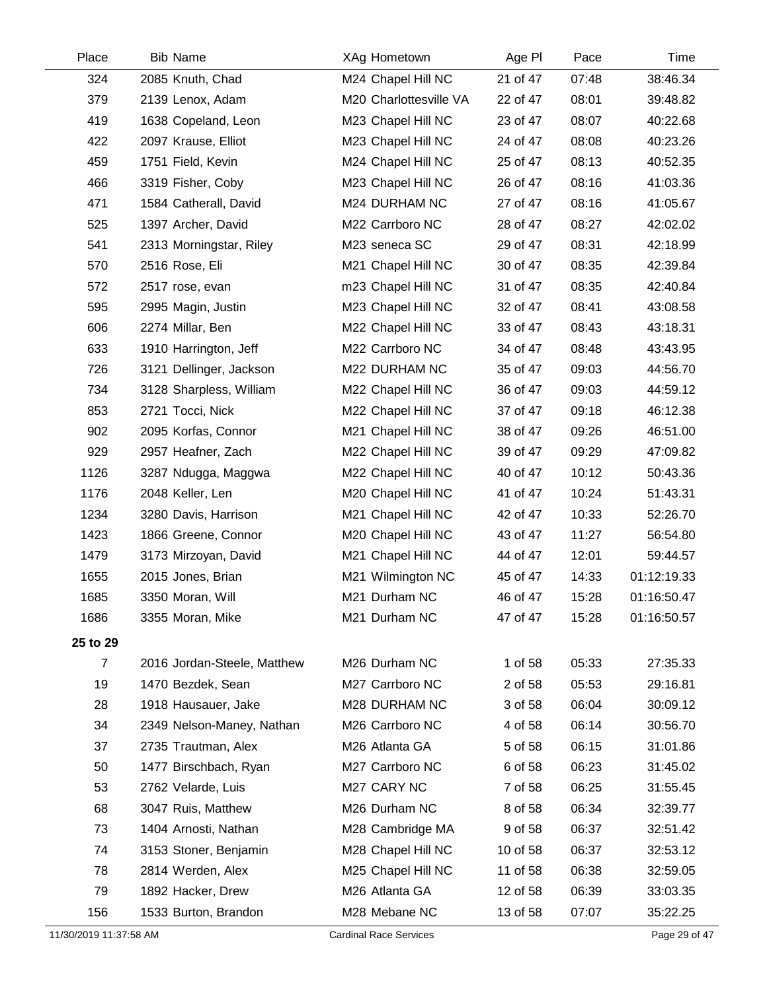| Place          | <b>Bib Name</b>             | XAg Hometown           | Age PI   | Pace  | Time        |
|----------------|-----------------------------|------------------------|----------|-------|-------------|
| 324            | 2085 Knuth, Chad            | M24 Chapel Hill NC     | 21 of 47 | 07:48 | 38:46.34    |
| 379            | 2139 Lenox, Adam            | M20 Charlottesville VA | 22 of 47 | 08:01 | 39:48.82    |
| 419            | 1638 Copeland, Leon         | M23 Chapel Hill NC     | 23 of 47 | 08:07 | 40:22.68    |
| 422            | 2097 Krause, Elliot         | M23 Chapel Hill NC     | 24 of 47 | 08:08 | 40:23.26    |
| 459            | 1751 Field, Kevin           | M24 Chapel Hill NC     | 25 of 47 | 08:13 | 40:52.35    |
| 466            | 3319 Fisher, Coby           | M23 Chapel Hill NC     | 26 of 47 | 08:16 | 41:03.36    |
| 471            | 1584 Catherall, David       | M24 DURHAM NC          | 27 of 47 | 08:16 | 41:05.67    |
| 525            | 1397 Archer, David          | M22 Carrboro NC        | 28 of 47 | 08:27 | 42:02.02    |
| 541            | 2313 Morningstar, Riley     | M23 seneca SC          | 29 of 47 | 08:31 | 42:18.99    |
| 570            | 2516 Rose, Eli              | M21 Chapel Hill NC     | 30 of 47 | 08:35 | 42:39.84    |
| 572            | 2517 rose, evan             | m23 Chapel Hill NC     | 31 of 47 | 08:35 | 42:40.84    |
| 595            | 2995 Magin, Justin          | M23 Chapel Hill NC     | 32 of 47 | 08:41 | 43:08.58    |
| 606            | 2274 Millar, Ben            | M22 Chapel Hill NC     | 33 of 47 | 08:43 | 43:18.31    |
| 633            | 1910 Harrington, Jeff       | M22 Carrboro NC        | 34 of 47 | 08:48 | 43:43.95    |
| 726            | 3121 Dellinger, Jackson     | M22 DURHAM NC          | 35 of 47 | 09:03 | 44:56.70    |
| 734            | 3128 Sharpless, William     | M22 Chapel Hill NC     | 36 of 47 | 09:03 | 44:59.12    |
| 853            | 2721 Tocci, Nick            | M22 Chapel Hill NC     | 37 of 47 | 09:18 | 46:12.38    |
| 902            | 2095 Korfas, Connor         | M21 Chapel Hill NC     | 38 of 47 | 09:26 | 46:51.00    |
| 929            | 2957 Heafner, Zach          | M22 Chapel Hill NC     | 39 of 47 | 09:29 | 47:09.82    |
| 1126           | 3287 Ndugga, Maggwa         | M22 Chapel Hill NC     | 40 of 47 | 10:12 | 50:43.36    |
| 1176           | 2048 Keller, Len            | M20 Chapel Hill NC     | 41 of 47 | 10:24 | 51:43.31    |
| 1234           | 3280 Davis, Harrison        | M21 Chapel Hill NC     | 42 of 47 | 10:33 | 52:26.70    |
| 1423           | 1866 Greene, Connor         | M20 Chapel Hill NC     | 43 of 47 | 11:27 | 56:54.80    |
| 1479           | 3173 Mirzoyan, David        | M21 Chapel Hill NC     | 44 of 47 | 12:01 | 59:44.57    |
| 1655           | 2015 Jones, Brian           | M21 Wilmington NC      | 45 of 47 | 14:33 | 01:12:19.33 |
| 1685           | 3350 Moran, Will            | M21 Durham NC          | 46 of 47 | 15:28 | 01:16:50.47 |
| 1686           | 3355 Moran, Mike            | M21 Durham NC          | 47 of 47 | 15:28 | 01:16:50.57 |
| 25 to 29       |                             |                        |          |       |             |
| $\overline{7}$ | 2016 Jordan-Steele, Matthew | M26 Durham NC          | 1 of 58  | 05:33 | 27:35.33    |
| 19             | 1470 Bezdek, Sean           | M27 Carrboro NC        | 2 of 58  | 05:53 | 29:16.81    |
| 28             | 1918 Hausauer, Jake         | M28 DURHAM NC          | 3 of 58  | 06:04 | 30:09.12    |
| 34             | 2349 Nelson-Maney, Nathan   | M26 Carrboro NC        | 4 of 58  | 06:14 | 30:56.70    |
| 37             | 2735 Trautman, Alex         | M26 Atlanta GA         | 5 of 58  | 06:15 | 31:01.86    |
| 50             | 1477 Birschbach, Ryan       | M27 Carrboro NC        | 6 of 58  | 06:23 | 31:45.02    |
| 53             | 2762 Velarde, Luis          | M27 CARY NC            | 7 of 58  | 06:25 | 31:55.45    |
| 68             | 3047 Ruis, Matthew          | M26 Durham NC          | 8 of 58  | 06:34 | 32:39.77    |
| 73             | 1404 Arnosti, Nathan        | M28 Cambridge MA       | 9 of 58  | 06:37 | 32:51.42    |
| 74             | 3153 Stoner, Benjamin       | M28 Chapel Hill NC     | 10 of 58 | 06:37 | 32:53.12    |
| 78             | 2814 Werden, Alex           | M25 Chapel Hill NC     | 11 of 58 | 06:38 | 32:59.05    |
| 79             | 1892 Hacker, Drew           | M26 Atlanta GA         | 12 of 58 | 06:39 | 33:03.35    |
| 156            | 1533 Burton, Brandon        | M28 Mebane NC          | 13 of 58 | 07:07 | 35:22.25    |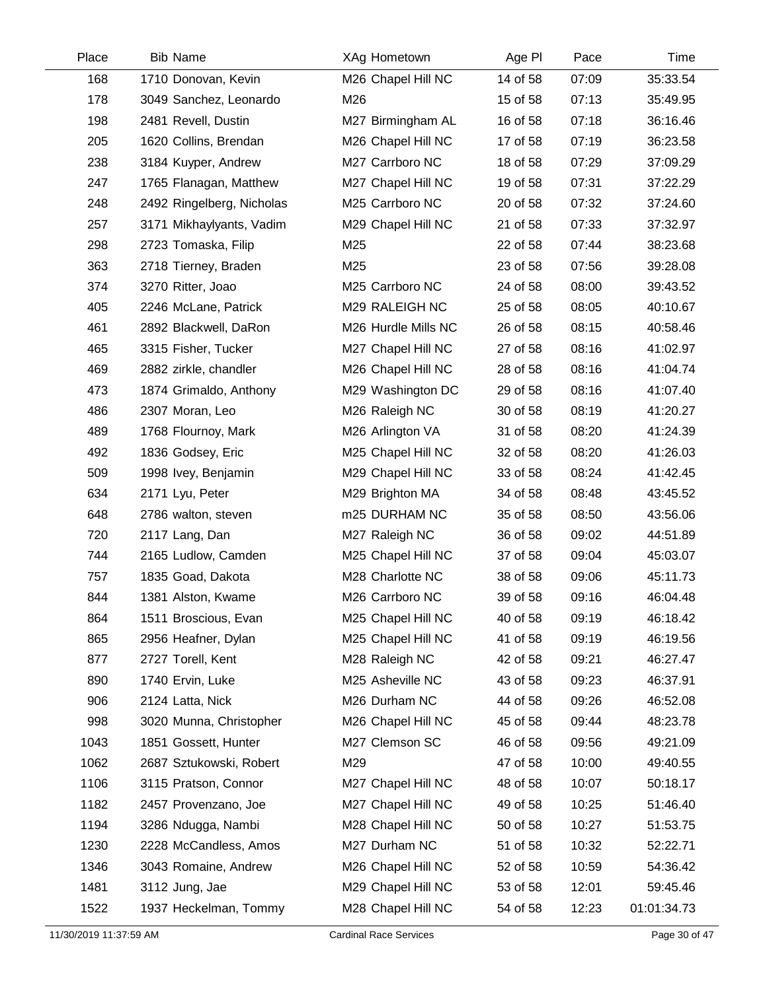| Place | <b>Bib Name</b>           | XAg Hometown        | Age PI   | Pace  | Time        |
|-------|---------------------------|---------------------|----------|-------|-------------|
| 168   | 1710 Donovan, Kevin       | M26 Chapel Hill NC  | 14 of 58 | 07:09 | 35:33.54    |
| 178   | 3049 Sanchez, Leonardo    | M26                 | 15 of 58 | 07:13 | 35:49.95    |
| 198   | 2481 Revell, Dustin       | M27 Birmingham AL   | 16 of 58 | 07:18 | 36:16.46    |
| 205   | 1620 Collins, Brendan     | M26 Chapel Hill NC  | 17 of 58 | 07:19 | 36:23.58    |
| 238   | 3184 Kuyper, Andrew       | M27 Carrboro NC     | 18 of 58 | 07:29 | 37:09.29    |
| 247   | 1765 Flanagan, Matthew    | M27 Chapel Hill NC  | 19 of 58 | 07:31 | 37:22.29    |
| 248   | 2492 Ringelberg, Nicholas | M25 Carrboro NC     | 20 of 58 | 07:32 | 37:24.60    |
| 257   | 3171 Mikhaylyants, Vadim  | M29 Chapel Hill NC  | 21 of 58 | 07:33 | 37:32.97    |
| 298   | 2723 Tomaska, Filip       | M25                 | 22 of 58 | 07:44 | 38:23.68    |
| 363   | 2718 Tierney, Braden      | M25                 | 23 of 58 | 07:56 | 39:28.08    |
| 374   | 3270 Ritter, Joao         | M25 Carrboro NC     | 24 of 58 | 08:00 | 39:43.52    |
| 405   | 2246 McLane, Patrick      | M29 RALEIGH NC      | 25 of 58 | 08:05 | 40:10.67    |
| 461   | 2892 Blackwell, DaRon     | M26 Hurdle Mills NC | 26 of 58 | 08:15 | 40:58.46    |
| 465   | 3315 Fisher, Tucker       | M27 Chapel Hill NC  | 27 of 58 | 08:16 | 41:02.97    |
| 469   | 2882 zirkle, chandler     | M26 Chapel Hill NC  | 28 of 58 | 08:16 | 41:04.74    |
| 473   | 1874 Grimaldo, Anthony    | M29 Washington DC   | 29 of 58 | 08:16 | 41:07.40    |
| 486   | 2307 Moran, Leo           | M26 Raleigh NC      | 30 of 58 | 08:19 | 41:20.27    |
| 489   | 1768 Flournoy, Mark       | M26 Arlington VA    | 31 of 58 | 08:20 | 41:24.39    |
| 492   | 1836 Godsey, Eric         | M25 Chapel Hill NC  | 32 of 58 | 08:20 | 41:26.03    |
| 509   | 1998 Ivey, Benjamin       | M29 Chapel Hill NC  | 33 of 58 | 08:24 | 41:42.45    |
| 634   | 2171 Lyu, Peter           | M29 Brighton MA     | 34 of 58 | 08:48 | 43:45.52    |
| 648   | 2786 walton, steven       | m25 DURHAM NC       | 35 of 58 | 08:50 | 43:56.06    |
| 720   | 2117 Lang, Dan            | M27 Raleigh NC      | 36 of 58 | 09:02 | 44:51.89    |
| 744   | 2165 Ludlow, Camden       | M25 Chapel Hill NC  | 37 of 58 | 09:04 | 45:03.07    |
| 757   | 1835 Goad, Dakota         | M28 Charlotte NC    | 38 of 58 | 09:06 | 45:11.73    |
| 844   | 1381 Alston, Kwame        | M26 Carrboro NC     | 39 of 58 | 09:16 | 46:04.48    |
| 864   | 1511 Broscious, Evan      | M25 Chapel Hill NC  | 40 of 58 | 09:19 | 46:18.42    |
| 865   | 2956 Heafner, Dylan       | M25 Chapel Hill NC  | 41 of 58 | 09:19 | 46:19.56    |
| 877   | 2727 Torell, Kent         | M28 Raleigh NC      | 42 of 58 | 09:21 | 46:27.47    |
| 890   | 1740 Ervin, Luke          | M25 Asheville NC    | 43 of 58 | 09:23 | 46:37.91    |
| 906   | 2124 Latta, Nick          | M26 Durham NC       | 44 of 58 | 09:26 | 46:52.08    |
| 998   | 3020 Munna, Christopher   | M26 Chapel Hill NC  | 45 of 58 | 09:44 | 48:23.78    |
| 1043  | 1851 Gossett, Hunter      | M27 Clemson SC      | 46 of 58 | 09:56 | 49:21.09    |
| 1062  | 2687 Sztukowski, Robert   | M29                 | 47 of 58 | 10:00 | 49:40.55    |
| 1106  | 3115 Pratson, Connor      | M27 Chapel Hill NC  | 48 of 58 | 10:07 | 50:18.17    |
| 1182  | 2457 Provenzano, Joe      | M27 Chapel Hill NC  | 49 of 58 | 10:25 | 51:46.40    |
| 1194  | 3286 Ndugga, Nambi        | M28 Chapel Hill NC  | 50 of 58 | 10:27 | 51:53.75    |
| 1230  | 2228 McCandless, Amos     | M27 Durham NC       | 51 of 58 | 10:32 | 52:22.71    |
| 1346  | 3043 Romaine, Andrew      | M26 Chapel Hill NC  | 52 of 58 | 10:59 | 54:36.42    |
| 1481  | 3112 Jung, Jae            | M29 Chapel Hill NC  | 53 of 58 | 12:01 | 59:45.46    |
| 1522  | 1937 Heckelman, Tommy     | M28 Chapel Hill NC  | 54 of 58 | 12:23 | 01:01:34.73 |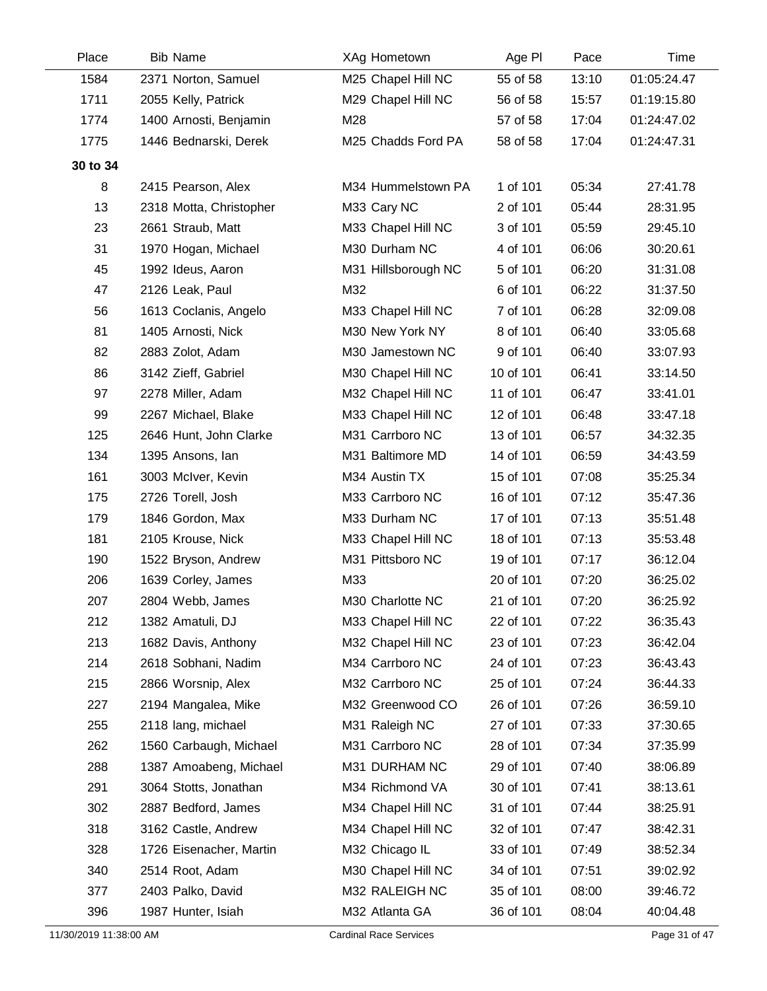| Place    | <b>Bib Name</b>         | XAg Hometown        | Age PI    | Pace  | Time        |
|----------|-------------------------|---------------------|-----------|-------|-------------|
| 1584     | 2371 Norton, Samuel     | M25 Chapel Hill NC  | 55 of 58  | 13:10 | 01:05:24.47 |
| 1711     | 2055 Kelly, Patrick     | M29 Chapel Hill NC  | 56 of 58  | 15:57 | 01:19:15.80 |
| 1774     | 1400 Arnosti, Benjamin  | M28                 | 57 of 58  | 17:04 | 01:24:47.02 |
| 1775     | 1446 Bednarski, Derek   | M25 Chadds Ford PA  | 58 of 58  | 17:04 | 01:24:47.31 |
| 30 to 34 |                         |                     |           |       |             |
| 8        | 2415 Pearson, Alex      | M34 Hummelstown PA  | 1 of 101  | 05:34 | 27:41.78    |
| 13       | 2318 Motta, Christopher | M33 Cary NC         | 2 of 101  | 05:44 | 28:31.95    |
| 23       | 2661 Straub, Matt       | M33 Chapel Hill NC  | 3 of 101  | 05:59 | 29:45.10    |
| 31       | 1970 Hogan, Michael     | M30 Durham NC       | 4 of 101  | 06:06 | 30:20.61    |
| 45       | 1992 Ideus, Aaron       | M31 Hillsborough NC | 5 of 101  | 06:20 | 31:31.08    |
| 47       | 2126 Leak, Paul         | M32                 | 6 of 101  | 06:22 | 31:37.50    |
| 56       | 1613 Coclanis, Angelo   | M33 Chapel Hill NC  | 7 of 101  | 06:28 | 32:09.08    |
| 81       | 1405 Arnosti, Nick      | M30 New York NY     | 8 of 101  | 06:40 | 33:05.68    |
| 82       | 2883 Zolot, Adam        | M30 Jamestown NC    | 9 of 101  | 06:40 | 33:07.93    |
| 86       | 3142 Zieff, Gabriel     | M30 Chapel Hill NC  | 10 of 101 | 06:41 | 33:14.50    |
| 97       | 2278 Miller, Adam       | M32 Chapel Hill NC  | 11 of 101 | 06:47 | 33:41.01    |
| 99       | 2267 Michael, Blake     | M33 Chapel Hill NC  | 12 of 101 | 06:48 | 33:47.18    |
| 125      | 2646 Hunt, John Clarke  | M31 Carrboro NC     | 13 of 101 | 06:57 | 34:32.35    |
| 134      | 1395 Ansons, lan        | M31 Baltimore MD    | 14 of 101 | 06:59 | 34:43.59    |
| 161      | 3003 McIver, Kevin      | M34 Austin TX       | 15 of 101 | 07:08 | 35:25.34    |
| 175      | 2726 Torell, Josh       | M33 Carrboro NC     | 16 of 101 | 07:12 | 35:47.36    |
| 179      | 1846 Gordon, Max        | M33 Durham NC       | 17 of 101 | 07:13 | 35:51.48    |
| 181      | 2105 Krouse, Nick       | M33 Chapel Hill NC  | 18 of 101 | 07:13 | 35:53.48    |
| 190      | 1522 Bryson, Andrew     | M31 Pittsboro NC    | 19 of 101 | 07:17 | 36:12.04    |
| 206      | 1639 Corley, James      | M33                 | 20 of 101 | 07:20 | 36:25.02    |
| 207      | 2804 Webb, James        | M30 Charlotte NC    | 21 of 101 | 07:20 | 36:25.92    |
| 212      | 1382 Amatuli, DJ        | M33 Chapel Hill NC  | 22 of 101 | 07:22 | 36:35.43    |
| 213      | 1682 Davis, Anthony     | M32 Chapel Hill NC  | 23 of 101 | 07:23 | 36:42.04    |
| 214      | 2618 Sobhani, Nadim     | M34 Carrboro NC     | 24 of 101 | 07:23 | 36:43.43    |
| 215      | 2866 Worsnip, Alex      | M32 Carrboro NC     | 25 of 101 | 07:24 | 36:44.33    |
| 227      | 2194 Mangalea, Mike     | M32 Greenwood CO    | 26 of 101 | 07:26 | 36:59.10    |
| 255      | 2118 lang, michael      | M31 Raleigh NC      | 27 of 101 | 07:33 | 37:30.65    |
| 262      | 1560 Carbaugh, Michael  | M31 Carrboro NC     | 28 of 101 | 07:34 | 37:35.99    |
| 288      | 1387 Amoabeng, Michael  | M31 DURHAM NC       | 29 of 101 | 07:40 | 38:06.89    |
| 291      | 3064 Stotts, Jonathan   | M34 Richmond VA     | 30 of 101 | 07:41 | 38:13.61    |
| 302      | 2887 Bedford, James     | M34 Chapel Hill NC  | 31 of 101 | 07:44 | 38:25.91    |
| 318      | 3162 Castle, Andrew     | M34 Chapel Hill NC  | 32 of 101 | 07:47 | 38:42.31    |
| 328      | 1726 Eisenacher, Martin | M32 Chicago IL      | 33 of 101 | 07:49 | 38:52.34    |
| 340      | 2514 Root, Adam         | M30 Chapel Hill NC  | 34 of 101 | 07:51 | 39:02.92    |
| 377      | 2403 Palko, David       | M32 RALEIGH NC      | 35 of 101 | 08:00 | 39:46.72    |
| 396      | 1987 Hunter, Isiah      | M32 Atlanta GA      | 36 of 101 | 08:04 | 40:04.48    |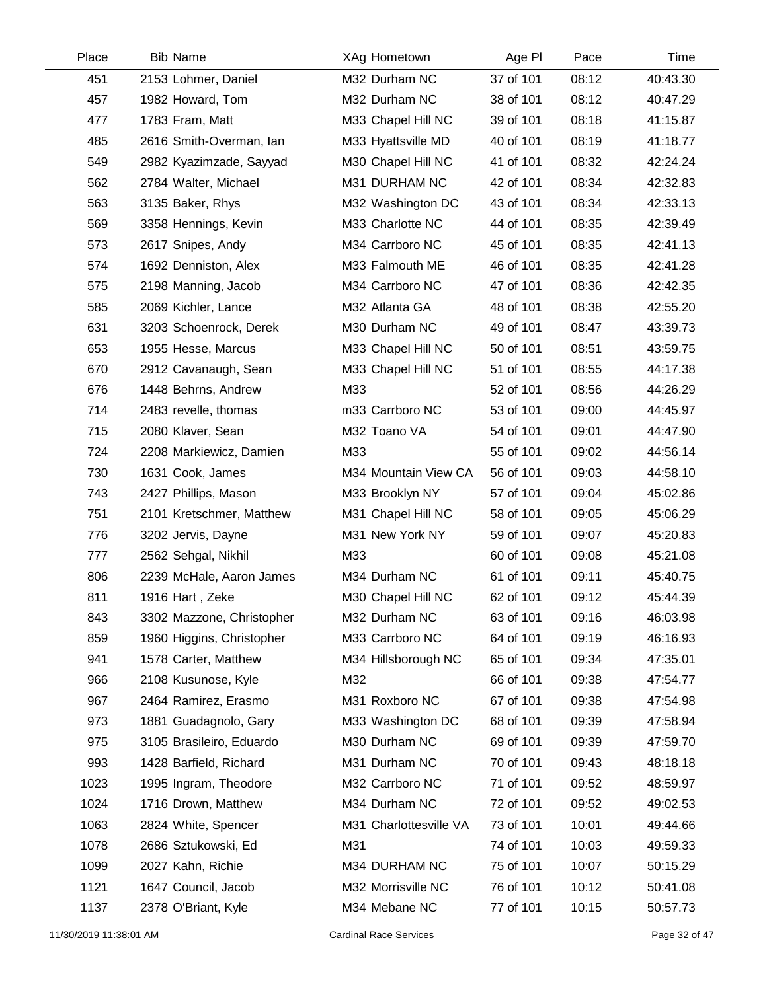| Place | <b>Bib Name</b>           | XAg Hometown           | Age PI    | Pace  | Time     |
|-------|---------------------------|------------------------|-----------|-------|----------|
| 451   | 2153 Lohmer, Daniel       | M32 Durham NC          | 37 of 101 | 08:12 | 40:43.30 |
| 457   | 1982 Howard, Tom          | M32 Durham NC          | 38 of 101 | 08:12 | 40:47.29 |
| 477   | 1783 Fram, Matt           | M33 Chapel Hill NC     | 39 of 101 | 08:18 | 41:15.87 |
| 485   | 2616 Smith-Overman, Ian   | M33 Hyattsville MD     | 40 of 101 | 08:19 | 41:18.77 |
| 549   | 2982 Kyazimzade, Sayyad   | M30 Chapel Hill NC     | 41 of 101 | 08:32 | 42:24.24 |
| 562   | 2784 Walter, Michael      | M31 DURHAM NC          | 42 of 101 | 08:34 | 42:32.83 |
| 563   | 3135 Baker, Rhys          | M32 Washington DC      | 43 of 101 | 08:34 | 42:33.13 |
| 569   | 3358 Hennings, Kevin      | M33 Charlotte NC       | 44 of 101 | 08:35 | 42:39.49 |
| 573   | 2617 Snipes, Andy         | M34 Carrboro NC        | 45 of 101 | 08:35 | 42:41.13 |
| 574   | 1692 Denniston, Alex      | M33 Falmouth ME        | 46 of 101 | 08:35 | 42:41.28 |
| 575   | 2198 Manning, Jacob       | M34 Carrboro NC        | 47 of 101 | 08:36 | 42:42.35 |
| 585   | 2069 Kichler, Lance       | M32 Atlanta GA         | 48 of 101 | 08:38 | 42:55.20 |
| 631   | 3203 Schoenrock, Derek    | M30 Durham NC          | 49 of 101 | 08:47 | 43:39.73 |
| 653   | 1955 Hesse, Marcus        | M33 Chapel Hill NC     | 50 of 101 | 08:51 | 43:59.75 |
| 670   | 2912 Cavanaugh, Sean      | M33 Chapel Hill NC     | 51 of 101 | 08:55 | 44:17.38 |
| 676   | 1448 Behrns, Andrew       | M33                    | 52 of 101 | 08:56 | 44:26.29 |
| 714   | 2483 revelle, thomas      | m33 Carrboro NC        | 53 of 101 | 09:00 | 44:45.97 |
| 715   | 2080 Klaver, Sean         | M32 Toano VA           | 54 of 101 | 09:01 | 44:47.90 |
| 724   | 2208 Markiewicz, Damien   | M33                    | 55 of 101 | 09:02 | 44:56.14 |
| 730   | 1631 Cook, James          | M34 Mountain View CA   | 56 of 101 | 09:03 | 44:58.10 |
| 743   | 2427 Phillips, Mason      | M33 Brooklyn NY        | 57 of 101 | 09:04 | 45:02.86 |
| 751   | 2101 Kretschmer, Matthew  | M31 Chapel Hill NC     | 58 of 101 | 09:05 | 45:06.29 |
| 776   | 3202 Jervis, Dayne        | M31 New York NY        | 59 of 101 | 09:07 | 45:20.83 |
| 777   | 2562 Sehgal, Nikhil       | M33                    | 60 of 101 | 09:08 | 45:21.08 |
| 806   | 2239 McHale, Aaron James  | M34 Durham NC          | 61 of 101 | 09:11 | 45:40.75 |
| 811   | 1916 Hart, Zeke           | M30 Chapel Hill NC     | 62 of 101 | 09:12 | 45:44.39 |
| 843   | 3302 Mazzone, Christopher | M32 Durham NC          | 63 of 101 | 09:16 | 46:03.98 |
| 859   | 1960 Higgins, Christopher | M33 Carrboro NC        | 64 of 101 | 09:19 | 46:16.93 |
| 941   | 1578 Carter, Matthew      | M34 Hillsborough NC    | 65 of 101 | 09:34 | 47:35.01 |
| 966   | 2108 Kusunose, Kyle       | M32                    | 66 of 101 | 09:38 | 47:54.77 |
| 967   | 2464 Ramirez, Erasmo      | M31 Roxboro NC         | 67 of 101 | 09:38 | 47:54.98 |
| 973   | 1881 Guadagnolo, Gary     | M33 Washington DC      | 68 of 101 | 09:39 | 47:58.94 |
| 975   | 3105 Brasileiro, Eduardo  | M30 Durham NC          | 69 of 101 | 09:39 | 47:59.70 |
| 993   | 1428 Barfield, Richard    | M31 Durham NC          | 70 of 101 | 09:43 | 48:18.18 |
| 1023  | 1995 Ingram, Theodore     | M32 Carrboro NC        | 71 of 101 | 09:52 | 48:59.97 |
| 1024  | 1716 Drown, Matthew       | M34 Durham NC          | 72 of 101 | 09:52 | 49:02.53 |
| 1063  | 2824 White, Spencer       | M31 Charlottesville VA | 73 of 101 | 10:01 | 49:44.66 |
| 1078  | 2686 Sztukowski, Ed       | M31                    | 74 of 101 | 10:03 | 49:59.33 |
| 1099  | 2027 Kahn, Richie         | M34 DURHAM NC          | 75 of 101 | 10:07 | 50:15.29 |
| 1121  | 1647 Council, Jacob       | M32 Morrisville NC     | 76 of 101 | 10:12 | 50:41.08 |
| 1137  | 2378 O'Briant, Kyle       | M34 Mebane NC          | 77 of 101 | 10:15 | 50:57.73 |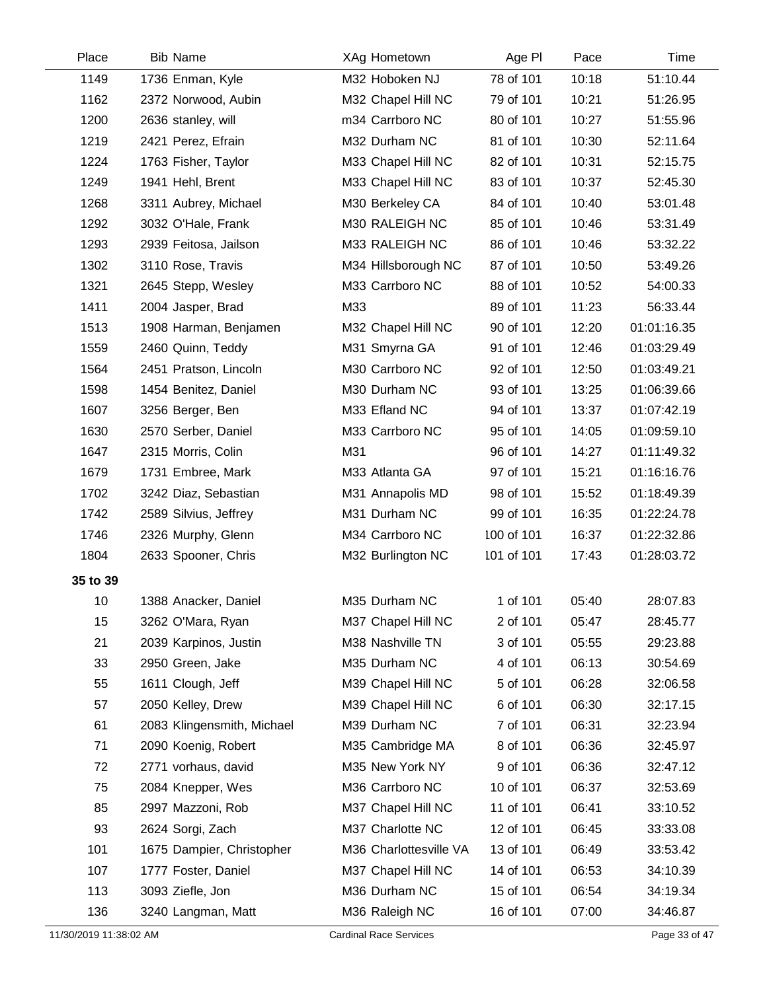| Place    | <b>Bib Name</b>            | XAg Hometown           | Age PI     | Pace  | Time        |
|----------|----------------------------|------------------------|------------|-------|-------------|
| 1149     | 1736 Enman, Kyle           | M32 Hoboken NJ         | 78 of 101  | 10:18 | 51:10.44    |
| 1162     | 2372 Norwood, Aubin        | M32 Chapel Hill NC     | 79 of 101  | 10:21 | 51:26.95    |
| 1200     | 2636 stanley, will         | m34 Carrboro NC        | 80 of 101  | 10:27 | 51:55.96    |
| 1219     | 2421 Perez, Efrain         | M32 Durham NC          | 81 of 101  | 10:30 | 52:11.64    |
| 1224     | 1763 Fisher, Taylor        | M33 Chapel Hill NC     | 82 of 101  | 10:31 | 52:15.75    |
| 1249     | 1941 Hehl, Brent           | M33 Chapel Hill NC     | 83 of 101  | 10:37 | 52:45.30    |
| 1268     | 3311 Aubrey, Michael       | M30 Berkeley CA        | 84 of 101  | 10:40 | 53:01.48    |
| 1292     | 3032 O'Hale, Frank         | M30 RALEIGH NC         | 85 of 101  | 10:46 | 53:31.49    |
| 1293     | 2939 Feitosa, Jailson      | M33 RALEIGH NC         | 86 of 101  | 10:46 | 53:32.22    |
| 1302     | 3110 Rose, Travis          | M34 Hillsborough NC    | 87 of 101  | 10:50 | 53:49.26    |
| 1321     | 2645 Stepp, Wesley         | M33 Carrboro NC        | 88 of 101  | 10:52 | 54:00.33    |
| 1411     | 2004 Jasper, Brad          | M33                    | 89 of 101  | 11:23 | 56:33.44    |
| 1513     | 1908 Harman, Benjamen      | M32 Chapel Hill NC     | 90 of 101  | 12:20 | 01:01:16.35 |
| 1559     | 2460 Quinn, Teddy          | M31 Smyrna GA          | 91 of 101  | 12:46 | 01:03:29.49 |
| 1564     | 2451 Pratson, Lincoln      | M30 Carrboro NC        | 92 of 101  | 12:50 | 01:03:49.21 |
| 1598     | 1454 Benitez, Daniel       | M30 Durham NC          | 93 of 101  | 13:25 | 01:06:39.66 |
| 1607     | 3256 Berger, Ben           | M33 Efland NC          | 94 of 101  | 13:37 | 01:07:42.19 |
| 1630     | 2570 Serber, Daniel        | M33 Carrboro NC        | 95 of 101  | 14:05 | 01:09:59.10 |
| 1647     | 2315 Morris, Colin         | M31                    | 96 of 101  | 14:27 | 01:11:49.32 |
| 1679     | 1731 Embree, Mark          | M33 Atlanta GA         | 97 of 101  | 15:21 | 01:16:16.76 |
| 1702     | 3242 Diaz, Sebastian       | M31 Annapolis MD       | 98 of 101  | 15:52 | 01:18:49.39 |
| 1742     | 2589 Silvius, Jeffrey      | M31 Durham NC          | 99 of 101  | 16:35 | 01:22:24.78 |
| 1746     | 2326 Murphy, Glenn         | M34 Carrboro NC        | 100 of 101 | 16:37 | 01:22:32.86 |
| 1804     | 2633 Spooner, Chris        | M32 Burlington NC      | 101 of 101 | 17:43 | 01:28:03.72 |
| 35 to 39 |                            |                        |            |       |             |
| 10       | 1388 Anacker, Daniel       | M35 Durham NC          | 1 of 101   | 05:40 | 28:07.83    |
| 15       | 3262 O'Mara, Ryan          | M37 Chapel Hill NC     | 2 of 101   | 05:47 | 28:45.77    |
| 21       | 2039 Karpinos, Justin      | M38 Nashville TN       | 3 of 101   | 05:55 | 29:23.88    |
| 33       | 2950 Green, Jake           | M35 Durham NC          | 4 of 101   | 06:13 | 30:54.69    |
| 55       | 1611 Clough, Jeff          | M39 Chapel Hill NC     | 5 of 101   | 06:28 | 32:06.58    |
| 57       | 2050 Kelley, Drew          | M39 Chapel Hill NC     | 6 of 101   | 06:30 | 32:17.15    |
| 61       | 2083 Klingensmith, Michael | M39 Durham NC          | 7 of 101   | 06:31 | 32:23.94    |
| 71       | 2090 Koenig, Robert        | M35 Cambridge MA       | 8 of 101   | 06:36 | 32:45.97    |
| 72       | 2771 vorhaus, david        | M35 New York NY        | 9 of 101   | 06:36 | 32:47.12    |
| 75       | 2084 Knepper, Wes          | M36 Carrboro NC        | 10 of 101  | 06:37 | 32:53.69    |
| 85       | 2997 Mazzoni, Rob          | M37 Chapel Hill NC     | 11 of 101  | 06:41 | 33:10.52    |
| 93       | 2624 Sorgi, Zach           | M37 Charlotte NC       | 12 of 101  | 06:45 | 33:33.08    |
| 101      | 1675 Dampier, Christopher  | M36 Charlottesville VA | 13 of 101  | 06:49 | 33:53.42    |
| 107      | 1777 Foster, Daniel        | M37 Chapel Hill NC     | 14 of 101  | 06:53 | 34:10.39    |
| 113      | 3093 Ziefle, Jon           | M36 Durham NC          | 15 of 101  | 06:54 | 34:19.34    |
| 136      | 3240 Langman, Matt         | M36 Raleigh NC         | 16 of 101  | 07:00 | 34:46.87    |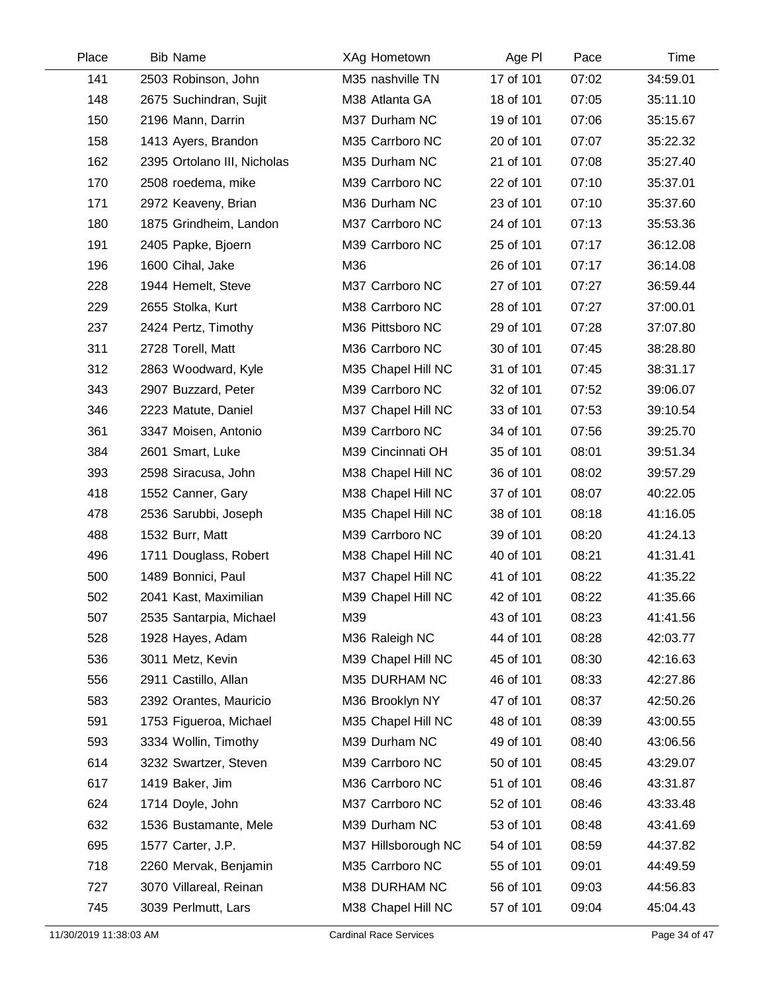| Place | <b>Bib Name</b>             | XAg Hometown        | Age PI    | Pace  | Time     |
|-------|-----------------------------|---------------------|-----------|-------|----------|
| 141   | 2503 Robinson, John         | M35 nashville TN    | 17 of 101 | 07:02 | 34:59.01 |
| 148   | 2675 Suchindran, Sujit      | M38 Atlanta GA      | 18 of 101 | 07:05 | 35:11.10 |
| 150   | 2196 Mann, Darrin           | M37 Durham NC       | 19 of 101 | 07:06 | 35:15.67 |
| 158   | 1413 Ayers, Brandon         | M35 Carrboro NC     | 20 of 101 | 07:07 | 35:22.32 |
| 162   | 2395 Ortolano III, Nicholas | M35 Durham NC       | 21 of 101 | 07:08 | 35:27.40 |
| 170   | 2508 roedema, mike          | M39 Carrboro NC     | 22 of 101 | 07:10 | 35:37.01 |
| 171   | 2972 Keaveny, Brian         | M36 Durham NC       | 23 of 101 | 07:10 | 35:37.60 |
| 180   | 1875 Grindheim, Landon      | M37 Carrboro NC     | 24 of 101 | 07:13 | 35:53.36 |
| 191   | 2405 Papke, Bjoern          | M39 Carrboro NC     | 25 of 101 | 07:17 | 36:12.08 |
| 196   | 1600 Cihal, Jake            | M36                 | 26 of 101 | 07:17 | 36:14.08 |
| 228   | 1944 Hemelt, Steve          | M37 Carrboro NC     | 27 of 101 | 07:27 | 36:59.44 |
| 229   | 2655 Stolka, Kurt           | M38 Carrboro NC     | 28 of 101 | 07:27 | 37:00.01 |
| 237   | 2424 Pertz, Timothy         | M36 Pittsboro NC    | 29 of 101 | 07:28 | 37:07.80 |
| 311   | 2728 Torell, Matt           | M36 Carrboro NC     | 30 of 101 | 07:45 | 38:28.80 |
| 312   | 2863 Woodward, Kyle         | M35 Chapel Hill NC  | 31 of 101 | 07:45 | 38:31.17 |
| 343   | 2907 Buzzard, Peter         | M39 Carrboro NC     | 32 of 101 | 07:52 | 39:06.07 |
| 346   | 2223 Matute, Daniel         | M37 Chapel Hill NC  | 33 of 101 | 07:53 | 39:10.54 |
| 361   | 3347 Moisen, Antonio        | M39 Carrboro NC     | 34 of 101 | 07:56 | 39:25.70 |
| 384   | 2601 Smart, Luke            | M39 Cincinnati OH   | 35 of 101 | 08:01 | 39:51.34 |
| 393   | 2598 Siracusa, John         | M38 Chapel Hill NC  | 36 of 101 | 08:02 | 39:57.29 |
| 418   | 1552 Canner, Gary           | M38 Chapel Hill NC  | 37 of 101 | 08:07 | 40:22.05 |
| 478   | 2536 Sarubbi, Joseph        | M35 Chapel Hill NC  | 38 of 101 | 08:18 | 41:16.05 |
| 488   | 1532 Burr, Matt             | M39 Carrboro NC     | 39 of 101 | 08:20 | 41:24.13 |
| 496   | 1711 Douglass, Robert       | M38 Chapel Hill NC  | 40 of 101 | 08:21 | 41:31.41 |
| 500   | 1489 Bonnici, Paul          | M37 Chapel Hill NC  | 41 of 101 | 08:22 | 41:35.22 |
| 502   | 2041 Kast, Maximilian       | M39 Chapel Hill NC  | 42 of 101 | 08:22 | 41:35.66 |
| 507   | 2535 Santarpia, Michael     | M39                 | 43 of 101 | 08:23 | 41:41.56 |
| 528   | 1928 Hayes, Adam            | M36 Raleigh NC      | 44 of 101 | 08:28 | 42:03.77 |
| 536   | 3011 Metz, Kevin            | M39 Chapel Hill NC  | 45 of 101 | 08:30 | 42:16.63 |
| 556   | 2911 Castillo, Allan        | M35 DURHAM NC       | 46 of 101 | 08:33 | 42:27.86 |
| 583   | 2392 Orantes, Mauricio      | M36 Brooklyn NY     | 47 of 101 | 08:37 | 42:50.26 |
| 591   | 1753 Figueroa, Michael      | M35 Chapel Hill NC  | 48 of 101 | 08:39 | 43:00.55 |
| 593   | 3334 Wollin, Timothy        | M39 Durham NC       | 49 of 101 | 08:40 | 43:06.56 |
| 614   | 3232 Swartzer, Steven       | M39 Carrboro NC     | 50 of 101 | 08:45 | 43:29.07 |
| 617   | 1419 Baker, Jim             | M36 Carrboro NC     | 51 of 101 | 08:46 | 43:31.87 |
| 624   | 1714 Doyle, John            | M37 Carrboro NC     | 52 of 101 | 08:46 | 43:33.48 |
| 632   | 1536 Bustamante, Mele       | M39 Durham NC       | 53 of 101 | 08:48 | 43:41.69 |
| 695   | 1577 Carter, J.P.           | M37 Hillsborough NC | 54 of 101 | 08:59 | 44:37.82 |
| 718   | 2260 Mervak, Benjamin       | M35 Carrboro NC     | 55 of 101 | 09:01 | 44:49.59 |
| 727   | 3070 Villareal, Reinan      | M38 DURHAM NC       | 56 of 101 | 09:03 | 44:56.83 |
| 745   | 3039 Perlmutt, Lars         | M38 Chapel Hill NC  | 57 of 101 | 09:04 | 45:04.43 |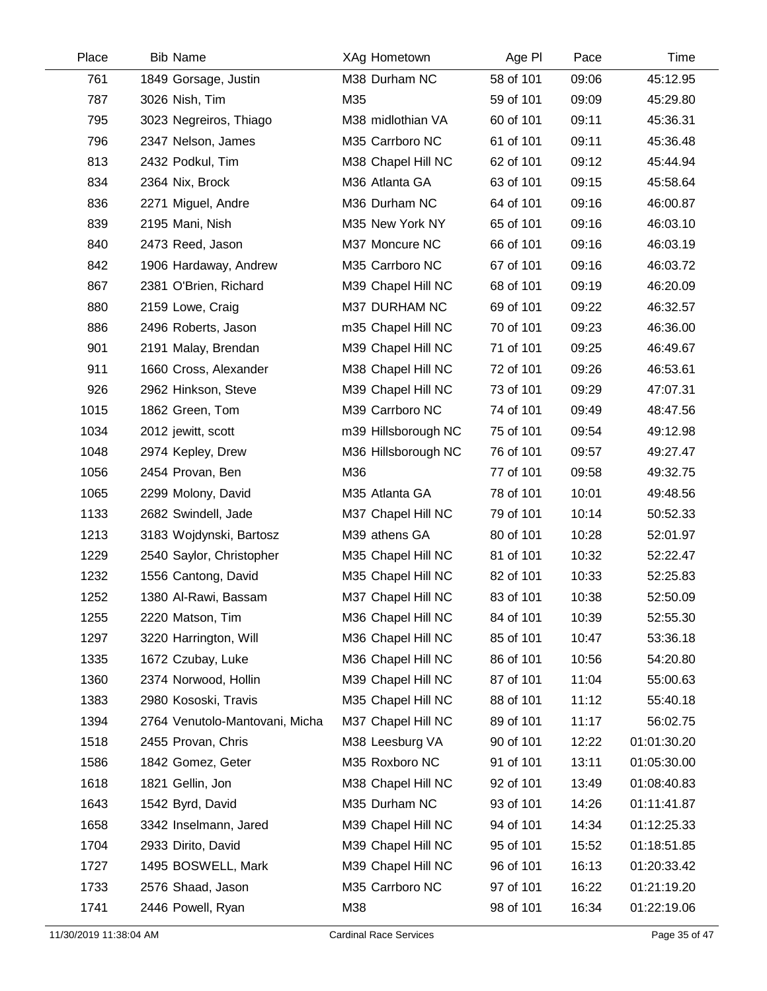| Place | <b>Bib Name</b>                | XAg Hometown        | Age PI    | Pace  | Time        |
|-------|--------------------------------|---------------------|-----------|-------|-------------|
| 761   | 1849 Gorsage, Justin           | M38 Durham NC       | 58 of 101 | 09:06 | 45:12.95    |
| 787   | 3026 Nish, Tim                 | M35                 | 59 of 101 | 09:09 | 45:29.80    |
| 795   | 3023 Negreiros, Thiago         | M38 midlothian VA   | 60 of 101 | 09:11 | 45:36.31    |
| 796   | 2347 Nelson, James             | M35 Carrboro NC     | 61 of 101 | 09:11 | 45:36.48    |
| 813   | 2432 Podkul, Tim               | M38 Chapel Hill NC  | 62 of 101 | 09:12 | 45:44.94    |
| 834   | 2364 Nix, Brock                | M36 Atlanta GA      | 63 of 101 | 09:15 | 45:58.64    |
| 836   | 2271 Miguel, Andre             | M36 Durham NC       | 64 of 101 | 09:16 | 46:00.87    |
| 839   | 2195 Mani, Nish                | M35 New York NY     | 65 of 101 | 09:16 | 46:03.10    |
| 840   | 2473 Reed, Jason               | M37 Moncure NC      | 66 of 101 | 09:16 | 46:03.19    |
| 842   | 1906 Hardaway, Andrew          | M35 Carrboro NC     | 67 of 101 | 09:16 | 46:03.72    |
| 867   | 2381 O'Brien, Richard          | M39 Chapel Hill NC  | 68 of 101 | 09:19 | 46:20.09    |
| 880   | 2159 Lowe, Craig               | M37 DURHAM NC       | 69 of 101 | 09:22 | 46:32.57    |
| 886   | 2496 Roberts, Jason            | m35 Chapel Hill NC  | 70 of 101 | 09:23 | 46:36.00    |
| 901   | 2191 Malay, Brendan            | M39 Chapel Hill NC  | 71 of 101 | 09:25 | 46:49.67    |
| 911   | 1660 Cross, Alexander          | M38 Chapel Hill NC  | 72 of 101 | 09:26 | 46:53.61    |
| 926   | 2962 Hinkson, Steve            | M39 Chapel Hill NC  | 73 of 101 | 09:29 | 47:07.31    |
| 1015  | 1862 Green, Tom                | M39 Carrboro NC     | 74 of 101 | 09:49 | 48:47.56    |
| 1034  | 2012 jewitt, scott             | m39 Hillsborough NC | 75 of 101 | 09:54 | 49:12.98    |
| 1048  | 2974 Kepley, Drew              | M36 Hillsborough NC | 76 of 101 | 09:57 | 49:27.47    |
| 1056  | 2454 Provan, Ben               | M36                 | 77 of 101 | 09:58 | 49:32.75    |
| 1065  | 2299 Molony, David             | M35 Atlanta GA      | 78 of 101 | 10:01 | 49:48.56    |
| 1133  | 2682 Swindell, Jade            | M37 Chapel Hill NC  | 79 of 101 | 10:14 | 50:52.33    |
| 1213  | 3183 Wojdynski, Bartosz        | M39 athens GA       | 80 of 101 | 10:28 | 52:01.97    |
| 1229  | 2540 Saylor, Christopher       | M35 Chapel Hill NC  | 81 of 101 | 10:32 | 52:22.47    |
| 1232  | 1556 Cantong, David            | M35 Chapel Hill NC  | 82 of 101 | 10:33 | 52:25.83    |
| 1252  | 1380 Al-Rawi, Bassam           | M37 Chapel Hill NC  | 83 of 101 | 10:38 | 52:50.09    |
| 1255  | 2220 Matson, Tim               | M36 Chapel Hill NC  | 84 of 101 | 10:39 | 52:55.30    |
| 1297  | 3220 Harrington, Will          | M36 Chapel Hill NC  | 85 of 101 | 10:47 | 53:36.18    |
| 1335  | 1672 Czubay, Luke              | M36 Chapel Hill NC  | 86 of 101 | 10:56 | 54:20.80    |
| 1360  | 2374 Norwood, Hollin           | M39 Chapel Hill NC  | 87 of 101 | 11:04 | 55:00.63    |
| 1383  | 2980 Kososki, Travis           | M35 Chapel Hill NC  | 88 of 101 | 11:12 | 55:40.18    |
| 1394  | 2764 Venutolo-Mantovani, Micha | M37 Chapel Hill NC  | 89 of 101 | 11:17 | 56:02.75    |
| 1518  | 2455 Provan, Chris             | M38 Leesburg VA     | 90 of 101 | 12:22 | 01:01:30.20 |
| 1586  | 1842 Gomez, Geter              | M35 Roxboro NC      | 91 of 101 | 13:11 | 01:05:30.00 |
| 1618  | 1821 Gellin, Jon               | M38 Chapel Hill NC  | 92 of 101 | 13:49 | 01:08:40.83 |
| 1643  | 1542 Byrd, David               | M35 Durham NC       | 93 of 101 | 14:26 | 01:11:41.87 |
| 1658  | 3342 Inselmann, Jared          | M39 Chapel Hill NC  | 94 of 101 | 14:34 | 01:12:25.33 |
| 1704  | 2933 Dirito, David             | M39 Chapel Hill NC  | 95 of 101 | 15:52 | 01:18:51.85 |
| 1727  | 1495 BOSWELL, Mark             | M39 Chapel Hill NC  | 96 of 101 | 16:13 | 01:20:33.42 |
| 1733  | 2576 Shaad, Jason              | M35 Carrboro NC     | 97 of 101 | 16:22 | 01:21:19.20 |
| 1741  | 2446 Powell, Ryan              | M38                 | 98 of 101 | 16:34 | 01:22:19.06 |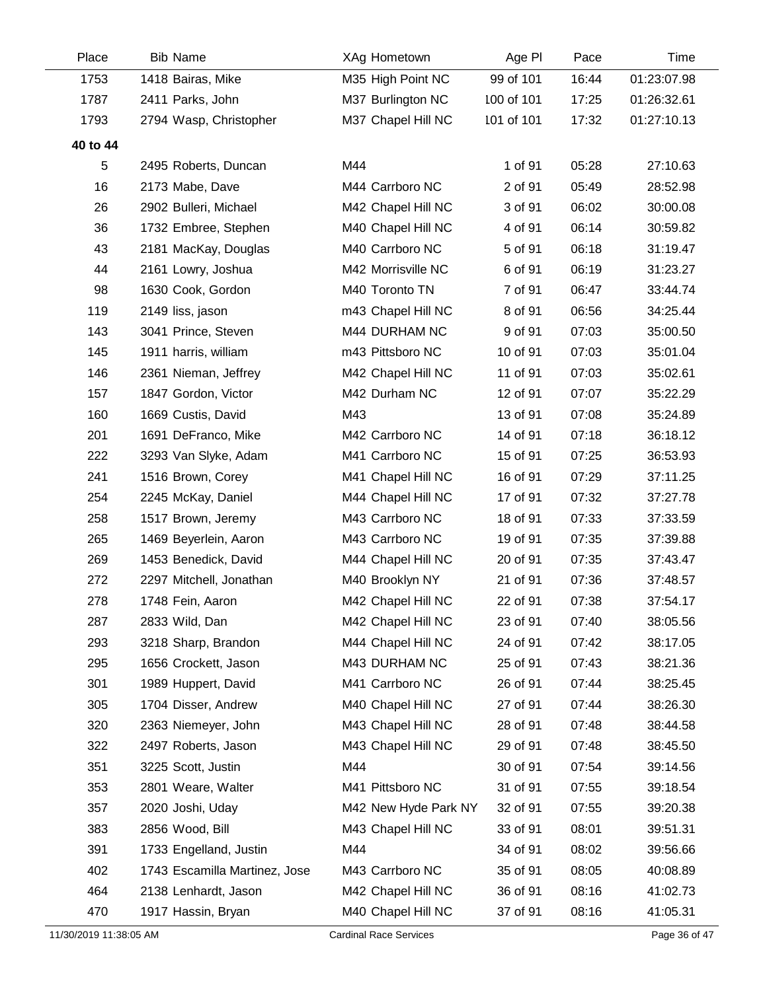| Place    | <b>Bib Name</b>               | XAg Hometown         | Age PI     | Pace  | Time        |
|----------|-------------------------------|----------------------|------------|-------|-------------|
| 1753     | 1418 Bairas, Mike             | M35 High Point NC    | 99 of 101  | 16:44 | 01:23:07.98 |
| 1787     | 2411 Parks, John              | M37 Burlington NC    | 100 of 101 | 17:25 | 01:26:32.61 |
| 1793     | 2794 Wasp, Christopher        | M37 Chapel Hill NC   | 101 of 101 | 17:32 | 01:27:10.13 |
| 40 to 44 |                               |                      |            |       |             |
| 5        | 2495 Roberts, Duncan          | M44                  | 1 of 91    | 05:28 | 27:10.63    |
| 16       | 2173 Mabe, Dave               | M44 Carrboro NC      | 2 of 91    | 05:49 | 28:52.98    |
| 26       | 2902 Bulleri, Michael         | M42 Chapel Hill NC   | 3 of 91    | 06:02 | 30:00.08    |
| 36       | 1732 Embree, Stephen          | M40 Chapel Hill NC   | 4 of 91    | 06:14 | 30:59.82    |
| 43       | 2181 MacKay, Douglas          | M40 Carrboro NC      | 5 of 91    | 06:18 | 31:19.47    |
| 44       | 2161 Lowry, Joshua            | M42 Morrisville NC   | 6 of 91    | 06:19 | 31:23.27    |
| 98       | 1630 Cook, Gordon             | M40 Toronto TN       | 7 of 91    | 06:47 | 33:44.74    |
| 119      | 2149 liss, jason              | m43 Chapel Hill NC   | 8 of 91    | 06:56 | 34:25.44    |
| 143      | 3041 Prince, Steven           | M44 DURHAM NC        | 9 of 91    | 07:03 | 35:00.50    |
| 145      | 1911 harris, william          | m43 Pittsboro NC     | 10 of 91   | 07:03 | 35:01.04    |
| 146      | 2361 Nieman, Jeffrey          | M42 Chapel Hill NC   | 11 of 91   | 07:03 | 35:02.61    |
| 157      | 1847 Gordon, Victor           | M42 Durham NC        | 12 of 91   | 07:07 | 35:22.29    |
| 160      | 1669 Custis, David            | M43                  | 13 of 91   | 07:08 | 35:24.89    |
| 201      | 1691 DeFranco, Mike           | M42 Carrboro NC      | 14 of 91   | 07:18 | 36:18.12    |
| 222      | 3293 Van Slyke, Adam          | M41 Carrboro NC      | 15 of 91   | 07:25 | 36:53.93    |
| 241      | 1516 Brown, Corey             | M41 Chapel Hill NC   | 16 of 91   | 07:29 | 37:11.25    |
| 254      | 2245 McKay, Daniel            | M44 Chapel Hill NC   | 17 of 91   | 07:32 | 37:27.78    |
| 258      | 1517 Brown, Jeremy            | M43 Carrboro NC      | 18 of 91   | 07:33 | 37:33.59    |
| 265      | 1469 Beyerlein, Aaron         | M43 Carrboro NC      | 19 of 91   | 07:35 | 37:39.88    |
| 269      | 1453 Benedick, David          | M44 Chapel Hill NC   | 20 of 91   | 07:35 | 37:43.47    |
| 272      | 2297 Mitchell, Jonathan       | M40 Brooklyn NY      | 21 of 91   | 07:36 | 37:48.57    |
| 278      | 1748 Fein, Aaron              | M42 Chapel Hill NC   | 22 of 91   | 07:38 | 37:54.17    |
| 287      | 2833 Wild, Dan                | M42 Chapel Hill NC   | 23 of 91   | 07:40 | 38:05.56    |
| 293      | 3218 Sharp, Brandon           | M44 Chapel Hill NC   | 24 of 91   | 07:42 | 38:17.05    |
| 295      | 1656 Crockett, Jason          | M43 DURHAM NC        | 25 of 91   | 07:43 | 38:21.36    |
| 301      | 1989 Huppert, David           | M41 Carrboro NC      | 26 of 91   | 07:44 | 38:25.45    |
| 305      | 1704 Disser, Andrew           | M40 Chapel Hill NC   | 27 of 91   | 07:44 | 38:26.30    |
| 320      | 2363 Niemeyer, John           | M43 Chapel Hill NC   | 28 of 91   | 07:48 | 38:44.58    |
| 322      | 2497 Roberts, Jason           | M43 Chapel Hill NC   | 29 of 91   | 07:48 | 38:45.50    |
| 351      | 3225 Scott, Justin            | M44                  | 30 of 91   | 07:54 | 39:14.56    |
| 353      | 2801 Weare, Walter            | M41 Pittsboro NC     | 31 of 91   | 07:55 | 39:18.54    |
| 357      | 2020 Joshi, Uday              | M42 New Hyde Park NY | 32 of 91   | 07:55 | 39:20.38    |
| 383      | 2856 Wood, Bill               | M43 Chapel Hill NC   | 33 of 91   | 08:01 | 39:51.31    |
| 391      | 1733 Engelland, Justin        | M44                  | 34 of 91   | 08:02 | 39:56.66    |
| 402      | 1743 Escamilla Martinez, Jose | M43 Carrboro NC      | 35 of 91   | 08:05 | 40:08.89    |
| 464      | 2138 Lenhardt, Jason          | M42 Chapel Hill NC   | 36 of 91   | 08:16 | 41:02.73    |
| 470      | 1917 Hassin, Bryan            | M40 Chapel Hill NC   | 37 of 91   | 08:16 | 41:05.31    |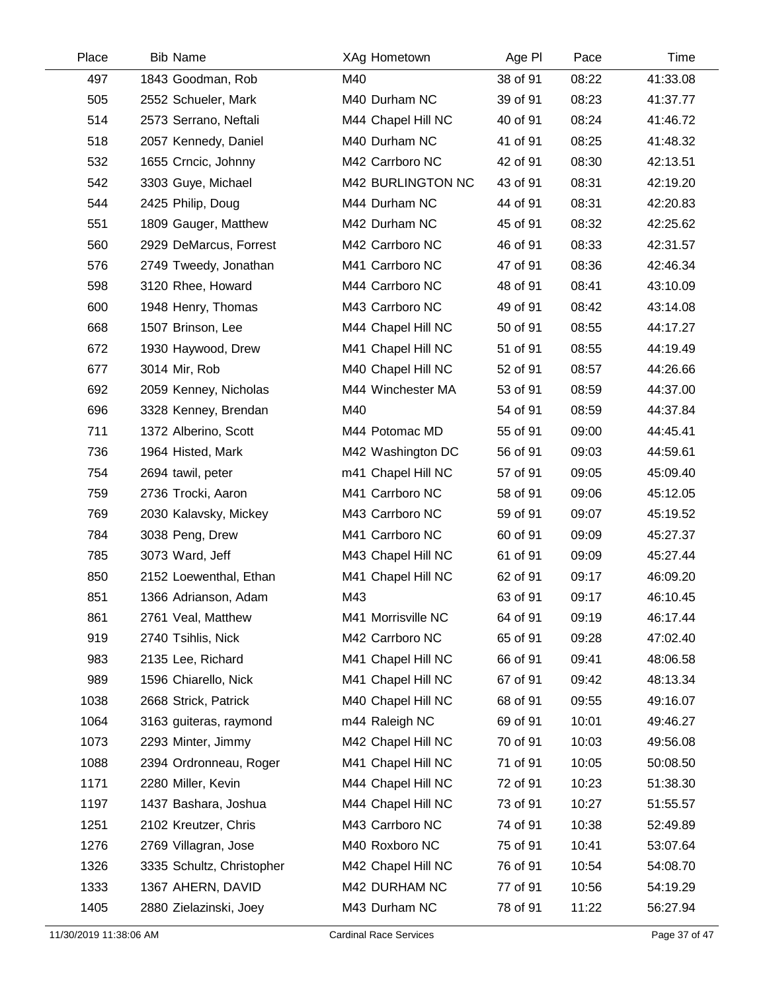| Place | <b>Bib Name</b>           | XAg Hometown       | Age PI   | Pace  | Time     |
|-------|---------------------------|--------------------|----------|-------|----------|
| 497   | 1843 Goodman, Rob         | M40                | 38 of 91 | 08:22 | 41:33.08 |
| 505   | 2552 Schueler, Mark       | M40 Durham NC      | 39 of 91 | 08:23 | 41:37.77 |
| 514   | 2573 Serrano, Neftali     | M44 Chapel Hill NC | 40 of 91 | 08:24 | 41:46.72 |
| 518   | 2057 Kennedy, Daniel      | M40 Durham NC      | 41 of 91 | 08:25 | 41:48.32 |
| 532   | 1655 Crncic, Johnny       | M42 Carrboro NC    | 42 of 91 | 08:30 | 42:13.51 |
| 542   | 3303 Guye, Michael        | M42 BURLINGTON NC  | 43 of 91 | 08:31 | 42:19.20 |
| 544   | 2425 Philip, Doug         | M44 Durham NC      | 44 of 91 | 08:31 | 42:20.83 |
| 551   | 1809 Gauger, Matthew      | M42 Durham NC      | 45 of 91 | 08:32 | 42:25.62 |
| 560   | 2929 DeMarcus, Forrest    | M42 Carrboro NC    | 46 of 91 | 08:33 | 42:31.57 |
| 576   | 2749 Tweedy, Jonathan     | M41 Carrboro NC    | 47 of 91 | 08:36 | 42:46.34 |
| 598   | 3120 Rhee, Howard         | M44 Carrboro NC    | 48 of 91 | 08:41 | 43:10.09 |
| 600   | 1948 Henry, Thomas        | M43 Carrboro NC    | 49 of 91 | 08:42 | 43:14.08 |
| 668   | 1507 Brinson, Lee         | M44 Chapel Hill NC | 50 of 91 | 08:55 | 44:17.27 |
| 672   | 1930 Haywood, Drew        | M41 Chapel Hill NC | 51 of 91 | 08:55 | 44:19.49 |
| 677   | 3014 Mir, Rob             | M40 Chapel Hill NC | 52 of 91 | 08:57 | 44:26.66 |
| 692   | 2059 Kenney, Nicholas     | M44 Winchester MA  | 53 of 91 | 08:59 | 44:37.00 |
| 696   | 3328 Kenney, Brendan      | M40                | 54 of 91 | 08:59 | 44:37.84 |
| 711   | 1372 Alberino, Scott      | M44 Potomac MD     | 55 of 91 | 09:00 | 44:45.41 |
| 736   | 1964 Histed, Mark         | M42 Washington DC  | 56 of 91 | 09:03 | 44:59.61 |
| 754   | 2694 tawil, peter         | m41 Chapel Hill NC | 57 of 91 | 09:05 | 45:09.40 |
| 759   | 2736 Trocki, Aaron        | M41 Carrboro NC    | 58 of 91 | 09:06 | 45:12.05 |
| 769   | 2030 Kalavsky, Mickey     | M43 Carrboro NC    | 59 of 91 | 09:07 | 45:19.52 |
| 784   | 3038 Peng, Drew           | M41 Carrboro NC    | 60 of 91 | 09:09 | 45:27.37 |
| 785   | 3073 Ward, Jeff           | M43 Chapel Hill NC | 61 of 91 | 09:09 | 45:27.44 |
| 850   | 2152 Loewenthal, Ethan    | M41 Chapel Hill NC | 62 of 91 | 09:17 | 46:09.20 |
| 851   | 1366 Adrianson, Adam      | M43                | 63 of 91 | 09:17 | 46:10.45 |
| 861   | 2761 Veal, Matthew        | M41 Morrisville NC | 64 of 91 | 09:19 | 46:17.44 |
| 919   | 2740 Tsihlis, Nick        | M42 Carrboro NC    | 65 of 91 | 09:28 | 47:02.40 |
| 983   | 2135 Lee, Richard         | M41 Chapel Hill NC | 66 of 91 | 09:41 | 48:06.58 |
| 989   | 1596 Chiarello, Nick      | M41 Chapel Hill NC | 67 of 91 | 09:42 | 48:13.34 |
| 1038  | 2668 Strick, Patrick      | M40 Chapel Hill NC | 68 of 91 | 09:55 | 49:16.07 |
| 1064  | 3163 guiteras, raymond    | m44 Raleigh NC     | 69 of 91 | 10:01 | 49:46.27 |
| 1073  | 2293 Minter, Jimmy        | M42 Chapel Hill NC | 70 of 91 | 10:03 | 49:56.08 |
| 1088  | 2394 Ordronneau, Roger    | M41 Chapel Hill NC | 71 of 91 | 10:05 | 50:08.50 |
| 1171  | 2280 Miller, Kevin        | M44 Chapel Hill NC | 72 of 91 | 10:23 | 51:38.30 |
| 1197  | 1437 Bashara, Joshua      | M44 Chapel Hill NC | 73 of 91 | 10:27 | 51:55.57 |
| 1251  | 2102 Kreutzer, Chris      | M43 Carrboro NC    | 74 of 91 | 10:38 | 52:49.89 |
| 1276  | 2769 Villagran, Jose      | M40 Roxboro NC     | 75 of 91 | 10:41 | 53:07.64 |
| 1326  | 3335 Schultz, Christopher | M42 Chapel Hill NC | 76 of 91 | 10:54 | 54:08.70 |
| 1333  | 1367 AHERN, DAVID         | M42 DURHAM NC      | 77 of 91 | 10:56 | 54:19.29 |
| 1405  | 2880 Zielazinski, Joey    | M43 Durham NC      | 78 of 91 | 11:22 | 56:27.94 |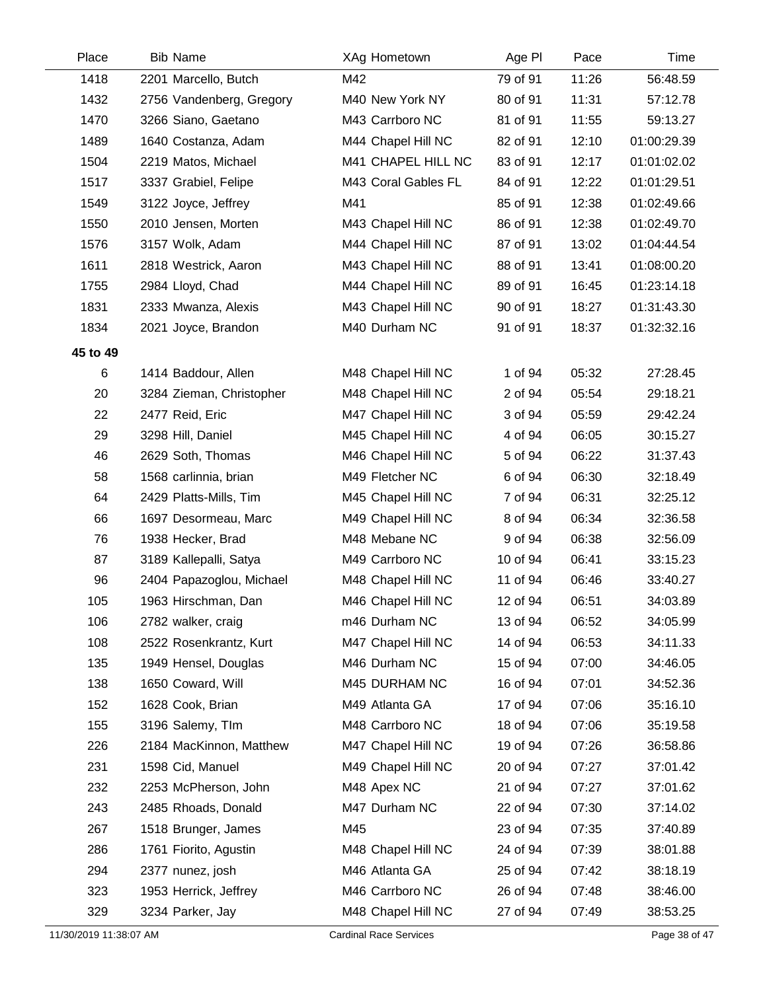| Place    | <b>Bib Name</b>          | XAg Hometown        | Age PI   | Pace  | Time        |
|----------|--------------------------|---------------------|----------|-------|-------------|
| 1418     | 2201 Marcello, Butch     | M42                 | 79 of 91 | 11:26 | 56:48.59    |
| 1432     | 2756 Vandenberg, Gregory | M40 New York NY     | 80 of 91 | 11:31 | 57:12.78    |
| 1470     | 3266 Siano, Gaetano      | M43 Carrboro NC     | 81 of 91 | 11:55 | 59:13.27    |
| 1489     | 1640 Costanza, Adam      | M44 Chapel Hill NC  | 82 of 91 | 12:10 | 01:00:29.39 |
| 1504     | 2219 Matos, Michael      | M41 CHAPEL HILL NC  | 83 of 91 | 12:17 | 01:01:02.02 |
| 1517     | 3337 Grabiel, Felipe     | M43 Coral Gables FL | 84 of 91 | 12:22 | 01:01:29.51 |
| 1549     | 3122 Joyce, Jeffrey      | M41                 | 85 of 91 | 12:38 | 01:02:49.66 |
| 1550     | 2010 Jensen, Morten      | M43 Chapel Hill NC  | 86 of 91 | 12:38 | 01:02:49.70 |
| 1576     | 3157 Wolk, Adam          | M44 Chapel Hill NC  | 87 of 91 | 13:02 | 01:04:44.54 |
| 1611     | 2818 Westrick, Aaron     | M43 Chapel Hill NC  | 88 of 91 | 13:41 | 01:08:00.20 |
| 1755     | 2984 Lloyd, Chad         | M44 Chapel Hill NC  | 89 of 91 | 16:45 | 01:23:14.18 |
| 1831     | 2333 Mwanza, Alexis      | M43 Chapel Hill NC  | 90 of 91 | 18:27 | 01:31:43.30 |
| 1834     | 2021 Joyce, Brandon      | M40 Durham NC       | 91 of 91 | 18:37 | 01:32:32.16 |
| 45 to 49 |                          |                     |          |       |             |
| 6        | 1414 Baddour, Allen      | M48 Chapel Hill NC  | 1 of 94  | 05:32 | 27:28.45    |
| 20       | 3284 Zieman, Christopher | M48 Chapel Hill NC  | 2 of 94  | 05:54 | 29:18.21    |
| 22       | 2477 Reid, Eric          | M47 Chapel Hill NC  | 3 of 94  | 05:59 | 29:42.24    |
| 29       | 3298 Hill, Daniel        | M45 Chapel Hill NC  | 4 of 94  | 06:05 | 30:15.27    |
| 46       | 2629 Soth, Thomas        | M46 Chapel Hill NC  | 5 of 94  | 06:22 | 31:37.43    |
| 58       | 1568 carlinnia, brian    | M49 Fletcher NC     | 6 of 94  | 06:30 | 32:18.49    |
| 64       | 2429 Platts-Mills, Tim   | M45 Chapel Hill NC  | 7 of 94  | 06:31 | 32:25.12    |
| 66       | 1697 Desormeau, Marc     | M49 Chapel Hill NC  | 8 of 94  | 06:34 | 32:36.58    |
| 76       | 1938 Hecker, Brad        | M48 Mebane NC       | 9 of 94  | 06:38 | 32:56.09    |
| 87       | 3189 Kallepalli, Satya   | M49 Carrboro NC     | 10 of 94 | 06:41 | 33:15.23    |
| 96       | 2404 Papazoglou, Michael | M48 Chapel Hill NC  | 11 of 94 | 06:46 | 33:40.27    |
| 105      | 1963 Hirschman, Dan      | M46 Chapel Hill NC  | 12 of 94 | 06:51 | 34:03.89    |
| 106      | 2782 walker, craig       | m46 Durham NC       | 13 of 94 | 06:52 | 34:05.99    |
| 108      | 2522 Rosenkrantz, Kurt   | M47 Chapel Hill NC  | 14 of 94 | 06:53 | 34:11.33    |
| 135      | 1949 Hensel, Douglas     | M46 Durham NC       | 15 of 94 | 07:00 | 34:46.05    |
| 138      | 1650 Coward, Will        | M45 DURHAM NC       | 16 of 94 | 07:01 | 34:52.36    |
| 152      | 1628 Cook, Brian         | M49 Atlanta GA      | 17 of 94 | 07:06 | 35:16.10    |
| 155      | 3196 Salemy, TIm         | M48 Carrboro NC     | 18 of 94 | 07:06 | 35:19.58    |
| 226      | 2184 MacKinnon, Matthew  | M47 Chapel Hill NC  | 19 of 94 | 07:26 | 36:58.86    |
| 231      | 1598 Cid, Manuel         | M49 Chapel Hill NC  | 20 of 94 | 07:27 | 37:01.42    |
| 232      | 2253 McPherson, John     | M48 Apex NC         | 21 of 94 | 07:27 | 37:01.62    |
| 243      | 2485 Rhoads, Donald      | M47 Durham NC       | 22 of 94 | 07:30 | 37:14.02    |
| 267      | 1518 Brunger, James      | M45                 | 23 of 94 | 07:35 | 37:40.89    |
| 286      | 1761 Fiorito, Agustin    | M48 Chapel Hill NC  | 24 of 94 | 07:39 | 38:01.88    |
| 294      | 2377 nunez, josh         | M46 Atlanta GA      | 25 of 94 | 07:42 | 38:18.19    |
| 323      | 1953 Herrick, Jeffrey    | M46 Carrboro NC     | 26 of 94 | 07:48 | 38:46.00    |
| 329      | 3234 Parker, Jay         | M48 Chapel Hill NC  | 27 of 94 | 07:49 | 38:53.25    |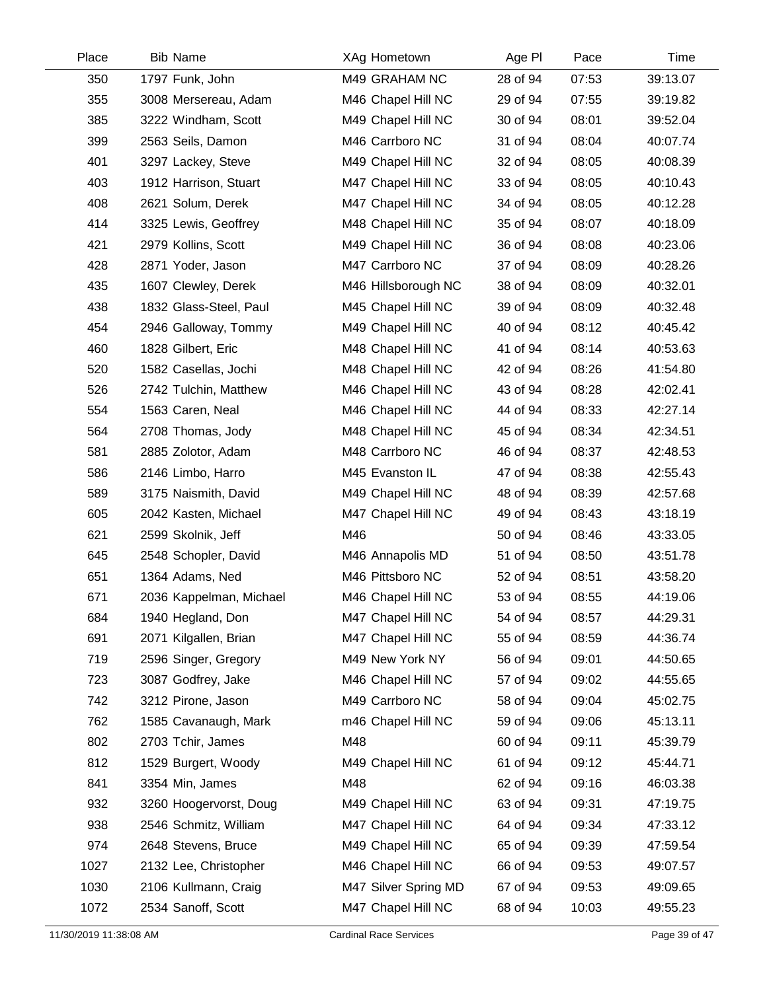| Place | <b>Bib Name</b>         | XAg Hometown         | Age PI   | Pace  | Time     |
|-------|-------------------------|----------------------|----------|-------|----------|
| 350   | 1797 Funk, John         | M49 GRAHAM NC        | 28 of 94 | 07:53 | 39:13.07 |
| 355   | 3008 Mersereau, Adam    | M46 Chapel Hill NC   | 29 of 94 | 07:55 | 39:19.82 |
| 385   | 3222 Windham, Scott     | M49 Chapel Hill NC   | 30 of 94 | 08:01 | 39:52.04 |
| 399   | 2563 Seils, Damon       | M46 Carrboro NC      | 31 of 94 | 08:04 | 40:07.74 |
| 401   | 3297 Lackey, Steve      | M49 Chapel Hill NC   | 32 of 94 | 08:05 | 40:08.39 |
| 403   | 1912 Harrison, Stuart   | M47 Chapel Hill NC   | 33 of 94 | 08:05 | 40:10.43 |
| 408   | 2621 Solum, Derek       | M47 Chapel Hill NC   | 34 of 94 | 08:05 | 40:12.28 |
| 414   | 3325 Lewis, Geoffrey    | M48 Chapel Hill NC   | 35 of 94 | 08:07 | 40:18.09 |
| 421   | 2979 Kollins, Scott     | M49 Chapel Hill NC   | 36 of 94 | 08:08 | 40:23.06 |
| 428   | 2871 Yoder, Jason       | M47 Carrboro NC      | 37 of 94 | 08:09 | 40:28.26 |
| 435   | 1607 Clewley, Derek     | M46 Hillsborough NC  | 38 of 94 | 08:09 | 40:32.01 |
| 438   | 1832 Glass-Steel, Paul  | M45 Chapel Hill NC   | 39 of 94 | 08:09 | 40:32.48 |
| 454   | 2946 Galloway, Tommy    | M49 Chapel Hill NC   | 40 of 94 | 08:12 | 40:45.42 |
| 460   | 1828 Gilbert, Eric      | M48 Chapel Hill NC   | 41 of 94 | 08:14 | 40:53.63 |
| 520   | 1582 Casellas, Jochi    | M48 Chapel Hill NC   | 42 of 94 | 08:26 | 41:54.80 |
| 526   | 2742 Tulchin, Matthew   | M46 Chapel Hill NC   | 43 of 94 | 08:28 | 42:02.41 |
| 554   | 1563 Caren, Neal        | M46 Chapel Hill NC   | 44 of 94 | 08:33 | 42:27.14 |
| 564   | 2708 Thomas, Jody       | M48 Chapel Hill NC   | 45 of 94 | 08:34 | 42:34.51 |
| 581   | 2885 Zolotor, Adam      | M48 Carrboro NC      | 46 of 94 | 08:37 | 42:48.53 |
| 586   | 2146 Limbo, Harro       | M45 Evanston IL      | 47 of 94 | 08:38 | 42:55.43 |
| 589   | 3175 Naismith, David    | M49 Chapel Hill NC   | 48 of 94 | 08:39 | 42:57.68 |
| 605   | 2042 Kasten, Michael    | M47 Chapel Hill NC   | 49 of 94 | 08:43 | 43:18.19 |
| 621   | 2599 Skolnik, Jeff      | M46                  | 50 of 94 | 08:46 | 43:33.05 |
| 645   | 2548 Schopler, David    | M46 Annapolis MD     | 51 of 94 | 08:50 | 43:51.78 |
| 651   | 1364 Adams, Ned         | M46 Pittsboro NC     | 52 of 94 | 08:51 | 43:58.20 |
| 671   | 2036 Kappelman, Michael | M46 Chapel Hill NC   | 53 of 94 | 08:55 | 44:19.06 |
| 684   | 1940 Hegland, Don       | M47 Chapel Hill NC   | 54 of 94 | 08:57 | 44:29.31 |
| 691   | 2071 Kilgallen, Brian   | M47 Chapel Hill NC   | 55 of 94 | 08:59 | 44:36.74 |
| 719   | 2596 Singer, Gregory    | M49 New York NY      | 56 of 94 | 09:01 | 44:50.65 |
| 723   | 3087 Godfrey, Jake      | M46 Chapel Hill NC   | 57 of 94 | 09:02 | 44:55.65 |
| 742   | 3212 Pirone, Jason      | M49 Carrboro NC      | 58 of 94 | 09:04 | 45:02.75 |
| 762   | 1585 Cavanaugh, Mark    | m46 Chapel Hill NC   | 59 of 94 | 09:06 | 45:13.11 |
| 802   | 2703 Tchir, James       | M48                  | 60 of 94 | 09:11 | 45:39.79 |
| 812   | 1529 Burgert, Woody     | M49 Chapel Hill NC   | 61 of 94 | 09:12 | 45:44.71 |
| 841   | 3354 Min, James         | M48                  | 62 of 94 | 09:16 | 46:03.38 |
| 932   | 3260 Hoogervorst, Doug  | M49 Chapel Hill NC   | 63 of 94 | 09:31 | 47:19.75 |
| 938   | 2546 Schmitz, William   | M47 Chapel Hill NC   | 64 of 94 | 09:34 | 47:33.12 |
| 974   | 2648 Stevens, Bruce     | M49 Chapel Hill NC   | 65 of 94 | 09:39 | 47:59.54 |
| 1027  | 2132 Lee, Christopher   | M46 Chapel Hill NC   | 66 of 94 | 09:53 | 49:07.57 |
| 1030  | 2106 Kullmann, Craig    | M47 Silver Spring MD | 67 of 94 | 09:53 | 49:09.65 |
| 1072  | 2534 Sanoff, Scott      | M47 Chapel Hill NC   | 68 of 94 | 10:03 | 49:55.23 |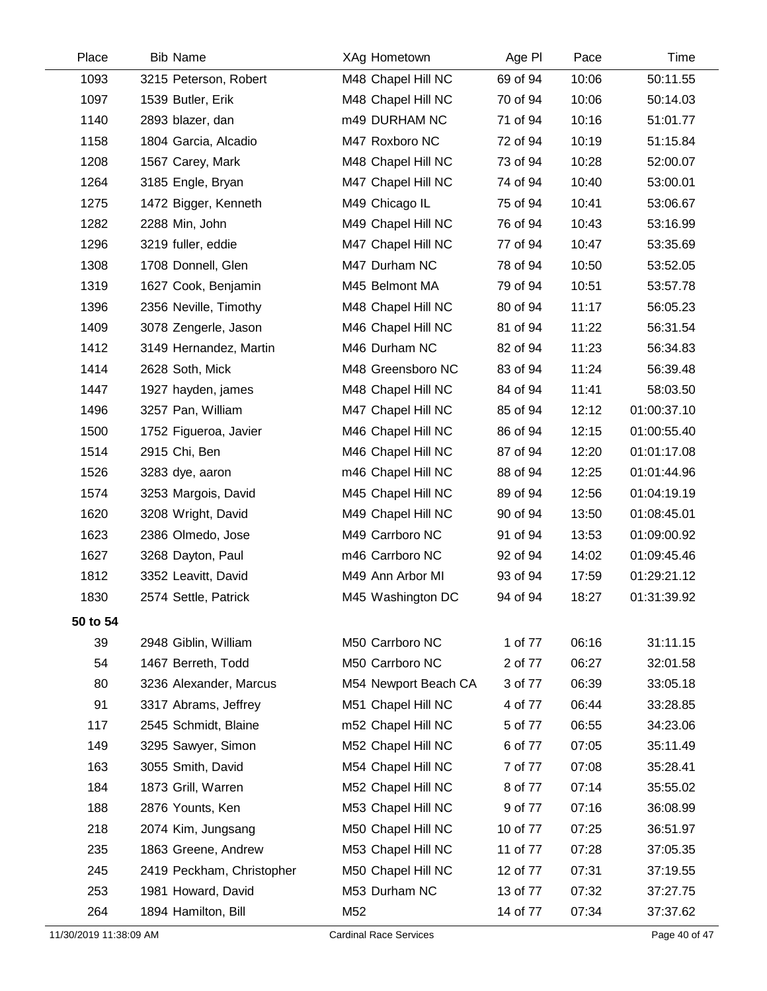| Place    | <b>Bib Name</b>           | XAg Hometown         | Age PI   | Pace  | Time        |
|----------|---------------------------|----------------------|----------|-------|-------------|
| 1093     | 3215 Peterson, Robert     | M48 Chapel Hill NC   | 69 of 94 | 10:06 | 50:11.55    |
| 1097     | 1539 Butler, Erik         | M48 Chapel Hill NC   | 70 of 94 | 10:06 | 50:14.03    |
| 1140     | 2893 blazer, dan          | m49 DURHAM NC        | 71 of 94 | 10:16 | 51:01.77    |
| 1158     | 1804 Garcia, Alcadio      | M47 Roxboro NC       | 72 of 94 | 10:19 | 51:15.84    |
| 1208     | 1567 Carey, Mark          | M48 Chapel Hill NC   | 73 of 94 | 10:28 | 52:00.07    |
| 1264     | 3185 Engle, Bryan         | M47 Chapel Hill NC   | 74 of 94 | 10:40 | 53:00.01    |
| 1275     | 1472 Bigger, Kenneth      | M49 Chicago IL       | 75 of 94 | 10:41 | 53:06.67    |
| 1282     | 2288 Min, John            | M49 Chapel Hill NC   | 76 of 94 | 10:43 | 53:16.99    |
| 1296     | 3219 fuller, eddie        | M47 Chapel Hill NC   | 77 of 94 | 10:47 | 53:35.69    |
| 1308     | 1708 Donnell, Glen        | M47 Durham NC        | 78 of 94 | 10:50 | 53:52.05    |
| 1319     | 1627 Cook, Benjamin       | M45 Belmont MA       | 79 of 94 | 10:51 | 53:57.78    |
| 1396     | 2356 Neville, Timothy     | M48 Chapel Hill NC   | 80 of 94 | 11:17 | 56:05.23    |
| 1409     | 3078 Zengerle, Jason      | M46 Chapel Hill NC   | 81 of 94 | 11:22 | 56:31.54    |
| 1412     | 3149 Hernandez, Martin    | M46 Durham NC        | 82 of 94 | 11:23 | 56:34.83    |
| 1414     | 2628 Soth, Mick           | M48 Greensboro NC    | 83 of 94 | 11:24 | 56:39.48    |
| 1447     | 1927 hayden, james        | M48 Chapel Hill NC   | 84 of 94 | 11:41 | 58:03.50    |
| 1496     | 3257 Pan, William         | M47 Chapel Hill NC   | 85 of 94 | 12:12 | 01:00:37.10 |
| 1500     | 1752 Figueroa, Javier     | M46 Chapel Hill NC   | 86 of 94 | 12:15 | 01:00:55.40 |
| 1514     | 2915 Chi, Ben             | M46 Chapel Hill NC   | 87 of 94 | 12:20 | 01:01:17.08 |
| 1526     | 3283 dye, aaron           | m46 Chapel Hill NC   | 88 of 94 | 12:25 | 01:01:44.96 |
| 1574     | 3253 Margois, David       | M45 Chapel Hill NC   | 89 of 94 | 12:56 | 01:04:19.19 |
| 1620     | 3208 Wright, David        | M49 Chapel Hill NC   | 90 of 94 | 13:50 | 01:08:45.01 |
| 1623     | 2386 Olmedo, Jose         | M49 Carrboro NC      | 91 of 94 | 13:53 | 01:09:00.92 |
| 1627     | 3268 Dayton, Paul         | m46 Carrboro NC      | 92 of 94 | 14:02 | 01:09:45.46 |
| 1812     | 3352 Leavitt, David       | M49 Ann Arbor MI     | 93 of 94 | 17:59 | 01:29:21.12 |
| 1830     | 2574 Settle, Patrick      | M45 Washington DC    | 94 of 94 | 18:27 | 01:31:39.92 |
| 50 to 54 |                           |                      |          |       |             |
| 39       | 2948 Giblin, William      | M50 Carrboro NC      | 1 of 77  | 06:16 | 31:11.15    |
| 54       | 1467 Berreth, Todd        | M50 Carrboro NC      | 2 of 77  | 06:27 | 32:01.58    |
| 80       | 3236 Alexander, Marcus    | M54 Newport Beach CA | 3 of 77  | 06:39 | 33:05.18    |
| 91       | 3317 Abrams, Jeffrey      | M51 Chapel Hill NC   | 4 of 77  | 06:44 | 33:28.85    |
| 117      | 2545 Schmidt, Blaine      | m52 Chapel Hill NC   | 5 of 77  | 06:55 | 34:23.06    |
| 149      | 3295 Sawyer, Simon        | M52 Chapel Hill NC   | 6 of 77  | 07:05 | 35:11.49    |
| 163      | 3055 Smith, David         | M54 Chapel Hill NC   | 7 of 77  | 07:08 | 35:28.41    |
| 184      | 1873 Grill, Warren        | M52 Chapel Hill NC   | 8 of 77  | 07:14 | 35:55.02    |
| 188      | 2876 Younts, Ken          | M53 Chapel Hill NC   | 9 of 77  | 07:16 | 36:08.99    |
| 218      | 2074 Kim, Jungsang        | M50 Chapel Hill NC   | 10 of 77 | 07:25 | 36:51.97    |
| 235      | 1863 Greene, Andrew       | M53 Chapel Hill NC   | 11 of 77 | 07:28 | 37:05.35    |
| 245      | 2419 Peckham, Christopher | M50 Chapel Hill NC   | 12 of 77 | 07:31 | 37:19.55    |
| 253      | 1981 Howard, David        | M53 Durham NC        | 13 of 77 | 07:32 | 37:27.75    |
| 264      | 1894 Hamilton, Bill       | M52                  | 14 of 77 | 07:34 | 37:37.62    |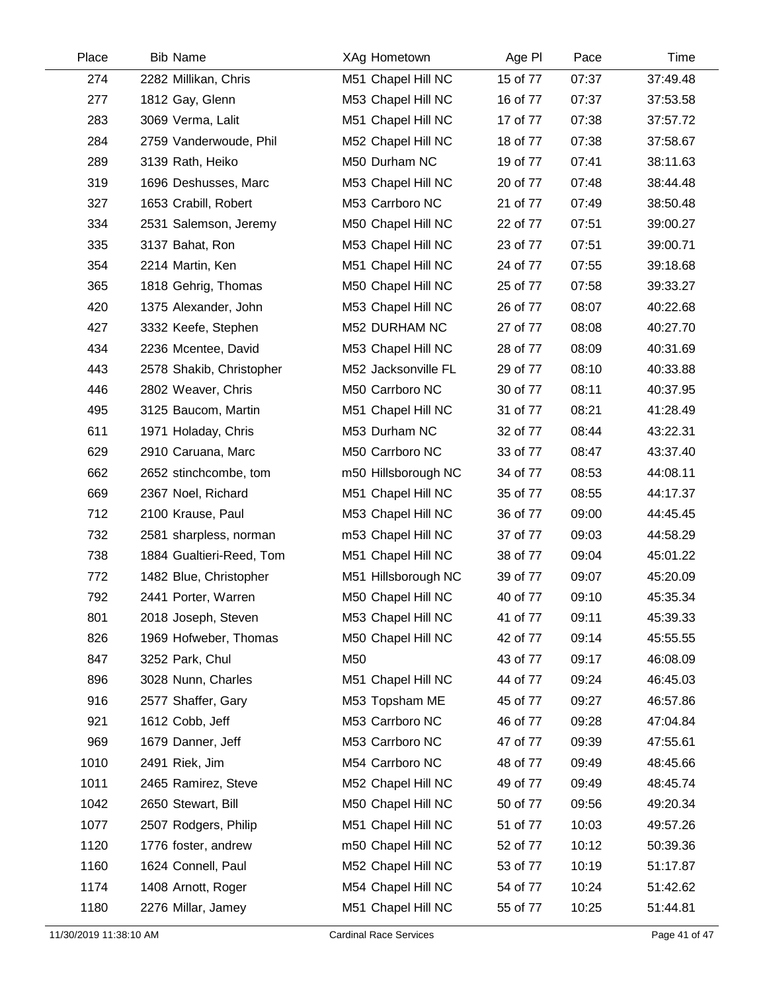| Place | <b>Bib Name</b>          | XAg Hometown        | Age PI   | Pace  | Time     |
|-------|--------------------------|---------------------|----------|-------|----------|
| 274   | 2282 Millikan, Chris     | M51 Chapel Hill NC  | 15 of 77 | 07:37 | 37:49.48 |
| 277   | 1812 Gay, Glenn          | M53 Chapel Hill NC  | 16 of 77 | 07:37 | 37:53.58 |
| 283   | 3069 Verma, Lalit        | M51 Chapel Hill NC  | 17 of 77 | 07:38 | 37:57.72 |
| 284   | 2759 Vanderwoude, Phil   | M52 Chapel Hill NC  | 18 of 77 | 07:38 | 37:58.67 |
| 289   | 3139 Rath, Heiko         | M50 Durham NC       | 19 of 77 | 07:41 | 38:11.63 |
| 319   | 1696 Deshusses, Marc     | M53 Chapel Hill NC  | 20 of 77 | 07:48 | 38:44.48 |
| 327   | 1653 Crabill, Robert     | M53 Carrboro NC     | 21 of 77 | 07:49 | 38:50.48 |
| 334   | 2531 Salemson, Jeremy    | M50 Chapel Hill NC  | 22 of 77 | 07:51 | 39:00.27 |
| 335   | 3137 Bahat, Ron          | M53 Chapel Hill NC  | 23 of 77 | 07:51 | 39:00.71 |
| 354   | 2214 Martin, Ken         | M51 Chapel Hill NC  | 24 of 77 | 07:55 | 39:18.68 |
| 365   | 1818 Gehrig, Thomas      | M50 Chapel Hill NC  | 25 of 77 | 07:58 | 39:33.27 |
| 420   | 1375 Alexander, John     | M53 Chapel Hill NC  | 26 of 77 | 08:07 | 40:22.68 |
| 427   | 3332 Keefe, Stephen      | M52 DURHAM NC       | 27 of 77 | 08:08 | 40:27.70 |
| 434   | 2236 Mcentee, David      | M53 Chapel Hill NC  | 28 of 77 | 08:09 | 40:31.69 |
| 443   | 2578 Shakib, Christopher | M52 Jacksonville FL | 29 of 77 | 08:10 | 40:33.88 |
| 446   | 2802 Weaver, Chris       | M50 Carrboro NC     | 30 of 77 | 08:11 | 40:37.95 |
| 495   | 3125 Baucom, Martin      | M51 Chapel Hill NC  | 31 of 77 | 08:21 | 41:28.49 |
| 611   | 1971 Holaday, Chris      | M53 Durham NC       | 32 of 77 | 08:44 | 43:22.31 |
| 629   | 2910 Caruana, Marc       | M50 Carrboro NC     | 33 of 77 | 08:47 | 43:37.40 |
| 662   | 2652 stinchcombe, tom    | m50 Hillsborough NC | 34 of 77 | 08:53 | 44:08.11 |
| 669   | 2367 Noel, Richard       | M51 Chapel Hill NC  | 35 of 77 | 08:55 | 44:17.37 |
| 712   | 2100 Krause, Paul        | M53 Chapel Hill NC  | 36 of 77 | 09:00 | 44:45.45 |
| 732   | 2581 sharpless, norman   | m53 Chapel Hill NC  | 37 of 77 | 09:03 | 44:58.29 |
| 738   | 1884 Gualtieri-Reed, Tom | M51 Chapel Hill NC  | 38 of 77 | 09:04 | 45:01.22 |
| 772   | 1482 Blue, Christopher   | M51 Hillsborough NC | 39 of 77 | 09:07 | 45:20.09 |
| 792   | 2441 Porter, Warren      | M50 Chapel Hill NC  | 40 of 77 | 09:10 | 45:35.34 |
| 801   | 2018 Joseph, Steven      | M53 Chapel Hill NC  | 41 of 77 | 09:11 | 45:39.33 |
| 826   | 1969 Hofweber, Thomas    | M50 Chapel Hill NC  | 42 of 77 | 09:14 | 45:55.55 |
| 847   | 3252 Park, Chul          | M50                 | 43 of 77 | 09:17 | 46:08.09 |
| 896   | 3028 Nunn, Charles       | M51 Chapel Hill NC  | 44 of 77 | 09:24 | 46:45.03 |
| 916   | 2577 Shaffer, Gary       | M53 Topsham ME      | 45 of 77 | 09:27 | 46:57.86 |
| 921   | 1612 Cobb, Jeff          | M53 Carrboro NC     | 46 of 77 | 09:28 | 47:04.84 |
| 969   | 1679 Danner, Jeff        | M53 Carrboro NC     | 47 of 77 | 09:39 | 47:55.61 |
| 1010  | 2491 Riek, Jim           | M54 Carrboro NC     | 48 of 77 | 09:49 | 48:45.66 |
| 1011  | 2465 Ramirez, Steve      | M52 Chapel Hill NC  | 49 of 77 | 09:49 | 48:45.74 |
| 1042  | 2650 Stewart, Bill       | M50 Chapel Hill NC  | 50 of 77 | 09:56 | 49:20.34 |
| 1077  | 2507 Rodgers, Philip     | M51 Chapel Hill NC  | 51 of 77 | 10:03 | 49:57.26 |
| 1120  | 1776 foster, andrew      | m50 Chapel Hill NC  | 52 of 77 | 10:12 | 50:39.36 |
| 1160  | 1624 Connell, Paul       | M52 Chapel Hill NC  | 53 of 77 | 10:19 | 51:17.87 |
| 1174  | 1408 Arnott, Roger       | M54 Chapel Hill NC  | 54 of 77 | 10:24 | 51:42.62 |
| 1180  | 2276 Millar, Jamey       | M51 Chapel Hill NC  | 55 of 77 | 10:25 | 51:44.81 |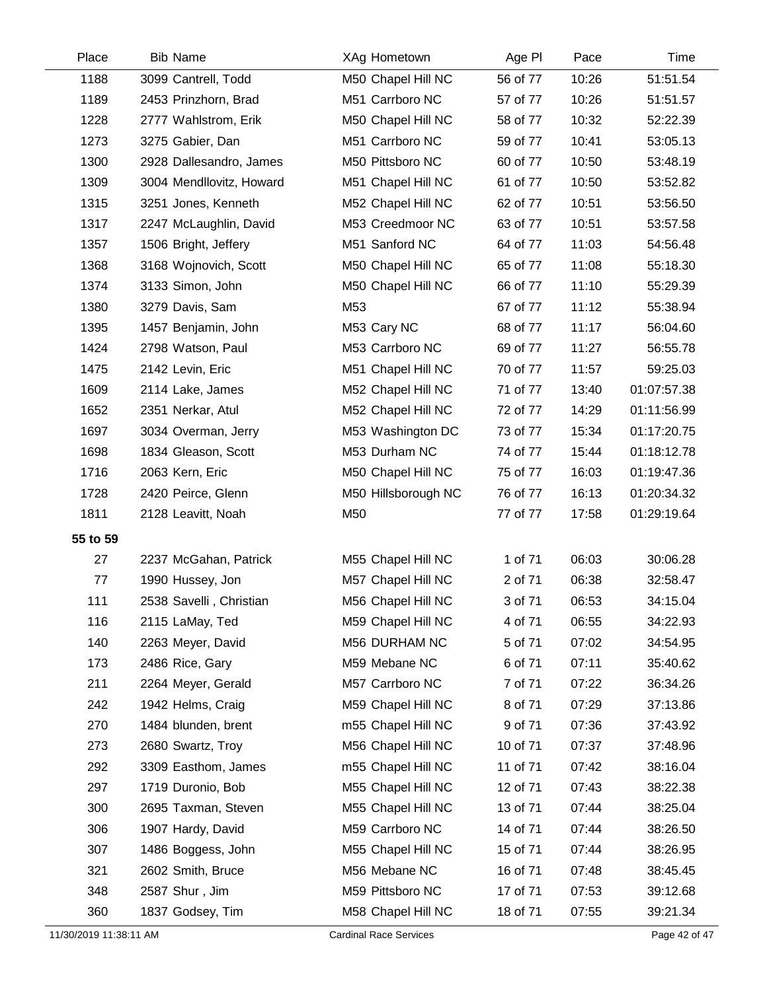| Place    | <b>Bib Name</b>          | XAg Hometown        | Age PI   | Pace  | Time        |
|----------|--------------------------|---------------------|----------|-------|-------------|
| 1188     | 3099 Cantrell, Todd      | M50 Chapel Hill NC  | 56 of 77 | 10:26 | 51:51.54    |
| 1189     | 2453 Prinzhorn, Brad     | M51 Carrboro NC     | 57 of 77 | 10:26 | 51:51.57    |
| 1228     | 2777 Wahlstrom, Erik     | M50 Chapel Hill NC  | 58 of 77 | 10:32 | 52:22.39    |
| 1273     | 3275 Gabier, Dan         | M51 Carrboro NC     | 59 of 77 | 10:41 | 53:05.13    |
| 1300     | 2928 Dallesandro, James  | M50 Pittsboro NC    | 60 of 77 | 10:50 | 53:48.19    |
| 1309     | 3004 Mendllovitz, Howard | M51 Chapel Hill NC  | 61 of 77 | 10:50 | 53:52.82    |
| 1315     | 3251 Jones, Kenneth      | M52 Chapel Hill NC  | 62 of 77 | 10:51 | 53:56.50    |
| 1317     | 2247 McLaughlin, David   | M53 Creedmoor NC    | 63 of 77 | 10:51 | 53:57.58    |
| 1357     | 1506 Bright, Jeffery     | M51 Sanford NC      | 64 of 77 | 11:03 | 54:56.48    |
| 1368     | 3168 Wojnovich, Scott    | M50 Chapel Hill NC  | 65 of 77 | 11:08 | 55:18.30    |
| 1374     | 3133 Simon, John         | M50 Chapel Hill NC  | 66 of 77 | 11:10 | 55:29.39    |
| 1380     | 3279 Davis, Sam          | M53                 | 67 of 77 | 11:12 | 55:38.94    |
| 1395     | 1457 Benjamin, John      | M53 Cary NC         | 68 of 77 | 11:17 | 56:04.60    |
| 1424     | 2798 Watson, Paul        | M53 Carrboro NC     | 69 of 77 | 11:27 | 56:55.78    |
| 1475     | 2142 Levin, Eric         | M51 Chapel Hill NC  | 70 of 77 | 11:57 | 59:25.03    |
| 1609     | 2114 Lake, James         | M52 Chapel Hill NC  | 71 of 77 | 13:40 | 01:07:57.38 |
| 1652     | 2351 Nerkar, Atul        | M52 Chapel Hill NC  | 72 of 77 | 14:29 | 01:11:56.99 |
| 1697     | 3034 Overman, Jerry      | M53 Washington DC   | 73 of 77 | 15:34 | 01:17:20.75 |
| 1698     | 1834 Gleason, Scott      | M53 Durham NC       | 74 of 77 | 15:44 | 01:18:12.78 |
| 1716     | 2063 Kern, Eric          | M50 Chapel Hill NC  | 75 of 77 | 16:03 | 01:19:47.36 |
| 1728     | 2420 Peirce, Glenn       | M50 Hillsborough NC | 76 of 77 | 16:13 | 01:20:34.32 |
| 1811     | 2128 Leavitt, Noah       | M50                 | 77 of 77 | 17:58 | 01:29:19.64 |
| 55 to 59 |                          |                     |          |       |             |
| 27       | 2237 McGahan, Patrick    | M55 Chapel Hill NC  | 1 of 71  | 06:03 | 30:06.28    |
| 77       | 1990 Hussey, Jon         | M57 Chapel Hill NC  | 2 of 71  | 06:38 | 32:58.47    |
| 111      | 2538 Savelli, Christian  | M56 Chapel Hill NC  | 3 of 71  | 06:53 | 34:15.04    |
| 116      | 2115 LaMay, Ted          | M59 Chapel Hill NC  | 4 of 71  | 06:55 | 34:22.93    |
| 140      | 2263 Meyer, David        | M56 DURHAM NC       | 5 of 71  | 07:02 | 34:54.95    |
| 173      | 2486 Rice, Gary          | M59 Mebane NC       | 6 of 71  | 07:11 | 35:40.62    |
| 211      | 2264 Meyer, Gerald       | M57 Carrboro NC     | 7 of 71  | 07:22 | 36:34.26    |
| 242      | 1942 Helms, Craig        | M59 Chapel Hill NC  | 8 of 71  | 07:29 | 37:13.86    |
| 270      | 1484 blunden, brent      | m55 Chapel Hill NC  | 9 of 71  | 07:36 | 37:43.92    |
| 273      | 2680 Swartz, Troy        | M56 Chapel Hill NC  | 10 of 71 | 07:37 | 37:48.96    |
| 292      | 3309 Easthom, James      | m55 Chapel Hill NC  | 11 of 71 | 07:42 | 38:16.04    |
| 297      | 1719 Duronio, Bob        | M55 Chapel Hill NC  | 12 of 71 | 07:43 | 38:22.38    |
| 300      | 2695 Taxman, Steven      | M55 Chapel Hill NC  | 13 of 71 | 07:44 | 38:25.04    |
| 306      | 1907 Hardy, David        | M59 Carrboro NC     | 14 of 71 | 07:44 | 38:26.50    |
| 307      | 1486 Boggess, John       | M55 Chapel Hill NC  | 15 of 71 | 07:44 | 38:26.95    |
| 321      | 2602 Smith, Bruce        | M56 Mebane NC       | 16 of 71 | 07:48 | 38:45.45    |
| 348      | 2587 Shur, Jim           | M59 Pittsboro NC    | 17 of 71 | 07:53 | 39:12.68    |
| 360      | 1837 Godsey, Tim         | M58 Chapel Hill NC  | 18 of 71 | 07:55 | 39:21.34    |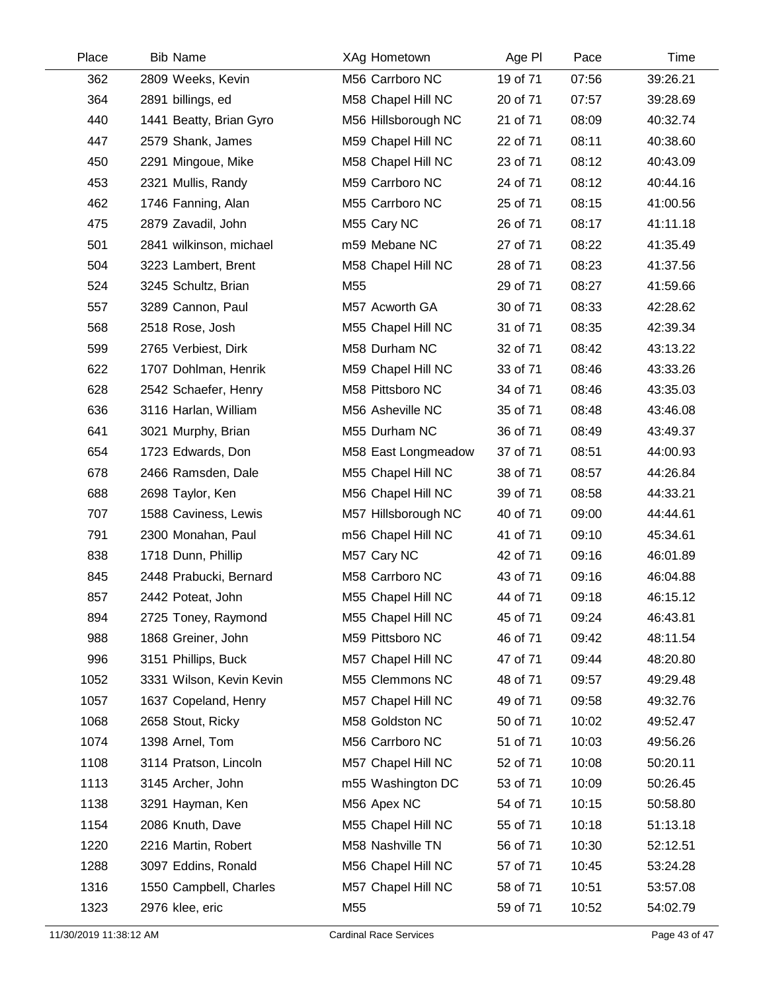| Place | <b>Bib Name</b>          | XAg Hometown        | Age PI   | Pace  | Time     |
|-------|--------------------------|---------------------|----------|-------|----------|
| 362   | 2809 Weeks, Kevin        | M56 Carrboro NC     | 19 of 71 | 07:56 | 39:26.21 |
| 364   | 2891 billings, ed        | M58 Chapel Hill NC  | 20 of 71 | 07:57 | 39:28.69 |
| 440   | 1441 Beatty, Brian Gyro  | M56 Hillsborough NC | 21 of 71 | 08:09 | 40:32.74 |
| 447   | 2579 Shank, James        | M59 Chapel Hill NC  | 22 of 71 | 08:11 | 40:38.60 |
| 450   | 2291 Mingoue, Mike       | M58 Chapel Hill NC  | 23 of 71 | 08:12 | 40:43.09 |
| 453   | 2321 Mullis, Randy       | M59 Carrboro NC     | 24 of 71 | 08:12 | 40:44.16 |
| 462   | 1746 Fanning, Alan       | M55 Carrboro NC     | 25 of 71 | 08:15 | 41:00.56 |
| 475   | 2879 Zavadil, John       | M55 Cary NC         | 26 of 71 | 08:17 | 41:11.18 |
| 501   | 2841 wilkinson, michael  | m59 Mebane NC       | 27 of 71 | 08:22 | 41:35.49 |
| 504   | 3223 Lambert, Brent      | M58 Chapel Hill NC  | 28 of 71 | 08:23 | 41:37.56 |
| 524   | 3245 Schultz, Brian      | M55                 | 29 of 71 | 08:27 | 41:59.66 |
| 557   | 3289 Cannon, Paul        | M57 Acworth GA      | 30 of 71 | 08:33 | 42:28.62 |
| 568   | 2518 Rose, Josh          | M55 Chapel Hill NC  | 31 of 71 | 08:35 | 42:39.34 |
| 599   | 2765 Verbiest, Dirk      | M58 Durham NC       | 32 of 71 | 08:42 | 43:13.22 |
| 622   | 1707 Dohlman, Henrik     | M59 Chapel Hill NC  | 33 of 71 | 08:46 | 43:33.26 |
| 628   | 2542 Schaefer, Henry     | M58 Pittsboro NC    | 34 of 71 | 08:46 | 43:35.03 |
| 636   | 3116 Harlan, William     | M56 Asheville NC    | 35 of 71 | 08:48 | 43:46.08 |
| 641   | 3021 Murphy, Brian       | M55 Durham NC       | 36 of 71 | 08:49 | 43:49.37 |
| 654   | 1723 Edwards, Don        | M58 East Longmeadow | 37 of 71 | 08:51 | 44:00.93 |
| 678   | 2466 Ramsden, Dale       | M55 Chapel Hill NC  | 38 of 71 | 08:57 | 44:26.84 |
| 688   | 2698 Taylor, Ken         | M56 Chapel Hill NC  | 39 of 71 | 08:58 | 44:33.21 |
| 707   | 1588 Caviness, Lewis     | M57 Hillsborough NC | 40 of 71 | 09:00 | 44:44.61 |
| 791   | 2300 Monahan, Paul       | m56 Chapel Hill NC  | 41 of 71 | 09:10 | 45:34.61 |
| 838   | 1718 Dunn, Phillip       | M57 Cary NC         | 42 of 71 | 09:16 | 46:01.89 |
| 845   | 2448 Prabucki, Bernard   | M58 Carrboro NC     | 43 of 71 | 09:16 | 46:04.88 |
| 857   | 2442 Poteat, John        | M55 Chapel Hill NC  | 44 of 71 | 09:18 | 46:15.12 |
| 894   | 2725 Toney, Raymond      | M55 Chapel Hill NC  | 45 of 71 | 09:24 | 46:43.81 |
| 988   | 1868 Greiner, John       | M59 Pittsboro NC    | 46 of 71 | 09:42 | 48:11.54 |
| 996   | 3151 Phillips, Buck      | M57 Chapel Hill NC  | 47 of 71 | 09:44 | 48:20.80 |
| 1052  | 3331 Wilson, Kevin Kevin | M55 Clemmons NC     | 48 of 71 | 09:57 | 49:29.48 |
| 1057  | 1637 Copeland, Henry     | M57 Chapel Hill NC  | 49 of 71 | 09:58 | 49:32.76 |
| 1068  | 2658 Stout, Ricky        | M58 Goldston NC     | 50 of 71 | 10:02 | 49:52.47 |
| 1074  | 1398 Arnel, Tom          | M56 Carrboro NC     | 51 of 71 | 10:03 | 49:56.26 |
| 1108  | 3114 Pratson, Lincoln    | M57 Chapel Hill NC  | 52 of 71 | 10:08 | 50:20.11 |
| 1113  | 3145 Archer, John        | m55 Washington DC   | 53 of 71 | 10:09 | 50:26.45 |
| 1138  | 3291 Hayman, Ken         | M56 Apex NC         | 54 of 71 | 10:15 | 50:58.80 |
| 1154  | 2086 Knuth, Dave         | M55 Chapel Hill NC  | 55 of 71 | 10:18 | 51:13.18 |
| 1220  | 2216 Martin, Robert      | M58 Nashville TN    | 56 of 71 | 10:30 | 52:12.51 |
| 1288  | 3097 Eddins, Ronald      | M56 Chapel Hill NC  | 57 of 71 | 10:45 | 53:24.28 |
| 1316  | 1550 Campbell, Charles   | M57 Chapel Hill NC  | 58 of 71 | 10:51 | 53:57.08 |
| 1323  | 2976 klee, eric          | M55                 | 59 of 71 | 10:52 | 54:02.79 |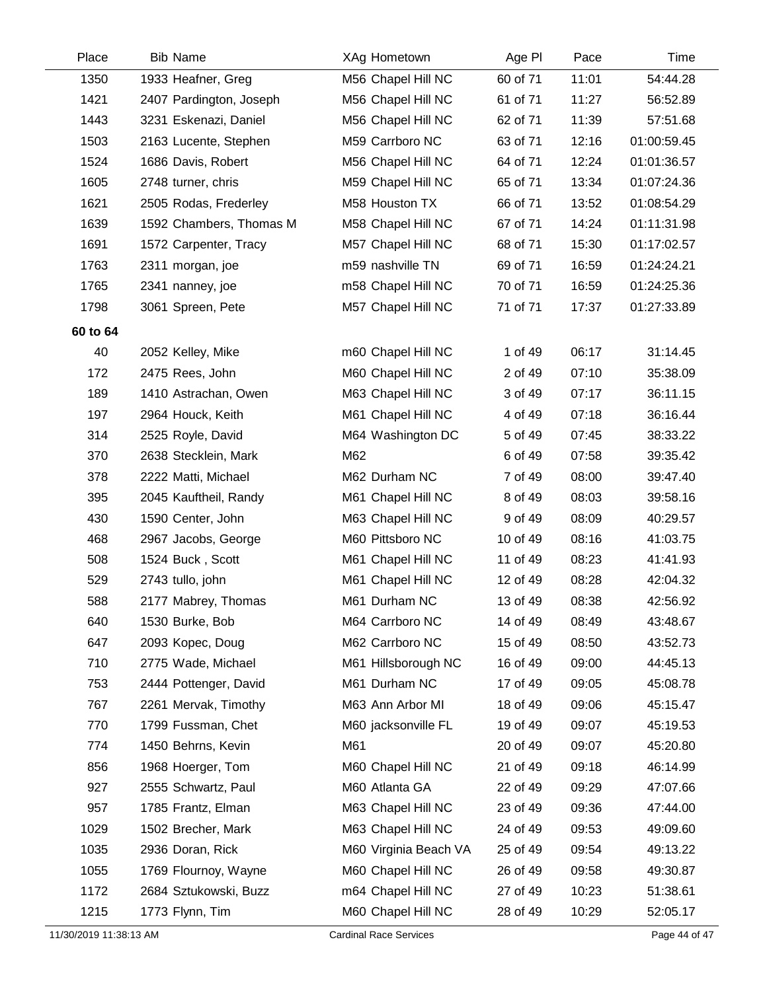| Place    | <b>Bib Name</b>         | XAg Hometown          | Age PI   | Pace  | Time        |
|----------|-------------------------|-----------------------|----------|-------|-------------|
| 1350     | 1933 Heafner, Greg      | M56 Chapel Hill NC    | 60 of 71 | 11:01 | 54:44.28    |
| 1421     | 2407 Pardington, Joseph | M56 Chapel Hill NC    | 61 of 71 | 11:27 | 56:52.89    |
| 1443     | 3231 Eskenazi, Daniel   | M56 Chapel Hill NC    | 62 of 71 | 11:39 | 57:51.68    |
| 1503     | 2163 Lucente, Stephen   | M59 Carrboro NC       | 63 of 71 | 12:16 | 01:00:59.45 |
| 1524     | 1686 Davis, Robert      | M56 Chapel Hill NC    | 64 of 71 | 12:24 | 01:01:36.57 |
| 1605     | 2748 turner, chris      | M59 Chapel Hill NC    | 65 of 71 | 13:34 | 01:07:24.36 |
| 1621     | 2505 Rodas, Frederley   | M58 Houston TX        | 66 of 71 | 13:52 | 01:08:54.29 |
| 1639     | 1592 Chambers, Thomas M | M58 Chapel Hill NC    | 67 of 71 | 14:24 | 01:11:31.98 |
| 1691     | 1572 Carpenter, Tracy   | M57 Chapel Hill NC    | 68 of 71 | 15:30 | 01:17:02.57 |
| 1763     | 2311 morgan, joe        | m59 nashville TN      | 69 of 71 | 16:59 | 01:24:24.21 |
| 1765     | 2341 nanney, joe        | m58 Chapel Hill NC    | 70 of 71 | 16:59 | 01:24:25.36 |
| 1798     | 3061 Spreen, Pete       | M57 Chapel Hill NC    | 71 of 71 | 17:37 | 01:27:33.89 |
| 60 to 64 |                         |                       |          |       |             |
| 40       | 2052 Kelley, Mike       | m60 Chapel Hill NC    | 1 of 49  | 06:17 | 31:14.45    |
| 172      | 2475 Rees, John         | M60 Chapel Hill NC    | 2 of 49  | 07:10 | 35:38.09    |
| 189      | 1410 Astrachan, Owen    | M63 Chapel Hill NC    | 3 of 49  | 07:17 | 36:11.15    |
| 197      | 2964 Houck, Keith       | M61 Chapel Hill NC    | 4 of 49  | 07:18 | 36:16.44    |
| 314      | 2525 Royle, David       | M64 Washington DC     | 5 of 49  | 07:45 | 38:33.22    |
| 370      | 2638 Stecklein, Mark    | M62                   | 6 of 49  | 07:58 | 39:35.42    |
| 378      | 2222 Matti, Michael     | M62 Durham NC         | 7 of 49  | 08:00 | 39:47.40    |
| 395      | 2045 Kauftheil, Randy   | M61 Chapel Hill NC    | 8 of 49  | 08:03 | 39:58.16    |
| 430      | 1590 Center, John       | M63 Chapel Hill NC    | 9 of 49  | 08:09 | 40:29.57    |
| 468      | 2967 Jacobs, George     | M60 Pittsboro NC      | 10 of 49 | 08:16 | 41:03.75    |
| 508      | 1524 Buck, Scott        | M61 Chapel Hill NC    | 11 of 49 | 08:23 | 41:41.93    |
| 529      | 2743 tullo, john        | M61 Chapel Hill NC    | 12 of 49 | 08:28 | 42:04.32    |
| 588      | 2177 Mabrey, Thomas     | M61 Durham NC         | 13 of 49 | 08:38 | 42:56.92    |
| 640      | 1530 Burke, Bob         | M64 Carrboro NC       | 14 of 49 | 08:49 | 43:48.67    |
| 647      | 2093 Kopec, Doug        | M62 Carrboro NC       | 15 of 49 | 08:50 | 43:52.73    |
| 710      | 2775 Wade, Michael      | M61 Hillsborough NC   | 16 of 49 | 09:00 | 44:45.13    |
| 753      | 2444 Pottenger, David   | M61 Durham NC         | 17 of 49 | 09:05 | 45:08.78    |
| 767      | 2261 Mervak, Timothy    | M63 Ann Arbor MI      | 18 of 49 | 09:06 | 45:15.47    |
| 770      | 1799 Fussman, Chet      | M60 jacksonville FL   | 19 of 49 | 09:07 | 45:19.53    |
| 774      | 1450 Behrns, Kevin      | M61                   | 20 of 49 | 09:07 | 45:20.80    |
| 856      | 1968 Hoerger, Tom       | M60 Chapel Hill NC    | 21 of 49 | 09:18 | 46:14.99    |
| 927      | 2555 Schwartz, Paul     | M60 Atlanta GA        | 22 of 49 | 09:29 | 47:07.66    |
| 957      | 1785 Frantz, Elman      | M63 Chapel Hill NC    | 23 of 49 | 09:36 | 47:44.00    |
| 1029     | 1502 Brecher, Mark      | M63 Chapel Hill NC    | 24 of 49 | 09:53 | 49:09.60    |
| 1035     | 2936 Doran, Rick        | M60 Virginia Beach VA | 25 of 49 | 09:54 | 49:13.22    |
| 1055     | 1769 Flournoy, Wayne    | M60 Chapel Hill NC    | 26 of 49 | 09:58 | 49:30.87    |
| 1172     | 2684 Sztukowski, Buzz   | m64 Chapel Hill NC    | 27 of 49 | 10:23 | 51:38.61    |
| 1215     | 1773 Flynn, Tim         | M60 Chapel Hill NC    | 28 of 49 | 10:29 | 52:05.17    |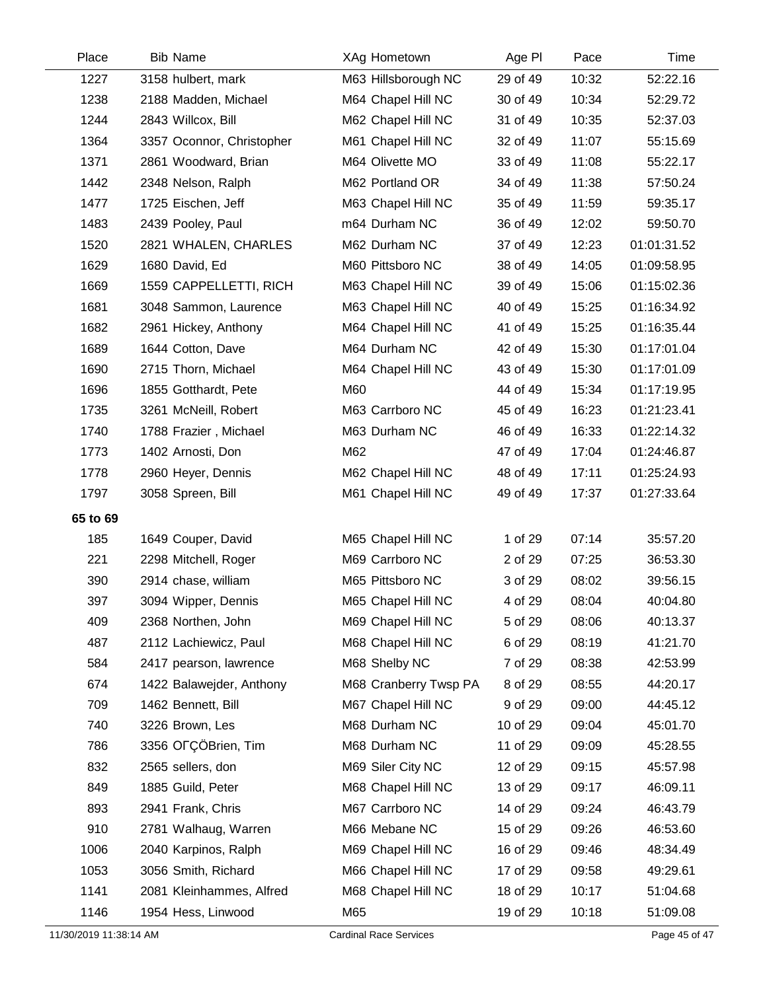| Place    | <b>Bib Name</b>           | XAg Hometown          | Age PI   | Pace  | Time        |
|----------|---------------------------|-----------------------|----------|-------|-------------|
| 1227     | 3158 hulbert, mark        | M63 Hillsborough NC   | 29 of 49 | 10:32 | 52:22.16    |
| 1238     | 2188 Madden, Michael      | M64 Chapel Hill NC    | 30 of 49 | 10:34 | 52:29.72    |
| 1244     | 2843 Willcox, Bill        | M62 Chapel Hill NC    | 31 of 49 | 10:35 | 52:37.03    |
| 1364     | 3357 Oconnor, Christopher | M61 Chapel Hill NC    | 32 of 49 | 11:07 | 55:15.69    |
| 1371     | 2861 Woodward, Brian      | M64 Olivette MO       | 33 of 49 | 11:08 | 55:22.17    |
| 1442     | 2348 Nelson, Ralph        | M62 Portland OR       | 34 of 49 | 11:38 | 57:50.24    |
| 1477     | 1725 Eischen, Jeff        | M63 Chapel Hill NC    | 35 of 49 | 11:59 | 59:35.17    |
| 1483     | 2439 Pooley, Paul         | m64 Durham NC         | 36 of 49 | 12:02 | 59:50.70    |
| 1520     | 2821 WHALEN, CHARLES      | M62 Durham NC         | 37 of 49 | 12:23 | 01:01:31.52 |
| 1629     | 1680 David, Ed            | M60 Pittsboro NC      | 38 of 49 | 14:05 | 01:09:58.95 |
| 1669     | 1559 CAPPELLETTI, RICH    | M63 Chapel Hill NC    | 39 of 49 | 15:06 | 01:15:02.36 |
| 1681     | 3048 Sammon, Laurence     | M63 Chapel Hill NC    | 40 of 49 | 15:25 | 01:16:34.92 |
| 1682     | 2961 Hickey, Anthony      | M64 Chapel Hill NC    | 41 of 49 | 15:25 | 01:16:35.44 |
| 1689     | 1644 Cotton, Dave         | M64 Durham NC         | 42 of 49 | 15:30 | 01:17:01.04 |
| 1690     | 2715 Thorn, Michael       | M64 Chapel Hill NC    | 43 of 49 | 15:30 | 01:17:01.09 |
| 1696     | 1855 Gotthardt, Pete      | M60                   | 44 of 49 | 15:34 | 01:17:19.95 |
| 1735     | 3261 McNeill, Robert      | M63 Carrboro NC       | 45 of 49 | 16:23 | 01:21:23.41 |
| 1740     | 1788 Frazier, Michael     | M63 Durham NC         | 46 of 49 | 16:33 | 01:22:14.32 |
| 1773     | 1402 Arnosti, Don         | M62                   | 47 of 49 | 17:04 | 01:24:46.87 |
| 1778     | 2960 Heyer, Dennis        | M62 Chapel Hill NC    | 48 of 49 | 17:11 | 01:25:24.93 |
| 1797     | 3058 Spreen, Bill         | M61 Chapel Hill NC    | 49 of 49 | 17:37 | 01:27:33.64 |
| 65 to 69 |                           |                       |          |       |             |
| 185      | 1649 Couper, David        | M65 Chapel Hill NC    | 1 of 29  | 07:14 | 35:57.20    |
| 221      | 2298 Mitchell, Roger      | M69 Carrboro NC       | 2 of 29  | 07:25 | 36:53.30    |
| 390      | 2914 chase, william       | M65 Pittsboro NC      | 3 of 29  | 08:02 | 39:56.15    |
| 397      | 3094 Wipper, Dennis       | M65 Chapel Hill NC    | 4 of 29  | 08:04 | 40:04.80    |
| 409      | 2368 Northen, John        | M69 Chapel Hill NC    | 5 of 29  | 08:06 | 40:13.37    |
| 487      | 2112 Lachiewicz, Paul     | M68 Chapel Hill NC    | 6 of 29  | 08:19 | 41:21.70    |
| 584      | 2417 pearson, lawrence    | M68 Shelby NC         | 7 of 29  | 08:38 | 42:53.99    |
| 674      | 1422 Balawejder, Anthony  | M68 Cranberry Twsp PA | 8 of 29  | 08:55 | 44:20.17    |
| 709      | 1462 Bennett, Bill        | M67 Chapel Hill NC    | 9 of 29  | 09:00 | 44:45.12    |
| 740      | 3226 Brown, Les           | M68 Durham NC         | 10 of 29 | 09:04 | 45:01.70    |
| 786      | 3356 OFÇÖBrien, Tim       | M68 Durham NC         | 11 of 29 | 09:09 | 45:28.55    |
| 832      | 2565 sellers, don         | M69 Siler City NC     | 12 of 29 | 09:15 | 45:57.98    |
| 849      | 1885 Guild, Peter         | M68 Chapel Hill NC    | 13 of 29 | 09:17 | 46:09.11    |
| 893      | 2941 Frank, Chris         | M67 Carrboro NC       | 14 of 29 | 09:24 | 46:43.79    |
| 910      | 2781 Walhaug, Warren      | M66 Mebane NC         | 15 of 29 | 09:26 | 46:53.60    |
| 1006     | 2040 Karpinos, Ralph      | M69 Chapel Hill NC    | 16 of 29 | 09:46 | 48:34.49    |
| 1053     | 3056 Smith, Richard       | M66 Chapel Hill NC    | 17 of 29 | 09:58 | 49:29.61    |
| 1141     | 2081 Kleinhammes, Alfred  | M68 Chapel Hill NC    | 18 of 29 | 10:17 | 51:04.68    |
| 1146     | 1954 Hess, Linwood        | M65                   | 19 of 29 | 10:18 | 51:09.08    |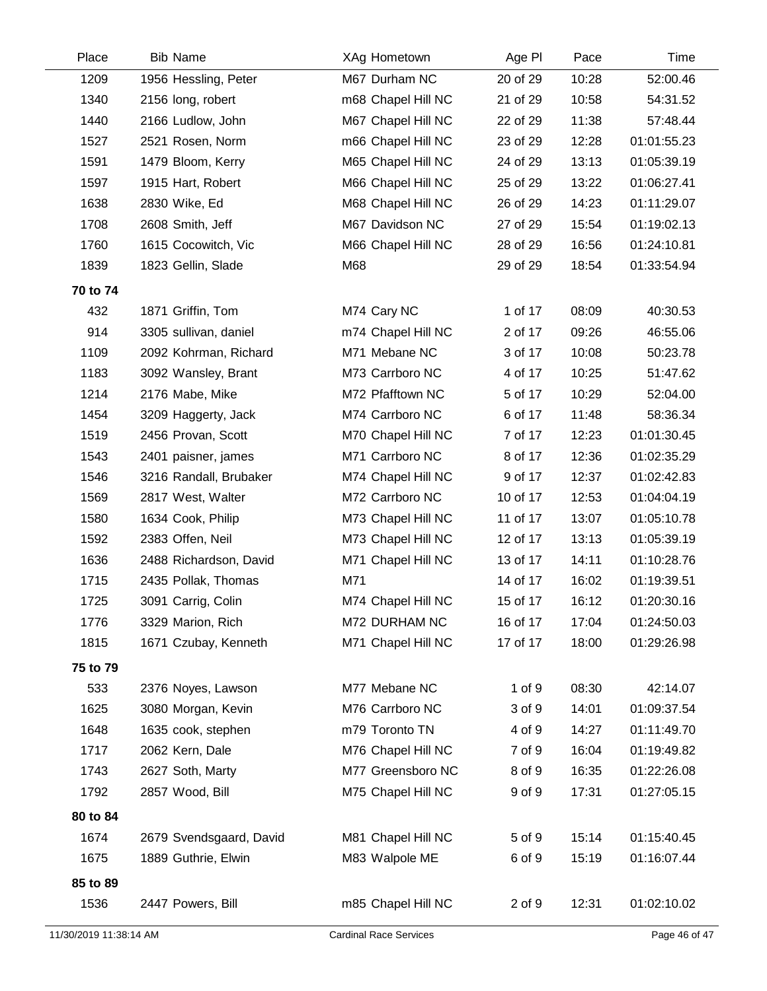| Place    | <b>Bib Name</b>         | XAg Hometown       | Age PI   | Pace  | Time        |
|----------|-------------------------|--------------------|----------|-------|-------------|
| 1209     | 1956 Hessling, Peter    | M67 Durham NC      | 20 of 29 | 10:28 | 52:00.46    |
| 1340     | 2156 long, robert       | m68 Chapel Hill NC | 21 of 29 | 10:58 | 54:31.52    |
| 1440     | 2166 Ludlow, John       | M67 Chapel Hill NC | 22 of 29 | 11:38 | 57:48.44    |
| 1527     | 2521 Rosen, Norm        | m66 Chapel Hill NC | 23 of 29 | 12:28 | 01:01:55.23 |
| 1591     | 1479 Bloom, Kerry       | M65 Chapel Hill NC | 24 of 29 | 13:13 | 01:05:39.19 |
| 1597     | 1915 Hart, Robert       | M66 Chapel Hill NC | 25 of 29 | 13:22 | 01:06:27.41 |
| 1638     | 2830 Wike, Ed           | M68 Chapel Hill NC | 26 of 29 | 14:23 | 01:11:29.07 |
| 1708     | 2608 Smith, Jeff        | M67 Davidson NC    | 27 of 29 | 15:54 | 01:19:02.13 |
| 1760     | 1615 Cocowitch, Vic     | M66 Chapel Hill NC | 28 of 29 | 16:56 | 01:24:10.81 |
| 1839     | 1823 Gellin, Slade      | M68                | 29 of 29 | 18:54 | 01:33:54.94 |
| 70 to 74 |                         |                    |          |       |             |
| 432      | 1871 Griffin, Tom       | M74 Cary NC        | 1 of 17  | 08:09 | 40:30.53    |
| 914      | 3305 sullivan, daniel   | m74 Chapel Hill NC | 2 of 17  | 09:26 | 46:55.06    |
| 1109     | 2092 Kohrman, Richard   | M71 Mebane NC      | 3 of 17  | 10:08 | 50:23.78    |
| 1183     | 3092 Wansley, Brant     | M73 Carrboro NC    | 4 of 17  | 10:25 | 51:47.62    |
| 1214     | 2176 Mabe, Mike         | M72 Pfafftown NC   | 5 of 17  | 10:29 | 52:04.00    |
| 1454     | 3209 Haggerty, Jack     | M74 Carrboro NC    | 6 of 17  | 11:48 | 58:36.34    |
| 1519     | 2456 Provan, Scott      | M70 Chapel Hill NC | 7 of 17  | 12:23 | 01:01:30.45 |
| 1543     | 2401 paisner, james     | M71 Carrboro NC    | 8 of 17  | 12:36 | 01:02:35.29 |
| 1546     | 3216 Randall, Brubaker  | M74 Chapel Hill NC | 9 of 17  | 12:37 | 01:02:42.83 |
| 1569     | 2817 West, Walter       | M72 Carrboro NC    | 10 of 17 | 12:53 | 01:04:04.19 |
| 1580     | 1634 Cook, Philip       | M73 Chapel Hill NC | 11 of 17 | 13:07 | 01:05:10.78 |
| 1592     | 2383 Offen, Neil        | M73 Chapel Hill NC | 12 of 17 | 13:13 | 01:05:39.19 |
| 1636     | 2488 Richardson, David  | M71 Chapel Hill NC | 13 of 17 | 14:11 | 01:10:28.76 |
| 1715     | 2435 Pollak, Thomas     | M71                | 14 of 17 | 16:02 | 01:19:39.51 |
| 1725     | 3091 Carrig, Colin      | M74 Chapel Hill NC | 15 of 17 | 16:12 | 01:20:30.16 |
| 1776     | 3329 Marion, Rich       | M72 DURHAM NC      | 16 of 17 | 17:04 | 01:24:50.03 |
| 1815     | 1671 Czubay, Kenneth    | M71 Chapel Hill NC | 17 of 17 | 18:00 | 01:29:26.98 |
| 75 to 79 |                         |                    |          |       |             |
| 533      | 2376 Noyes, Lawson      | M77 Mebane NC      | 1 of 9   | 08:30 | 42:14.07    |
| 1625     | 3080 Morgan, Kevin      | M76 Carrboro NC    | 3 of 9   | 14:01 | 01:09:37.54 |
| 1648     | 1635 cook, stephen      | m79 Toronto TN     | 4 of 9   | 14:27 | 01:11:49.70 |
| 1717     | 2062 Kern, Dale         | M76 Chapel Hill NC | 7 of 9   | 16:04 | 01:19:49.82 |
| 1743     | 2627 Soth, Marty        | M77 Greensboro NC  | 8 of 9   | 16:35 | 01:22:26.08 |
| 1792     | 2857 Wood, Bill         | M75 Chapel Hill NC | 9 of 9   | 17:31 | 01:27:05.15 |
| 80 to 84 |                         |                    |          |       |             |
| 1674     | 2679 Svendsgaard, David | M81 Chapel Hill NC | 5 of 9   | 15:14 | 01:15:40.45 |
| 1675     | 1889 Guthrie, Elwin     | M83 Walpole ME     | 6 of 9   | 15:19 | 01:16:07.44 |
| 85 to 89 |                         |                    |          |       |             |
| 1536     | 2447 Powers, Bill       | m85 Chapel Hill NC | 2 of 9   | 12:31 | 01:02:10.02 |
|          |                         |                    |          |       |             |